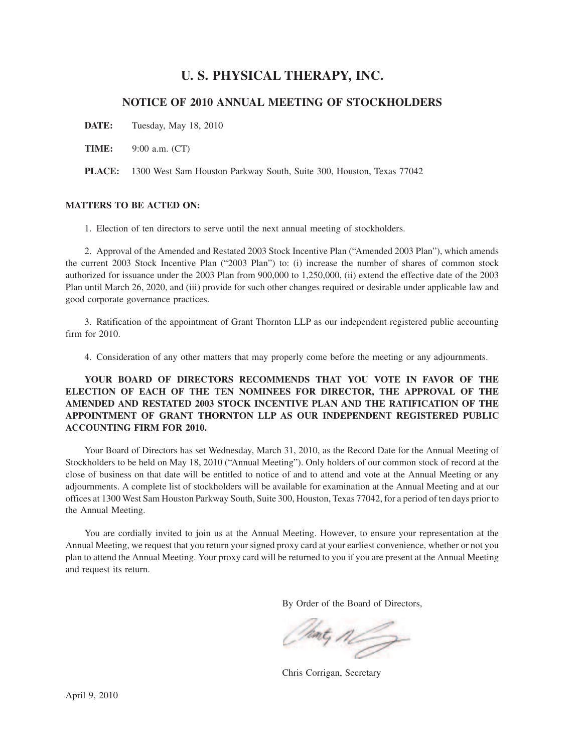# **U. S. PHYSICAL THERAPY, INC.**

# **NOTICE OF 2010 ANNUAL MEETING OF STOCKHOLDERS**

**DATE:** Tuesday, May 18, 2010

**TIME:** 9:00 a.m. (CT)

**PLACE:** 1300 West Sam Houston Parkway South, Suite 300, Houston, Texas 77042

# **MATTERS TO BE ACTED ON:**

1. Election of ten directors to serve until the next annual meeting of stockholders.

2. Approval of the Amended and Restated 2003 Stock Incentive Plan ("Amended 2003 Plan"), which amends the current 2003 Stock Incentive Plan ("2003 Plan") to: (i) increase the number of shares of common stock authorized for issuance under the 2003 Plan from 900,000 to 1,250,000, (ii) extend the effective date of the 2003 Plan until March 26, 2020, and (iii) provide for such other changes required or desirable under applicable law and good corporate governance practices.

3. Ratification of the appointment of Grant Thornton LLP as our independent registered public accounting firm for 2010.

4. Consideration of any other matters that may properly come before the meeting or any adjournments.

**YOUR BOARD OF DIRECTORS RECOMMENDS THAT YOU VOTE IN FAVOR OF THE ELECTION OF EACH OF THE TEN NOMINEES FOR DIRECTOR, THE APPROVAL OF THE AMENDED AND RESTATED 2003 STOCK INCENTIVE PLAN AND THE RATIFICATION OF THE APPOINTMENT OF GRANT THORNTON LLP AS OUR INDEPENDENT REGISTERED PUBLIC ACCOUNTING FIRM FOR 2010.**

Your Board of Directors has set Wednesday, March 31, 2010, as the Record Date for the Annual Meeting of Stockholders to be held on May 18, 2010 ("Annual Meeting"). Only holders of our common stock of record at the close of business on that date will be entitled to notice of and to attend and vote at the Annual Meeting or any adjournments. A complete list of stockholders will be available for examination at the Annual Meeting and at our offices at 1300 West Sam Houston Parkway South, Suite 300, Houston, Texas 77042, for a period of ten days prior to the Annual Meeting.

You are cordially invited to join us at the Annual Meeting. However, to ensure your representation at the Annual Meeting, we request that you return your signed proxy card at your earliest convenience, whether or not you plan to attend the Annual Meeting. Your proxy card will be returned to you if you are present at the Annual Meeting and request its return.

By Order of the Board of Directors,

Thing n

Chris Corrigan, Secretary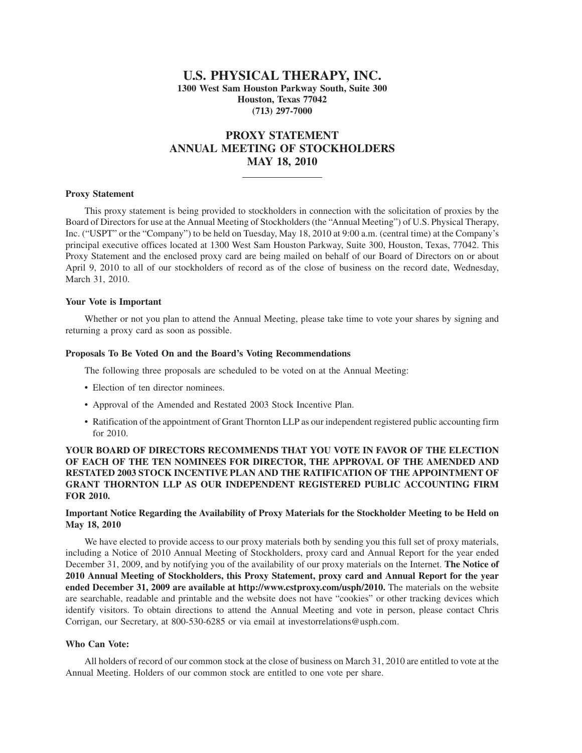# **U.S. PHYSICAL THERAPY, INC. 1300 West Sam Houston Parkway South, Suite 300 Houston, Texas 77042 (713) 297-7000**

# **PROXY STATEMENT ANNUAL MEETING OF STOCKHOLDERS MAY 18, 2010**

# **Proxy Statement**

This proxy statement is being provided to stockholders in connection with the solicitation of proxies by the Board of Directors for use at the Annual Meeting of Stockholders (the "Annual Meeting") of U.S. Physical Therapy, Inc. ("USPT" or the "Company") to be held on Tuesday, May 18, 2010 at 9:00 a.m. (central time) at the Company's principal executive offices located at 1300 West Sam Houston Parkway, Suite 300, Houston, Texas, 77042. This Proxy Statement and the enclosed proxy card are being mailed on behalf of our Board of Directors on or about April 9, 2010 to all of our stockholders of record as of the close of business on the record date, Wednesday, March 31, 2010.

#### **Your Vote is Important**

Whether or not you plan to attend the Annual Meeting, please take time to vote your shares by signing and returning a proxy card as soon as possible.

#### **Proposals To Be Voted On and the Board's Voting Recommendations**

The following three proposals are scheduled to be voted on at the Annual Meeting:

- Election of ten director nominees.
- Approval of the Amended and Restated 2003 Stock Incentive Plan.
- Ratification of the appointment of Grant Thornton LLP as our independent registered public accounting firm for 2010.

# **YOUR BOARD OF DIRECTORS RECOMMENDS THAT YOU VOTE IN FAVOR OF THE ELECTION OF EACH OF THE TEN NOMINEES FOR DIRECTOR, THE APPROVAL OF THE AMENDED AND RESTATED 2003 STOCK INCENTIVE PLAN AND THE RATIFICATION OF THE APPOINTMENT OF GRANT THORNTON LLP AS OUR INDEPENDENT REGISTERED PUBLIC ACCOUNTING FIRM FOR 2010.**

# **Important Notice Regarding the Availability of Proxy Materials for the Stockholder Meeting to be Held on May 18, 2010**

We have elected to provide access to our proxy materials both by sending you this full set of proxy materials, including a Notice of 2010 Annual Meeting of Stockholders, proxy card and Annual Report for the year ended December 31, 2009, and by notifying you of the availability of our proxy materials on the Internet. **The Notice of 2010 Annual Meeting of Stockholders, this Proxy Statement, proxy card and Annual Report for the year ended December 31, 2009 are available at http://www.cstproxy.com/usph/2010.** The materials on the website are searchable, readable and printable and the website does not have "cookies" or other tracking devices which identify visitors. To obtain directions to attend the Annual Meeting and vote in person, please contact Chris Corrigan, our Secretary, at 800-530-6285 or via email at investorrelations@usph.com.

## **Who Can Vote:**

All holders of record of our common stock at the close of business on March 31, 2010 are entitled to vote at the Annual Meeting. Holders of our common stock are entitled to one vote per share.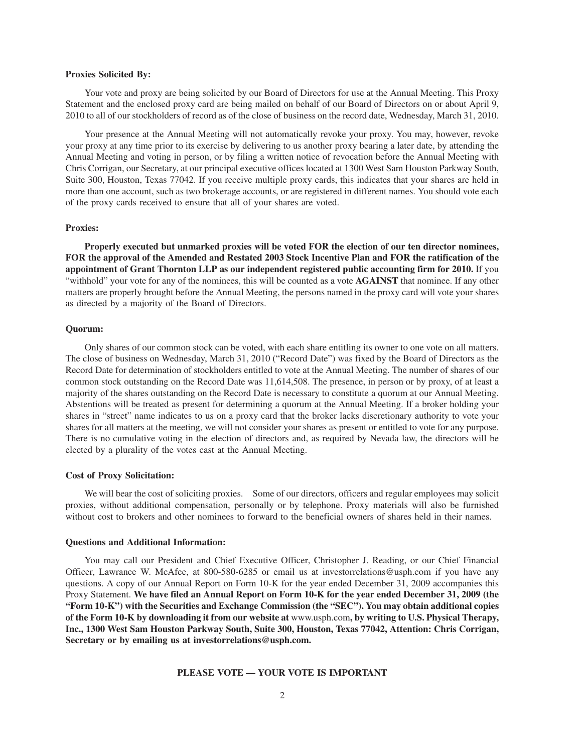#### **Proxies Solicited By:**

Your vote and proxy are being solicited by our Board of Directors for use at the Annual Meeting. This Proxy Statement and the enclosed proxy card are being mailed on behalf of our Board of Directors on or about April 9, 2010 to all of our stockholders of record as of the close of business on the record date, Wednesday, March 31, 2010.

Your presence at the Annual Meeting will not automatically revoke your proxy. You may, however, revoke your proxy at any time prior to its exercise by delivering to us another proxy bearing a later date, by attending the Annual Meeting and voting in person, or by filing a written notice of revocation before the Annual Meeting with Chris Corrigan, our Secretary, at our principal executive offices located at 1300 West Sam Houston Parkway South, Suite 300, Houston, Texas 77042. If you receive multiple proxy cards, this indicates that your shares are held in more than one account, such as two brokerage accounts, or are registered in different names. You should vote each of the proxy cards received to ensure that all of your shares are voted.

#### **Proxies:**

**Properly executed but unmarked proxies will be voted FOR the election of our ten director nominees, FOR the approval of the Amended and Restated 2003 Stock Incentive Plan and FOR the ratification of the appointment of Grant Thornton LLP as our independent registered public accounting firm for 2010.** If you "withhold" your vote for any of the nominees, this will be counted as a vote **AGAINST** that nominee. If any other matters are properly brought before the Annual Meeting, the persons named in the proxy card will vote your shares as directed by a majority of the Board of Directors.

# **Quorum:**

Only shares of our common stock can be voted, with each share entitling its owner to one vote on all matters. The close of business on Wednesday, March 31, 2010 ("Record Date") was fixed by the Board of Directors as the Record Date for determination of stockholders entitled to vote at the Annual Meeting. The number of shares of our common stock outstanding on the Record Date was 11,614,508. The presence, in person or by proxy, of at least a majority of the shares outstanding on the Record Date is necessary to constitute a quorum at our Annual Meeting. Abstentions will be treated as present for determining a quorum at the Annual Meeting. If a broker holding your shares in "street" name indicates to us on a proxy card that the broker lacks discretionary authority to vote your shares for all matters at the meeting, we will not consider your shares as present or entitled to vote for any purpose. There is no cumulative voting in the election of directors and, as required by Nevada law, the directors will be elected by a plurality of the votes cast at the Annual Meeting.

# **Cost of Proxy Solicitation:**

We will bear the cost of soliciting proxies. Some of our directors, officers and regular employees may solicit proxies, without additional compensation, personally or by telephone. Proxy materials will also be furnished without cost to brokers and other nominees to forward to the beneficial owners of shares held in their names.

#### **Questions and Additional Information:**

You may call our President and Chief Executive Officer, Christopher J. Reading, or our Chief Financial Officer, Lawrance W. McAfee, at 800-580-6285 or email us at investorrelations@usph.com if you have any questions. A copy of our Annual Report on Form 10-K for the year ended December 31, 2009 accompanies this Proxy Statement. **We have filed an Annual Report on Form 10-K for the year ended December 31, 2009 (the "Form 10-K") with the Securities and Exchange Commission (the "SEC"). You may obtain additional copies of the Form 10-K by downloading it from our website at** www.usph.com**, by writing to U.S. Physical Therapy, Inc., 1300 West Sam Houston Parkway South, Suite 300, Houston, Texas 77042, Attention: Chris Corrigan, Secretary or by emailing us at investorrelations@usph.com.**

#### **PLEASE VOTE — YOUR VOTE IS IMPORTANT**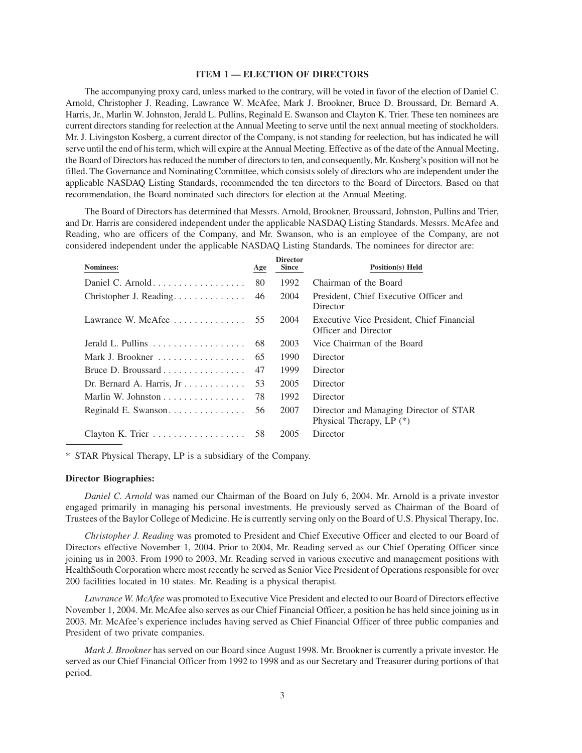#### **ITEM 1 — ELECTION OF DIRECTORS**

The accompanying proxy card, unless marked to the contrary, will be voted in favor of the election of Daniel C. Arnold, Christopher J. Reading, Lawrance W. McAfee, Mark J. Brookner, Bruce D. Broussard, Dr. Bernard A. Harris, Jr., Marlin W. Johnston, Jerald L. Pullins, Reginald E. Swanson and Clayton K. Trier. These ten nominees are current directors standing for reelection at the Annual Meeting to serve until the next annual meeting of stockholders. Mr. J. Livingston Kosberg, a current director of the Company, is not standing for reelection, but has indicated he will serve until the end of his term, which will expire at the Annual Meeting. Effective as of the date of the Annual Meeting, the Board of Directors has reduced the number of directors to ten, and consequently, Mr. Kosberg's position will not be filled. The Governance and Nominating Committee, which consists solely of directors who are independent under the applicable NASDAQ Listing Standards, recommended the ten directors to the Board of Directors. Based on that recommendation, the Board nominated such directors for election at the Annual Meeting.

The Board of Directors has determined that Messrs. Arnold, Brookner, Broussard, Johnston, Pullins and Trier, and Dr. Harris are considered independent under the applicable NASDAQ Listing Standards. Messrs. McAfee and Reading, who are officers of the Company, and Mr. Swanson, who is an employee of the Company, are not considered independent under the applicable NASDAQ Listing Standards. The nominees for director are:

| Age                                             | <b>Director</b><br><b>Since</b> | <b>Position(s)</b> Held                                              |
|-------------------------------------------------|---------------------------------|----------------------------------------------------------------------|
| 80                                              | 1992                            | Chairman of the Board                                                |
| 46                                              | 2004                            | President, Chief Executive Officer and<br>Director                   |
| Lawrance W. McAfee $\dots \dots \dots \dots$ 55 | 2004                            | Executive Vice President, Chief Financial<br>Officer and Director    |
| 68                                              | 2003                            | Vice Chairman of the Board                                           |
| 65                                              | 1990                            | Director                                                             |
| 47                                              | 1999                            | Director                                                             |
| 53                                              | 2005                            | Director                                                             |
| 78                                              | 1992                            | Director                                                             |
| 56                                              | 2007                            | Director and Managing Director of STAR<br>Physical Therapy, LP $(*)$ |
| 58                                              | 2005                            | Director                                                             |
|                                                 |                                 |                                                                      |

\* STAR Physical Therapy, LP is a subsidiary of the Company.

#### **Director Biographies:**

*Daniel C. Arnold* was named our Chairman of the Board on July 6, 2004. Mr. Arnold is a private investor engaged primarily in managing his personal investments. He previously served as Chairman of the Board of Trustees of the Baylor College of Medicine. He is currently serving only on the Board of U.S. Physical Therapy, Inc.

*Christopher J. Reading* was promoted to President and Chief Executive Officer and elected to our Board of Directors effective November 1, 2004. Prior to 2004, Mr. Reading served as our Chief Operating Officer since joining us in 2003. From 1990 to 2003, Mr. Reading served in various executive and management positions with HealthSouth Corporation where most recently he served as Senior Vice President of Operations responsible for over 200 facilities located in 10 states. Mr. Reading is a physical therapist.

*Lawrance W. McAfee* was promoted to Executive Vice President and elected to our Board of Directors effective November 1, 2004. Mr. McAfee also serves as our Chief Financial Officer, a position he has held since joining us in 2003. Mr. McAfee's experience includes having served as Chief Financial Officer of three public companies and President of two private companies.

*Mark J. Brookner* has served on our Board since August 1998. Mr. Brookner is currently a private investor. He served as our Chief Financial Officer from 1992 to 1998 and as our Secretary and Treasurer during portions of that period.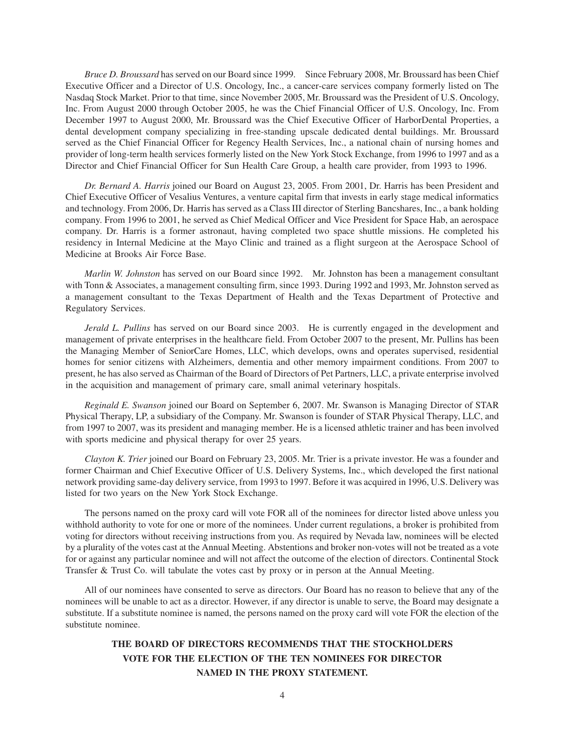*Bruce D. Broussard* has served on our Board since 1999. Since February 2008, Mr. Broussard has been Chief Executive Officer and a Director of U.S. Oncology, Inc., a cancer-care services company formerly listed on The Nasdaq Stock Market. Prior to that time, since November 2005, Mr. Broussard was the President of U.S. Oncology, Inc. From August 2000 through October 2005, he was the Chief Financial Officer of U.S. Oncology, Inc. From December 1997 to August 2000, Mr. Broussard was the Chief Executive Officer of HarborDental Properties, a dental development company specializing in free-standing upscale dedicated dental buildings. Mr. Broussard served as the Chief Financial Officer for Regency Health Services, Inc., a national chain of nursing homes and provider of long-term health services formerly listed on the New York Stock Exchange, from 1996 to 1997 and as a Director and Chief Financial Officer for Sun Health Care Group, a health care provider, from 1993 to 1996.

*Dr. Bernard A. Harris* joined our Board on August 23, 2005. From 2001, Dr. Harris has been President and Chief Executive Officer of Vesalius Ventures, a venture capital firm that invests in early stage medical informatics and technology. From 2006, Dr. Harris has served as a Class III director of Sterling Bancshares, Inc., a bank holding company. From 1996 to 2001, he served as Chief Medical Officer and Vice President for Space Hab, an aerospace company. Dr. Harris is a former astronaut, having completed two space shuttle missions. He completed his residency in Internal Medicine at the Mayo Clinic and trained as a flight surgeon at the Aerospace School of Medicine at Brooks Air Force Base.

*Marlin W. Johnston* has served on our Board since 1992. Mr. Johnston has been a management consultant with Tonn & Associates, a management consulting firm, since 1993. During 1992 and 1993, Mr. Johnston served as a management consultant to the Texas Department of Health and the Texas Department of Protective and Regulatory Services.

*Jerald L. Pullins* has served on our Board since 2003. He is currently engaged in the development and management of private enterprises in the healthcare field. From October 2007 to the present, Mr. Pullins has been the Managing Member of SeniorCare Homes, LLC, which develops, owns and operates supervised, residential homes for senior citizens with Alzheimers, dementia and other memory impairment conditions. From 2007 to present, he has also served as Chairman of the Board of Directors of Pet Partners, LLC, a private enterprise involved in the acquisition and management of primary care, small animal veterinary hospitals.

*Reginald E. Swanson* joined our Board on September 6, 2007. Mr. Swanson is Managing Director of STAR Physical Therapy, LP, a subsidiary of the Company. Mr. Swanson is founder of STAR Physical Therapy, LLC, and from 1997 to 2007, was its president and managing member. He is a licensed athletic trainer and has been involved with sports medicine and physical therapy for over 25 years.

*Clayton K. Trier* joined our Board on February 23, 2005. Mr. Trier is a private investor. He was a founder and former Chairman and Chief Executive Officer of U.S. Delivery Systems, Inc., which developed the first national network providing same-day delivery service, from 1993 to 1997. Before it was acquired in 1996, U.S. Delivery was listed for two years on the New York Stock Exchange.

The persons named on the proxy card will vote FOR all of the nominees for director listed above unless you withhold authority to vote for one or more of the nominees. Under current regulations, a broker is prohibited from voting for directors without receiving instructions from you. As required by Nevada law, nominees will be elected by a plurality of the votes cast at the Annual Meeting. Abstentions and broker non-votes will not be treated as a vote for or against any particular nominee and will not affect the outcome of the election of directors. Continental Stock Transfer & Trust Co. will tabulate the votes cast by proxy or in person at the Annual Meeting.

All of our nominees have consented to serve as directors. Our Board has no reason to believe that any of the nominees will be unable to act as a director. However, if any director is unable to serve, the Board may designate a substitute. If a substitute nominee is named, the persons named on the proxy card will vote FOR the election of the substitute nominee.

# **THE BOARD OF DIRECTORS RECOMMENDS THAT THE STOCKHOLDERS VOTE FOR THE ELECTION OF THE TEN NOMINEES FOR DIRECTOR NAMED IN THE PROXY STATEMENT.**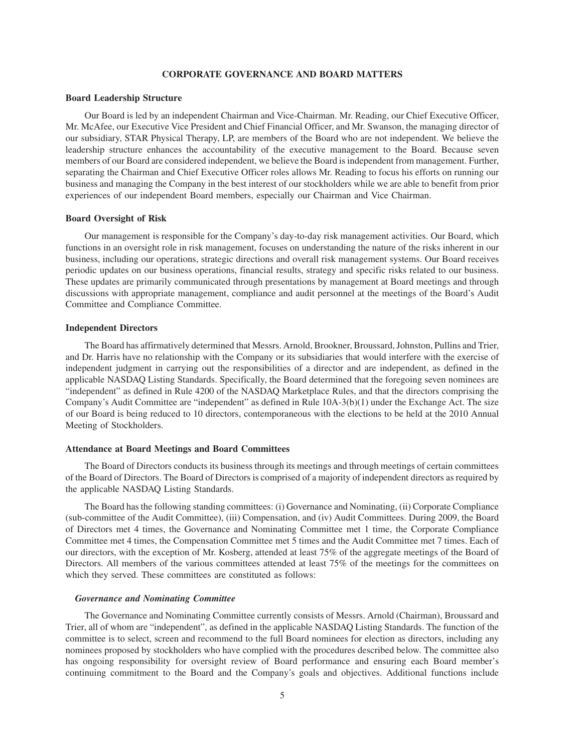# **CORPORATE GOVERNANCE AND BOARD MATTERS**

#### **Board Leadership Structure**

Our Board is led by an independent Chairman and Vice-Chairman. Mr. Reading, our Chief Executive Officer, Mr. McAfee, our Executive Vice President and Chief Financial Officer, and Mr. Swanson, the managing director of our subsidiary, STAR Physical Therapy, LP, are members of the Board who are not independent. We believe the leadership structure enhances the accountability of the executive management to the Board. Because seven members of our Board are considered independent, we believe the Board is independent from management. Further, separating the Chairman and Chief Executive Officer roles allows Mr. Reading to focus his efforts on running our business and managing the Company in the best interest of our stockholders while we are able to benefit from prior experiences of our independent Board members, especially our Chairman and Vice Chairman.

## **Board Oversight of Risk**

Our management is responsible for the Company's day-to-day risk management activities. Our Board, which functions in an oversight role in risk management, focuses on understanding the nature of the risks inherent in our business, including our operations, strategic directions and overall risk management systems. Our Board receives periodic updates on our business operations, financial results, strategy and specific risks related to our business. These updates are primarily communicated through presentations by management at Board meetings and through discussions with appropriate management, compliance and audit personnel at the meetings of the Board's Audit Committee and Compliance Committee.

# **Independent Directors**

The Board has affirmatively determined that Messrs. Arnold, Brookner, Broussard, Johnston, Pullins and Trier, and Dr. Harris have no relationship with the Company or its subsidiaries that would interfere with the exercise of independent judgment in carrying out the responsibilities of a director and are independent, as defined in the applicable NASDAQ Listing Standards. Specifically, the Board determined that the foregoing seven nominees are "independent" as defined in Rule 4200 of the NASDAQ Marketplace Rules, and that the directors comprising the Company's Audit Committee are "independent" as defined in Rule 10A-3(b)(1) under the Exchange Act. The size of our Board is being reduced to 10 directors, contemporaneous with the elections to be held at the 2010 Annual Meeting of Stockholders.

#### **Attendance at Board Meetings and Board Committees**

The Board of Directors conducts its business through its meetings and through meetings of certain committees of the Board of Directors. The Board of Directors is comprised of a majority of independent directors as required by the applicable NASDAQ Listing Standards.

The Board has the following standing committees: (i) Governance and Nominating, (ii) Corporate Compliance (sub-committee of the Audit Committee), (iii) Compensation, and (iv) Audit Committees. During 2009, the Board of Directors met 4 times, the Governance and Nominating Committee met 1 time, the Corporate Compliance Committee met 4 times, the Compensation Committee met 5 times and the Audit Committee met 7 times. Each of our directors, with the exception of Mr. Kosberg, attended at least 75% of the aggregate meetings of the Board of Directors. All members of the various committees attended at least 75% of the meetings for the committees on which they served. These committees are constituted as follows:

### *Governance and Nominating Committee*

The Governance and Nominating Committee currently consists of Messrs. Arnold (Chairman), Broussard and Trier, all of whom are "independent", as defined in the applicable NASDAQ Listing Standards. The function of the committee is to select, screen and recommend to the full Board nominees for election as directors, including any nominees proposed by stockholders who have complied with the procedures described below. The committee also has ongoing responsibility for oversight review of Board performance and ensuring each Board member's continuing commitment to the Board and the Company's goals and objectives. Additional functions include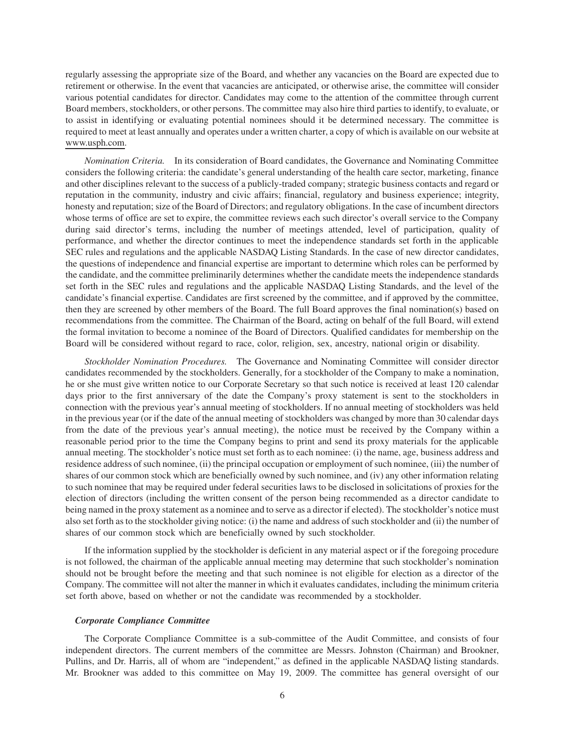regularly assessing the appropriate size of the Board, and whether any vacancies on the Board are expected due to retirement or otherwise. In the event that vacancies are anticipated, or otherwise arise, the committee will consider various potential candidates for director. Candidates may come to the attention of the committee through current Board members, stockholders, or other persons. The committee may also hire third parties to identify, to evaluate, or to assist in identifying or evaluating potential nominees should it be determined necessary. The committee is required to meet at least annually and operates under a written charter, a copy of which is available on our website at www.usph.com.

*Nomination Criteria.* In its consideration of Board candidates, the Governance and Nominating Committee considers the following criteria: the candidate's general understanding of the health care sector, marketing, finance and other disciplines relevant to the success of a publicly-traded company; strategic business contacts and regard or reputation in the community, industry and civic affairs; financial, regulatory and business experience; integrity, honesty and reputation; size of the Board of Directors; and regulatory obligations. In the case of incumbent directors whose terms of office are set to expire, the committee reviews each such director's overall service to the Company during said director's terms, including the number of meetings attended, level of participation, quality of performance, and whether the director continues to meet the independence standards set forth in the applicable SEC rules and regulations and the applicable NASDAQ Listing Standards. In the case of new director candidates, the questions of independence and financial expertise are important to determine which roles can be performed by the candidate, and the committee preliminarily determines whether the candidate meets the independence standards set forth in the SEC rules and regulations and the applicable NASDAQ Listing Standards, and the level of the candidate's financial expertise. Candidates are first screened by the committee, and if approved by the committee, then they are screened by other members of the Board. The full Board approves the final nomination(s) based on recommendations from the committee. The Chairman of the Board, acting on behalf of the full Board, will extend the formal invitation to become a nominee of the Board of Directors. Qualified candidates for membership on the Board will be considered without regard to race, color, religion, sex, ancestry, national origin or disability.

*Stockholder Nomination Procedures.* The Governance and Nominating Committee will consider director candidates recommended by the stockholders. Generally, for a stockholder of the Company to make a nomination, he or she must give written notice to our Corporate Secretary so that such notice is received at least 120 calendar days prior to the first anniversary of the date the Company's proxy statement is sent to the stockholders in connection with the previous year's annual meeting of stockholders. If no annual meeting of stockholders was held in the previous year (or if the date of the annual meeting of stockholders was changed by more than 30 calendar days from the date of the previous year's annual meeting), the notice must be received by the Company within a reasonable period prior to the time the Company begins to print and send its proxy materials for the applicable annual meeting. The stockholder's notice must set forth as to each nominee: (i) the name, age, business address and residence address of such nominee, (ii) the principal occupation or employment of such nominee, (iii) the number of shares of our common stock which are beneficially owned by such nominee, and (iv) any other information relating to such nominee that may be required under federal securities laws to be disclosed in solicitations of proxies for the election of directors (including the written consent of the person being recommended as a director candidate to being named in the proxy statement as a nominee and to serve as a director if elected). The stockholder's notice must also set forth as to the stockholder giving notice: (i) the name and address of such stockholder and (ii) the number of shares of our common stock which are beneficially owned by such stockholder.

If the information supplied by the stockholder is deficient in any material aspect or if the foregoing procedure is not followed, the chairman of the applicable annual meeting may determine that such stockholder's nomination should not be brought before the meeting and that such nominee is not eligible for election as a director of the Company. The committee will not alter the manner in which it evaluates candidates, including the minimum criteria set forth above, based on whether or not the candidate was recommended by a stockholder.

#### *Corporate Compliance Committee*

The Corporate Compliance Committee is a sub-committee of the Audit Committee, and consists of four independent directors. The current members of the committee are Messrs. Johnston (Chairman) and Brookner, Pullins, and Dr. Harris, all of whom are "independent," as defined in the applicable NASDAQ listing standards. Mr. Brookner was added to this committee on May 19, 2009. The committee has general oversight of our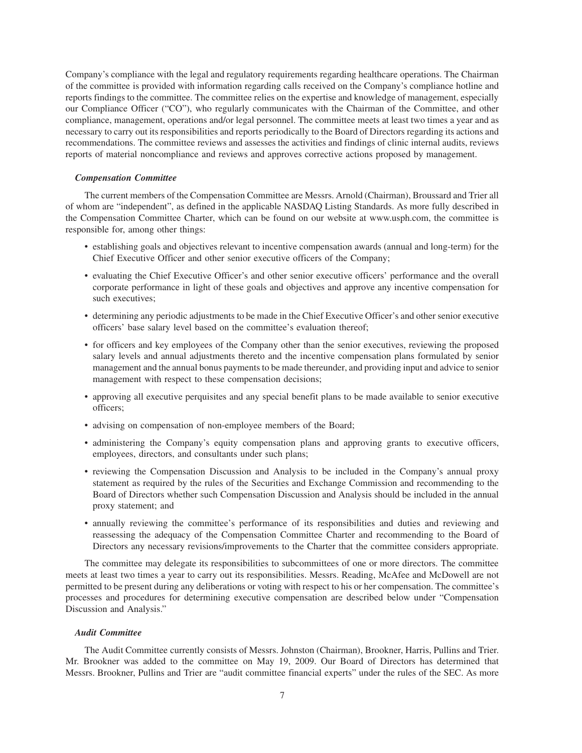Company's compliance with the legal and regulatory requirements regarding healthcare operations. The Chairman of the committee is provided with information regarding calls received on the Company's compliance hotline and reports findings to the committee. The committee relies on the expertise and knowledge of management, especially our Compliance Officer ("CO"), who regularly communicates with the Chairman of the Committee, and other compliance, management, operations and/or legal personnel. The committee meets at least two times a year and as necessary to carry out its responsibilities and reports periodically to the Board of Directors regarding its actions and recommendations. The committee reviews and assesses the activities and findings of clinic internal audits, reviews reports of material noncompliance and reviews and approves corrective actions proposed by management.

### *Compensation Committee*

The current members of the Compensation Committee are Messrs. Arnold (Chairman), Broussard and Trier all of whom are "independent", as defined in the applicable NASDAQ Listing Standards. As more fully described in the Compensation Committee Charter, which can be found on our website at www.usph.com, the committee is responsible for, among other things:

- establishing goals and objectives relevant to incentive compensation awards (annual and long-term) for the Chief Executive Officer and other senior executive officers of the Company;
- evaluating the Chief Executive Officer's and other senior executive officers' performance and the overall corporate performance in light of these goals and objectives and approve any incentive compensation for such executives;
- determining any periodic adjustments to be made in the Chief Executive Officer's and other senior executive officers' base salary level based on the committee's evaluation thereof;
- for officers and key employees of the Company other than the senior executives, reviewing the proposed salary levels and annual adjustments thereto and the incentive compensation plans formulated by senior management and the annual bonus payments to be made thereunder, and providing input and advice to senior management with respect to these compensation decisions;
- approving all executive perquisites and any special benefit plans to be made available to senior executive officers;
- advising on compensation of non-employee members of the Board;
- administering the Company's equity compensation plans and approving grants to executive officers, employees, directors, and consultants under such plans;
- reviewing the Compensation Discussion and Analysis to be included in the Company's annual proxy statement as required by the rules of the Securities and Exchange Commission and recommending to the Board of Directors whether such Compensation Discussion and Analysis should be included in the annual proxy statement; and
- annually reviewing the committee's performance of its responsibilities and duties and reviewing and reassessing the adequacy of the Compensation Committee Charter and recommending to the Board of Directors any necessary revisions/improvements to the Charter that the committee considers appropriate.

The committee may delegate its responsibilities to subcommittees of one or more directors. The committee meets at least two times a year to carry out its responsibilities. Messrs. Reading, McAfee and McDowell are not permitted to be present during any deliberations or voting with respect to his or her compensation. The committee's processes and procedures for determining executive compensation are described below under "Compensation Discussion and Analysis."

## *Audit Committee*

The Audit Committee currently consists of Messrs. Johnston (Chairman), Brookner, Harris, Pullins and Trier. Mr. Brookner was added to the committee on May 19, 2009. Our Board of Directors has determined that Messrs. Brookner, Pullins and Trier are "audit committee financial experts" under the rules of the SEC. As more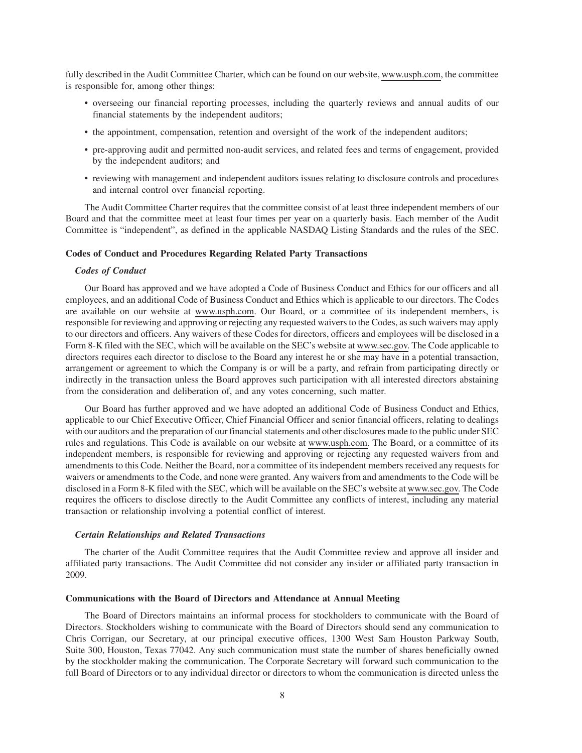fully described in the Audit Committee Charter, which can be found on our website, www.usph.com, the committee is responsible for, among other things:

- overseeing our financial reporting processes, including the quarterly reviews and annual audits of our financial statements by the independent auditors;
- the appointment, compensation, retention and oversight of the work of the independent auditors;
- pre-approving audit and permitted non-audit services, and related fees and terms of engagement, provided by the independent auditors; and
- reviewing with management and independent auditors issues relating to disclosure controls and procedures and internal control over financial reporting.

The Audit Committee Charter requires that the committee consist of at least three independent members of our Board and that the committee meet at least four times per year on a quarterly basis. Each member of the Audit Committee is "independent", as defined in the applicable NASDAQ Listing Standards and the rules of the SEC.

### **Codes of Conduct and Procedures Regarding Related Party Transactions**

#### *Codes of Conduct*

Our Board has approved and we have adopted a Code of Business Conduct and Ethics for our officers and all employees, and an additional Code of Business Conduct and Ethics which is applicable to our directors. The Codes are available on our website at www.usph.com. Our Board, or a committee of its independent members, is responsible for reviewing and approving or rejecting any requested waivers to the Codes, as such waivers may apply to our directors and officers. Any waivers of these Codes for directors, officers and employees will be disclosed in a Form 8-K filed with the SEC, which will be available on the SEC's website at www.sec.gov. The Code applicable to directors requires each director to disclose to the Board any interest he or she may have in a potential transaction, arrangement or agreement to which the Company is or will be a party, and refrain from participating directly or indirectly in the transaction unless the Board approves such participation with all interested directors abstaining from the consideration and deliberation of, and any votes concerning, such matter.

Our Board has further approved and we have adopted an additional Code of Business Conduct and Ethics, applicable to our Chief Executive Officer, Chief Financial Officer and senior financial officers, relating to dealings with our auditors and the preparation of our financial statements and other disclosures made to the public under SEC rules and regulations. This Code is available on our website at www.usph.com. The Board, or a committee of its independent members, is responsible for reviewing and approving or rejecting any requested waivers from and amendments to this Code. Neither the Board, nor a committee of its independent members received any requests for waivers or amendments to the Code, and none were granted. Any waivers from and amendments to the Code will be disclosed in a Form 8-K filed with the SEC, which will be available on the SEC's website at www.sec.gov. The Code requires the officers to disclose directly to the Audit Committee any conflicts of interest, including any material transaction or relationship involving a potential conflict of interest.

#### *Certain Relationships and Related Transactions*

The charter of the Audit Committee requires that the Audit Committee review and approve all insider and affiliated party transactions. The Audit Committee did not consider any insider or affiliated party transaction in 2009.

#### **Communications with the Board of Directors and Attendance at Annual Meeting**

The Board of Directors maintains an informal process for stockholders to communicate with the Board of Directors. Stockholders wishing to communicate with the Board of Directors should send any communication to Chris Corrigan, our Secretary, at our principal executive offices, 1300 West Sam Houston Parkway South, Suite 300, Houston, Texas 77042. Any such communication must state the number of shares beneficially owned by the stockholder making the communication. The Corporate Secretary will forward such communication to the full Board of Directors or to any individual director or directors to whom the communication is directed unless the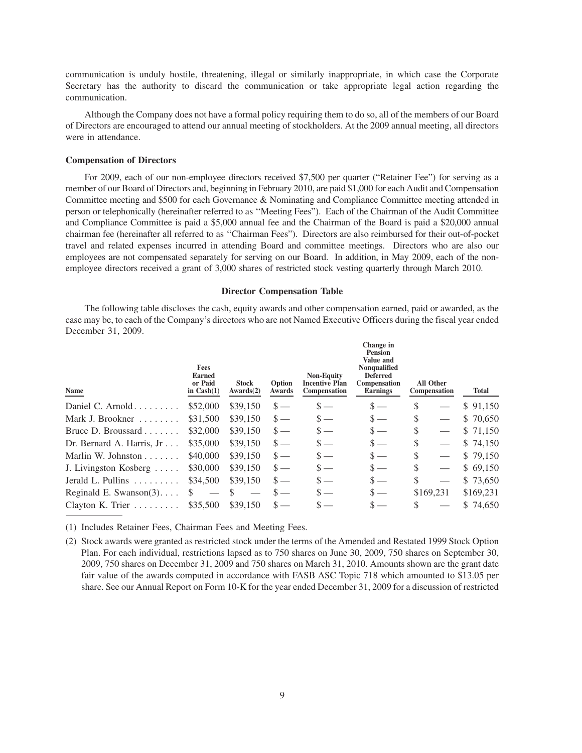communication is unduly hostile, threatening, illegal or similarly inappropriate, in which case the Corporate Secretary has the authority to discard the communication or take appropriate legal action regarding the communication.

Although the Company does not have a formal policy requiring them to do so, all of the members of our Board of Directors are encouraged to attend our annual meeting of stockholders. At the 2009 annual meeting, all directors were in attendance.

#### **Compensation of Directors**

For 2009, each of our non-employee directors received \$7,500 per quarter ("Retainer Fee") for serving as a member of our Board of Directors and, beginning in February 2010, are paid \$1,000 for each Audit and Compensation Committee meeting and \$500 for each Governance & Nominating and Compliance Committee meeting attended in person or telephonically (hereinafter referred to as ''Meeting Fees"). Each of the Chairman of the Audit Committee and Compliance Committee is paid a \$5,000 annual fee and the Chairman of the Board is paid a \$20,000 annual chairman fee (hereinafter all referred to as ''Chairman Fees"). Directors are also reimbursed for their out-of-pocket travel and related expenses incurred in attending Board and committee meetings. Directors who are also our employees are not compensated separately for serving on our Board. In addition, in May 2009, each of the nonemployee directors received a grant of 3,000 shares of restricted stock vesting quarterly through March 2010.

#### **Director Compensation Table**

The following table discloses the cash, equity awards and other compensation earned, paid or awarded, as the case may be, to each of the Company's directors who are not Named Executive Officers during the fiscal year ended December 31, 2009.

| Name                             | <b>Fees</b><br><b>Earned</b><br>or Paid<br>in $Cash(1)$ | <b>Stock</b><br>Awards(2) | Option<br>Awards | <b>Non-Equity</b><br><b>Incentive Plan</b><br>Compensation | Change in<br><b>Pension</b><br>Value and<br><b>Nonqualified</b><br><b>Deferred</b><br>Compensation<br><b>Earnings</b> | <b>All Other</b><br>Compensation | Total     |
|----------------------------------|---------------------------------------------------------|---------------------------|------------------|------------------------------------------------------------|-----------------------------------------------------------------------------------------------------------------------|----------------------------------|-----------|
| Daniel C. Arnold $\ldots$        | \$52,000                                                | \$39,150                  | $\mathcal{S}$ —  | $s =$                                                      | $\mathbf{s}$ —                                                                                                        | \$                               | \$91,150  |
| Mark J. Brookner                 | \$31,500                                                | \$39,150                  | $\mathcal{S}$ —  | $s-$                                                       | $s-$                                                                                                                  | \$                               | \$70,650  |
| Bruce D. Broussard $\ldots$      | \$32,000                                                | \$39,150                  | $\mathcal{S}$ —  | $s-$                                                       | $s =$                                                                                                                 | \$                               | \$71,150  |
| Dr. Bernard A. Harris, Jr        | \$35,000                                                | \$39,150                  | $\mathbf{s}$ —   | $\mathbf{s}$ —                                             | $s =$                                                                                                                 | \$                               | \$74,150  |
| Marlin W. Johnston               | \$40,000                                                | \$39,150                  | $\mathcal{S}$ —  | $s-$                                                       | $s-$                                                                                                                  | \$                               | \$79,150  |
| J. Livingston Kosberg            | \$30,000                                                | \$39,150                  | $\mathbf{s}$ —   | $s-$                                                       | $s =$                                                                                                                 | \$                               | \$69,150  |
| Jerald L. Pullins                | \$34,500                                                | \$39,150                  | $\mathbf{s}$ —   |                                                            | $s =$                                                                                                                 | \$                               | \$73,650  |
| Reginald E. Swanson(3). $\ldots$ | -S                                                      |                           | S.               |                                                            | $s =$                                                                                                                 | \$169,231                        | \$169,231 |
| Clayton K. Trier                 | \$35,500                                                | \$39,150                  |                  |                                                            |                                                                                                                       |                                  | \$74,650  |

(1) Includes Retainer Fees, Chairman Fees and Meeting Fees.

(2) Stock awards were granted as restricted stock under the terms of the Amended and Restated 1999 Stock Option Plan. For each individual, restrictions lapsed as to 750 shares on June 30, 2009, 750 shares on September 30, 2009, 750 shares on December 31, 2009 and 750 shares on March 31, 2010. Amounts shown are the grant date fair value of the awards computed in accordance with FASB ASC Topic 718 which amounted to \$13.05 per share. See our Annual Report on Form 10-K for the year ended December 31, 2009 for a discussion of restricted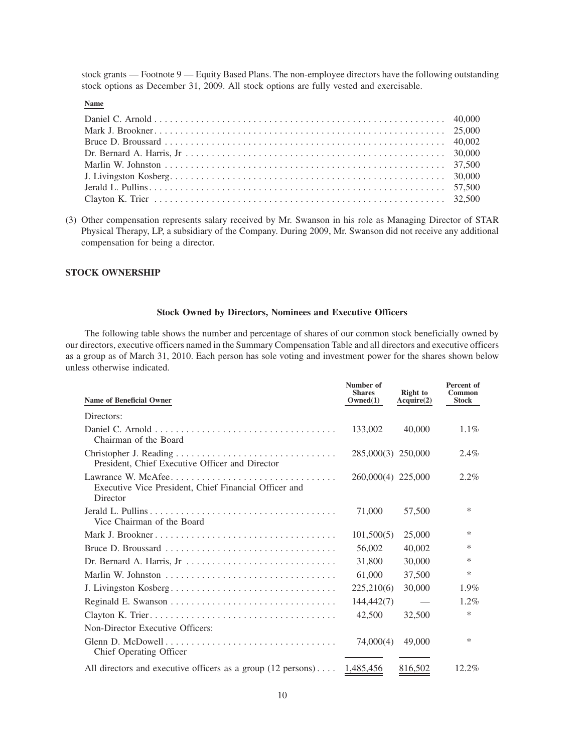stock grants — Footnote 9 — Equity Based Plans. The non-employee directors have the following outstanding stock options as December 31, 2009. All stock options are fully vested and exercisable.

# **Name**

(3) Other compensation represents salary received by Mr. Swanson in his role as Managing Director of STAR Physical Therapy, LP, a subsidiary of the Company. During 2009, Mr. Swanson did not receive any additional compensation for being a director.

# **STOCK OWNERSHIP**

## **Stock Owned by Directors, Nominees and Executive Officers**

The following table shows the number and percentage of shares of our common stock beneficially owned by our directors, executive officers named in the Summary Compensation Table and all directors and executive officers as a group as of March 31, 2010. Each person has sole voting and investment power for the shares shown below unless otherwise indicated.

| <b>Name of Beneficial Owner</b>                                                          | Number of<br><b>Shares</b><br>Owned(1) | <b>Right</b> to<br>Acquire(2) | Percent of<br><b>Common</b><br><b>Stock</b> |
|------------------------------------------------------------------------------------------|----------------------------------------|-------------------------------|---------------------------------------------|
| Directors:                                                                               |                                        |                               |                                             |
| Chairman of the Board                                                                    | 133,002                                | 40,000                        | $1.1\%$                                     |
| President, Chief Executive Officer and Director                                          | 285,000(3) 250,000                     |                               | 2.4%                                        |
| Lawrance W. McAfee<br>Executive Vice President, Chief Financial Officer and<br>Director  | 260,000(4) 225,000                     |                               | 2.2%                                        |
| Vice Chairman of the Board                                                               | 71,000                                 | 57,500                        | *                                           |
|                                                                                          | 101,500(5)                             | 25,000                        | *                                           |
|                                                                                          | 56,002                                 | 40.002                        | *                                           |
| Dr. Bernard A. Harris, Jr. $\dots \dots \dots \dots \dots \dots \dots \dots \dots \dots$ | 31,800                                 | 30,000                        | *                                           |
|                                                                                          | 61,000                                 | 37,500                        | *                                           |
|                                                                                          | 225,210(6)                             | 30,000                        | $1.9\%$                                     |
|                                                                                          | 144,442(7)                             |                               | $1.2\%$                                     |
|                                                                                          | 42,500                                 | 32,500                        | *                                           |
| Non-Director Executive Officers:                                                         |                                        |                               |                                             |
| Chief Operating Officer                                                                  | 74,000(4)                              | 49,000                        | *                                           |
| All directors and executive officers as a group $(12 \text{ persons}) \dots 1,485,456$   |                                        | 816,502                       | 12.2%                                       |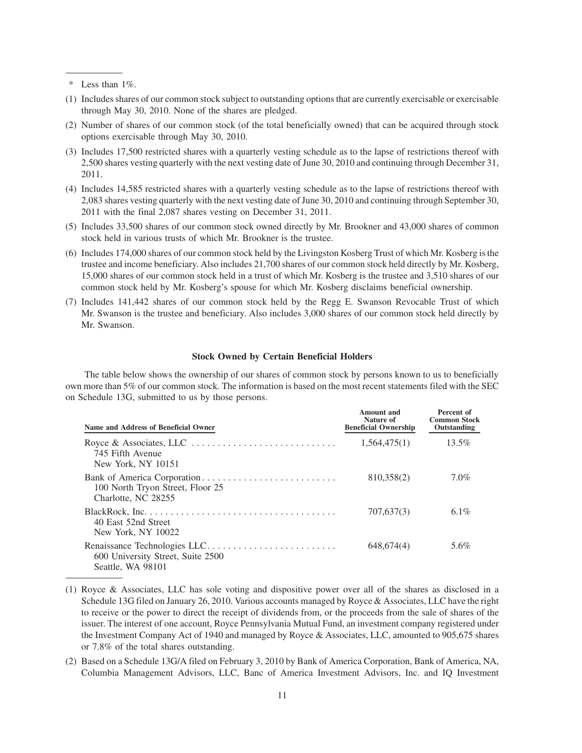- (1) Includes shares of our common stock subject to outstanding options that are currently exercisable or exercisable through May 30, 2010. None of the shares are pledged.
- (2) Number of shares of our common stock (of the total beneficially owned) that can be acquired through stock options exercisable through May 30, 2010.
- (3) Includes 17,500 restricted shares with a quarterly vesting schedule as to the lapse of restrictions thereof with 2,500 shares vesting quarterly with the next vesting date of June 30, 2010 and continuing through December 31, 2011.
- (4) Includes 14,585 restricted shares with a quarterly vesting schedule as to the lapse of restrictions thereof with 2,083 shares vesting quarterly with the next vesting date of June 30, 2010 and continuing through September 30, 2011 with the final 2,087 shares vesting on December 31, 2011.
- (5) Includes 33,500 shares of our common stock owned directly by Mr. Brookner and 43,000 shares of common stock held in various trusts of which Mr. Brookner is the trustee.
- (6) Includes 174,000 shares of our common stock held by the Livingston Kosberg Trust of which Mr. Kosberg is the trustee and income beneficiary. Also includes 21,700 shares of our common stock held directly by Mr. Kosberg, 15,000 shares of our common stock held in a trust of which Mr. Kosberg is the trustee and 3,510 shares of our common stock held by Mr. Kosberg's spouse for which Mr. Kosberg disclaims beneficial ownership.
- (7) Includes 141,442 shares of our common stock held by the Regg E. Swanson Revocable Trust of which Mr. Swanson is the trustee and beneficiary. Also includes 3,000 shares of our common stock held directly by Mr. Swanson.

## **Stock Owned by Certain Beneficial Holders**

The table below shows the ownership of our shares of common stock by persons known to us to beneficially own more than 5% of our common stock. The information is based on the most recent statements filed with the SEC on Schedule 13G, submitted to us by those persons.

| Name and Address of Beneficial Owner                                                                                          | Amount and<br>Nature of<br><b>Beneficial Ownership</b> | Percent of<br><b>Common Stock</b><br>Outstanding |
|-------------------------------------------------------------------------------------------------------------------------------|--------------------------------------------------------|--------------------------------------------------|
| Royce & Associates, LLC $\dots \dots \dots \dots \dots \dots \dots \dots \dots$<br>745 Fifth Avenue<br>New York, NY 10151     | 1,564,475(1)                                           | $13.5\%$                                         |
| 100 North Tryon Street, Floor 25<br>Charlotte, NC 28255                                                                       | 810,358(2)                                             | $7.0\%$                                          |
| $BlackRock, Inc. \ldots \ldots \ldots \ldots \ldots \ldots \ldots \ldots \ldots$<br>40 East 52nd Street<br>New York, NY 10022 | 707,637(3)                                             | 6.1%                                             |
| 600 University Street, Suite 2500<br>Seattle, WA 98101                                                                        | 648,674(4)                                             | 5.6%                                             |

<sup>(1)</sup> Royce & Associates, LLC has sole voting and dispositive power over all of the shares as disclosed in a Schedule 13G filed on January 26, 2010. Various accounts managed by Royce & Associates, LLC have the right to receive or the power to direct the receipt of dividends from, or the proceeds from the sale of shares of the issuer. The interest of one account, Royce Pennsylvania Mutual Fund, an investment company registered under the Investment Company Act of 1940 and managed by Royce & Associates, LLC, amounted to 905,675 shares or 7.8% of the total shares outstanding.

(2) Based on a Schedule 13G/A filed on February 3, 2010 by Bank of America Corporation, Bank of America, NA, Columbia Management Advisors, LLC, Banc of America Investment Advisors, Inc. and IQ Investment

<sup>\*</sup> Less than 1%.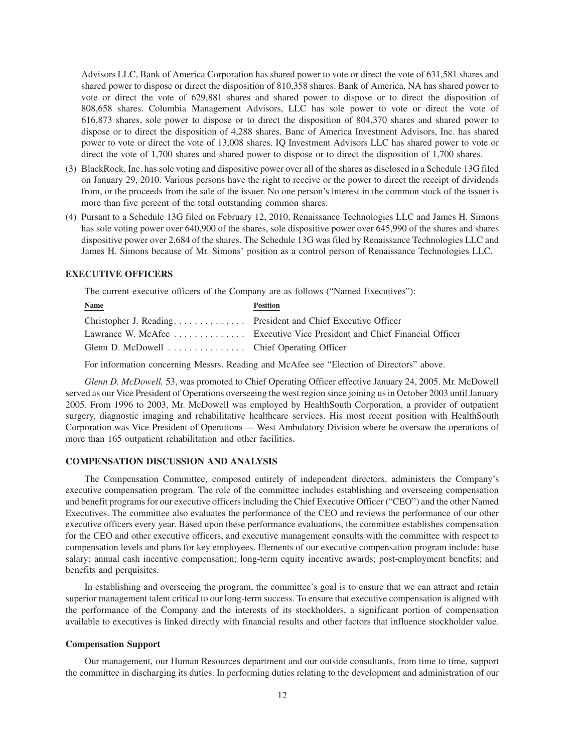Advisors LLC, Bank of America Corporation has shared power to vote or direct the vote of 631,581 shares and shared power to dispose or direct the disposition of 810,358 shares. Bank of America, NA has shared power to vote or direct the vote of 629,881 shares and shared power to dispose or to direct the disposition of 808,658 shares. Columbia Management Advisors, LLC has sole power to vote or direct the vote of 616,873 shares, sole power to dispose or to direct the disposition of 804,370 shares and shared power to dispose or to direct the disposition of 4,288 shares. Banc of America Investment Advisors, Inc. has shared power to vote or direct the vote of 13,008 shares. IQ Investment Advisors LLC has shared power to vote or direct the vote of 1,700 shares and shared power to dispose or to direct the disposition of 1,700 shares.

- (3) BlackRock, Inc. has sole voting and dispositive power over all of the shares as disclosed in a Schedule 13G filed on January 29, 2010. Various persons have the right to receive or the power to direct the receipt of dividends from, or the proceeds from the sale of the issuer. No one person's interest in the common stock of the issuer is more than five percent of the total outstanding common shares.
- (4) Pursant to a Schedule 13G filed on February 12, 2010, Renaissance Technologies LLC and James H. Simons has sole voting power over 640,900 of the shares, sole dispositive power over 645,990 of the shares and shares dispositive power over 2,684 of the shares. The Schedule 13G was filed by Renaissance Technologies LLC and James H. Simons because of Mr. Simons' position as a control person of Renaissance Technologies LLC.

# **EXECUTIVE OFFICERS**

The current executive officers of the Company are as follows ("Named Executives"):

| <b>Name</b>                                                  | <b>Position</b>                                                         |
|--------------------------------------------------------------|-------------------------------------------------------------------------|
| Christopher J. Reading President and Chief Executive Officer |                                                                         |
|                                                              | Lawrance W. McAfee Executive Vice President and Chief Financial Officer |
| Glenn D. McDowell  Chief Operating Officer                   |                                                                         |

For information concerning Messrs. Reading and McAfee see "Election of Directors" above.

*Glenn D. McDowell,* 53, was promoted to Chief Operating Officer effective January 24, 2005. Mr. McDowell served as our Vice President of Operations overseeing the west region since joining us in October 2003 until January 2005. From 1996 to 2003, Mr. McDowell was employed by HealthSouth Corporation, a provider of outpatient surgery, diagnostic imaging and rehabilitative healthcare services. His most recent position with HealthSouth Corporation was Vice President of Operations — West Ambulatory Division where he oversaw the operations of more than 165 outpatient rehabilitation and other facilities.

#### **COMPENSATION DISCUSSION AND ANALYSIS**

The Compensation Committee, composed entirely of independent directors, administers the Company's executive compensation program. The role of the committee includes establishing and overseeing compensation and benefit programs for our executive officers including the Chief Executive Officer ("CEO") and the other Named Executives. The committee also evaluates the performance of the CEO and reviews the performance of our other executive officers every year. Based upon these performance evaluations, the committee establishes compensation for the CEO and other executive officers, and executive management consults with the committee with respect to compensation levels and plans for key employees. Elements of our executive compensation program include: base salary; annual cash incentive compensation; long-term equity incentive awards; post-employment benefits; and benefits and perquisites.

In establishing and overseeing the program, the committee's goal is to ensure that we can attract and retain superior management talent critical to our long-term success. To ensure that executive compensation is aligned with the performance of the Company and the interests of its stockholders, a significant portion of compensation available to executives is linked directly with financial results and other factors that influence stockholder value.

#### **Compensation Support**

Our management, our Human Resources department and our outside consultants, from time to time, support the committee in discharging its duties. In performing duties relating to the development and administration of our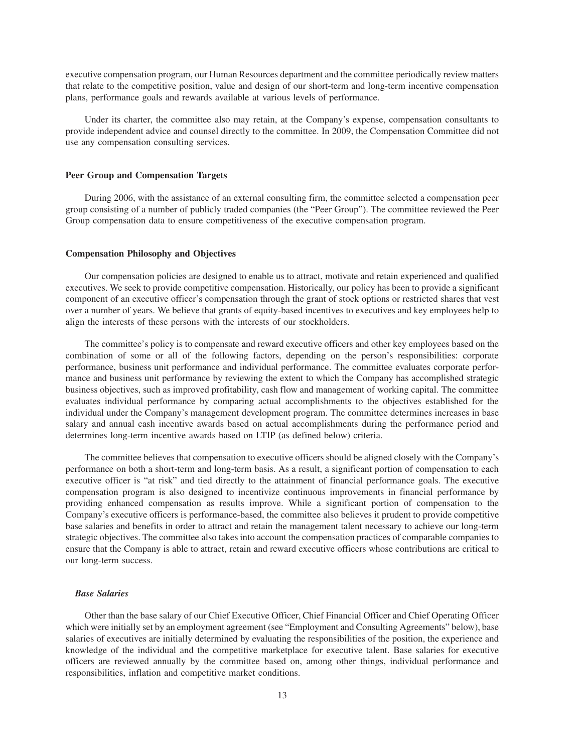executive compensation program, our Human Resources department and the committee periodically review matters that relate to the competitive position, value and design of our short-term and long-term incentive compensation plans, performance goals and rewards available at various levels of performance.

Under its charter, the committee also may retain, at the Company's expense, compensation consultants to provide independent advice and counsel directly to the committee. In 2009, the Compensation Committee did not use any compensation consulting services.

#### **Peer Group and Compensation Targets**

During 2006, with the assistance of an external consulting firm, the committee selected a compensation peer group consisting of a number of publicly traded companies (the "Peer Group"). The committee reviewed the Peer Group compensation data to ensure competitiveness of the executive compensation program.

#### **Compensation Philosophy and Objectives**

Our compensation policies are designed to enable us to attract, motivate and retain experienced and qualified executives. We seek to provide competitive compensation. Historically, our policy has been to provide a significant component of an executive officer's compensation through the grant of stock options or restricted shares that vest over a number of years. We believe that grants of equity-based incentives to executives and key employees help to align the interests of these persons with the interests of our stockholders.

The committee's policy is to compensate and reward executive officers and other key employees based on the combination of some or all of the following factors, depending on the person's responsibilities: corporate performance, business unit performance and individual performance. The committee evaluates corporate performance and business unit performance by reviewing the extent to which the Company has accomplished strategic business objectives, such as improved profitability, cash flow and management of working capital. The committee evaluates individual performance by comparing actual accomplishments to the objectives established for the individual under the Company's management development program. The committee determines increases in base salary and annual cash incentive awards based on actual accomplishments during the performance period and determines long-term incentive awards based on LTIP (as defined below) criteria.

The committee believes that compensation to executive officers should be aligned closely with the Company's performance on both a short-term and long-term basis. As a result, a significant portion of compensation to each executive officer is "at risk" and tied directly to the attainment of financial performance goals. The executive compensation program is also designed to incentivize continuous improvements in financial performance by providing enhanced compensation as results improve. While a significant portion of compensation to the Company's executive officers is performance-based, the committee also believes it prudent to provide competitive base salaries and benefits in order to attract and retain the management talent necessary to achieve our long-term strategic objectives. The committee also takes into account the compensation practices of comparable companies to ensure that the Company is able to attract, retain and reward executive officers whose contributions are critical to our long-term success.

## *Base Salaries*

Other than the base salary of our Chief Executive Officer, Chief Financial Officer and Chief Operating Officer which were initially set by an employment agreement (see "Employment and Consulting Agreements" below), base salaries of executives are initially determined by evaluating the responsibilities of the position, the experience and knowledge of the individual and the competitive marketplace for executive talent. Base salaries for executive officers are reviewed annually by the committee based on, among other things, individual performance and responsibilities, inflation and competitive market conditions.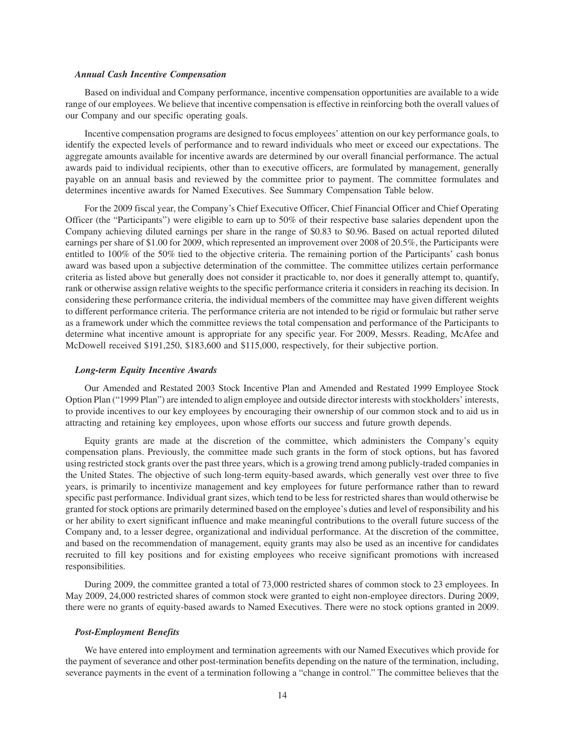#### *Annual Cash Incentive Compensation*

Based on individual and Company performance, incentive compensation opportunities are available to a wide range of our employees. We believe that incentive compensation is effective in reinforcing both the overall values of our Company and our specific operating goals.

Incentive compensation programs are designed to focus employees' attention on our key performance goals, to identify the expected levels of performance and to reward individuals who meet or exceed our expectations. The aggregate amounts available for incentive awards are determined by our overall financial performance. The actual awards paid to individual recipients, other than to executive officers, are formulated by management, generally payable on an annual basis and reviewed by the committee prior to payment. The committee formulates and determines incentive awards for Named Executives. See Summary Compensation Table below.

For the 2009 fiscal year, the Company's Chief Executive Officer, Chief Financial Officer and Chief Operating Officer (the "Participants") were eligible to earn up to 50% of their respective base salaries dependent upon the Company achieving diluted earnings per share in the range of \$0.83 to \$0.96. Based on actual reported diluted earnings per share of \$1.00 for 2009, which represented an improvement over 2008 of 20.5%, the Participants were entitled to 100% of the 50% tied to the objective criteria. The remaining portion of the Participants' cash bonus award was based upon a subjective determination of the committee. The committee utilizes certain performance criteria as listed above but generally does not consider it practicable to, nor does it generally attempt to, quantify, rank or otherwise assign relative weights to the specific performance criteria it considers in reaching its decision. In considering these performance criteria, the individual members of the committee may have given different weights to different performance criteria. The performance criteria are not intended to be rigid or formulaic but rather serve as a framework under which the committee reviews the total compensation and performance of the Participants to determine what incentive amount is appropriate for any specific year. For 2009, Messrs. Reading, McAfee and McDowell received \$191,250, \$183,600 and \$115,000, respectively, for their subjective portion.

#### *Long-term Equity Incentive Awards*

Our Amended and Restated 2003 Stock Incentive Plan and Amended and Restated 1999 Employee Stock Option Plan ("1999 Plan") are intended to align employee and outside director interests with stockholders' interests, to provide incentives to our key employees by encouraging their ownership of our common stock and to aid us in attracting and retaining key employees, upon whose efforts our success and future growth depends.

Equity grants are made at the discretion of the committee, which administers the Company's equity compensation plans. Previously, the committee made such grants in the form of stock options, but has favored using restricted stock grants over the past three years, which is a growing trend among publicly-traded companies in the United States. The objective of such long-term equity-based awards, which generally vest over three to five years, is primarily to incentivize management and key employees for future performance rather than to reward specific past performance. Individual grant sizes, which tend to be less for restricted shares than would otherwise be granted for stock options are primarily determined based on the employee's duties and level of responsibility and his or her ability to exert significant influence and make meaningful contributions to the overall future success of the Company and, to a lesser degree, organizational and individual performance. At the discretion of the committee, and based on the recommendation of management, equity grants may also be used as an incentive for candidates recruited to fill key positions and for existing employees who receive significant promotions with increased responsibilities.

During 2009, the committee granted a total of 73,000 restricted shares of common stock to 23 employees. In May 2009, 24,000 restricted shares of common stock were granted to eight non-employee directors. During 2009, there were no grants of equity-based awards to Named Executives. There were no stock options granted in 2009.

#### *Post-Employment Benefits*

We have entered into employment and termination agreements with our Named Executives which provide for the payment of severance and other post-termination benefits depending on the nature of the termination, including, severance payments in the event of a termination following a "change in control." The committee believes that the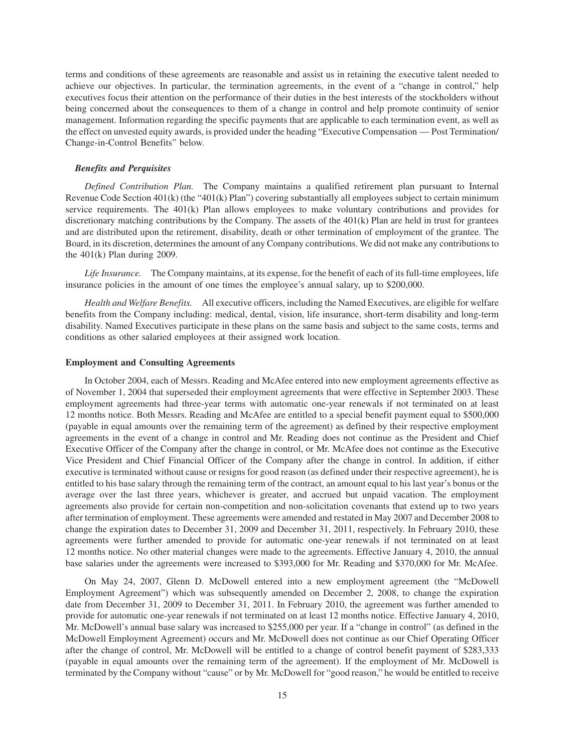terms and conditions of these agreements are reasonable and assist us in retaining the executive talent needed to achieve our objectives. In particular, the termination agreements, in the event of a "change in control," help executives focus their attention on the performance of their duties in the best interests of the stockholders without being concerned about the consequences to them of a change in control and help promote continuity of senior management. Information regarding the specific payments that are applicable to each termination event, as well as the effect on unvested equity awards, is provided under the heading "Executive Compensation — Post Termination/ Change-in-Control Benefits" below.

#### *Benefits and Perquisites*

*Defined Contribution Plan.* The Company maintains a qualified retirement plan pursuant to Internal Revenue Code Section 401(k) (the "401(k) Plan") covering substantially all employees subject to certain minimum service requirements. The 401(k) Plan allows employees to make voluntary contributions and provides for discretionary matching contributions by the Company. The assets of the 401(k) Plan are held in trust for grantees and are distributed upon the retirement, disability, death or other termination of employment of the grantee. The Board, in its discretion, determines the amount of any Company contributions. We did not make any contributions to the 401(k) Plan during 2009.

*Life Insurance.* The Company maintains, at its expense, for the benefit of each of its full-time employees, life insurance policies in the amount of one times the employee's annual salary, up to \$200,000.

*Health and Welfare Benefits.* All executive officers, including the Named Executives, are eligible for welfare benefits from the Company including: medical, dental, vision, life insurance, short-term disability and long-term disability. Named Executives participate in these plans on the same basis and subject to the same costs, terms and conditions as other salaried employees at their assigned work location.

#### **Employment and Consulting Agreements**

In October 2004, each of Messrs. Reading and McAfee entered into new employment agreements effective as of November 1, 2004 that superseded their employment agreements that were effective in September 2003. These employment agreements had three-year terms with automatic one-year renewals if not terminated on at least 12 months notice. Both Messrs. Reading and McAfee are entitled to a special benefit payment equal to \$500,000 (payable in equal amounts over the remaining term of the agreement) as defined by their respective employment agreements in the event of a change in control and Mr. Reading does not continue as the President and Chief Executive Officer of the Company after the change in control, or Mr. McAfee does not continue as the Executive Vice President and Chief Financial Officer of the Company after the change in control. In addition, if either executive is terminated without cause or resigns for good reason (as defined under their respective agreement), he is entitled to his base salary through the remaining term of the contract, an amount equal to his last year's bonus or the average over the last three years, whichever is greater, and accrued but unpaid vacation. The employment agreements also provide for certain non-competition and non-solicitation covenants that extend up to two years after termination of employment. These agreements were amended and restated in May 2007 and December 2008 to change the expiration dates to December 31, 2009 and December 31, 2011, respectively. In February 2010, these agreements were further amended to provide for automatic one-year renewals if not terminated on at least 12 months notice. No other material changes were made to the agreements. Effective January 4, 2010, the annual base salaries under the agreements were increased to \$393,000 for Mr. Reading and \$370,000 for Mr. McAfee.

On May 24, 2007, Glenn D. McDowell entered into a new employment agreement (the "McDowell Employment Agreement") which was subsequently amended on December 2, 2008, to change the expiration date from December 31, 2009 to December 31, 2011. In February 2010, the agreement was further amended to provide for automatic one-year renewals if not terminated on at least 12 months notice. Effective January 4, 2010, Mr. McDowell's annual base salary was increased to \$255,000 per year. If a "change in control" (as defined in the McDowell Employment Agreement) occurs and Mr. McDowell does not continue as our Chief Operating Officer after the change of control, Mr. McDowell will be entitled to a change of control benefit payment of \$283,333 (payable in equal amounts over the remaining term of the agreement). If the employment of Mr. McDowell is terminated by the Company without "cause" or by Mr. McDowell for "good reason," he would be entitled to receive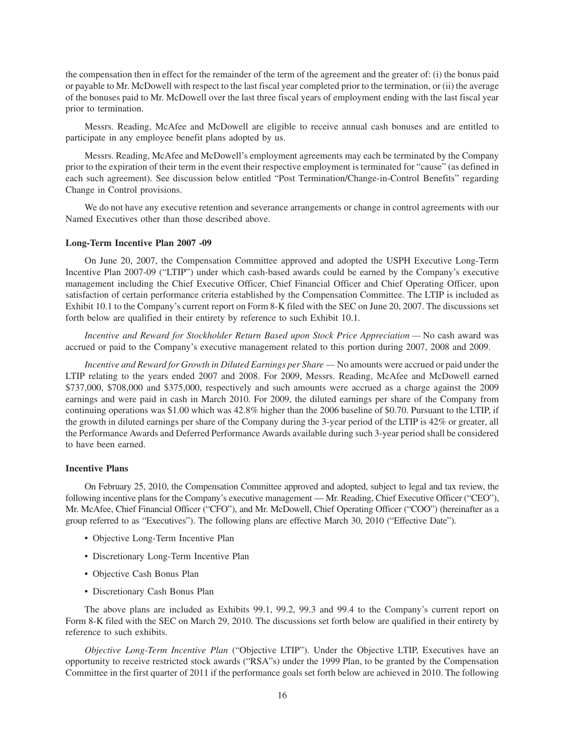the compensation then in effect for the remainder of the term of the agreement and the greater of: (i) the bonus paid or payable to Mr. McDowell with respect to the last fiscal year completed prior to the termination, or (ii) the average of the bonuses paid to Mr. McDowell over the last three fiscal years of employment ending with the last fiscal year prior to termination.

Messrs. Reading, McAfee and McDowell are eligible to receive annual cash bonuses and are entitled to participate in any employee benefit plans adopted by us.

Messrs. Reading, McAfee and McDowell's employment agreements may each be terminated by the Company prior to the expiration of their term in the event their respective employment is terminated for "cause" (as defined in each such agreement). See discussion below entitled "Post Termination/Change-in-Control Benefits" regarding Change in Control provisions.

We do not have any executive retention and severance arrangements or change in control agreements with our Named Executives other than those described above.

#### **Long-Term Incentive Plan 2007 -09**

On June 20, 2007, the Compensation Committee approved and adopted the USPH Executive Long-Term Incentive Plan 2007-09 ("LTIP") under which cash-based awards could be earned by the Company's executive management including the Chief Executive Officer, Chief Financial Officer and Chief Operating Officer, upon satisfaction of certain performance criteria established by the Compensation Committee. The LTIP is included as Exhibit 10.1 to the Company's current report on Form 8-K filed with the SEC on June 20, 2007. The discussions set forth below are qualified in their entirety by reference to such Exhibit 10.1.

*Incentive and Reward for Stockholder Return Based upon Stock Price Appreciation —* No cash award was accrued or paid to the Company's executive management related to this portion during 2007, 2008 and 2009.

*Incentive and Reward for Growth in Diluted Earnings per Share —* No amounts were accrued or paid under the LTIP relating to the years ended 2007 and 2008. For 2009, Messrs. Reading, McAfee and McDowell earned \$737,000, \$708,000 and \$375,000, respectively and such amounts were accrued as a charge against the 2009 earnings and were paid in cash in March 2010. For 2009, the diluted earnings per share of the Company from continuing operations was \$1.00 which was 42.8% higher than the 2006 baseline of \$0.70. Pursuant to the LTIP, if the growth in diluted earnings per share of the Company during the 3-year period of the LTIP is 42% or greater, all the Performance Awards and Deferred Performance Awards available during such 3-year period shall be considered to have been earned.

### **Incentive Plans**

On February 25, 2010, the Compensation Committee approved and adopted, subject to legal and tax review, the following incentive plans for the Company's executive management — Mr. Reading, Chief Executive Officer ("CEO"), Mr. McAfee, Chief Financial Officer ("CFO"), and Mr. McDowell, Chief Operating Officer ("COO") (hereinafter as a group referred to as "Executives"). The following plans are effective March 30, 2010 ("Effective Date").

- Objective Long-Term Incentive Plan
- Discretionary Long-Term Incentive Plan
- Objective Cash Bonus Plan
- Discretionary Cash Bonus Plan

The above plans are included as Exhibits 99.1, 99.2, 99.3 and 99.4 to the Company's current report on Form 8-K filed with the SEC on March 29, 2010. The discussions set forth below are qualified in their entirety by reference to such exhibits.

*Objective Long-Term Incentive Plan* ("Objective LTIP"). Under the Objective LTIP, Executives have an opportunity to receive restricted stock awards ("RSA"s) under the 1999 Plan, to be granted by the Compensation Committee in the first quarter of 2011 if the performance goals set forth below are achieved in 2010. The following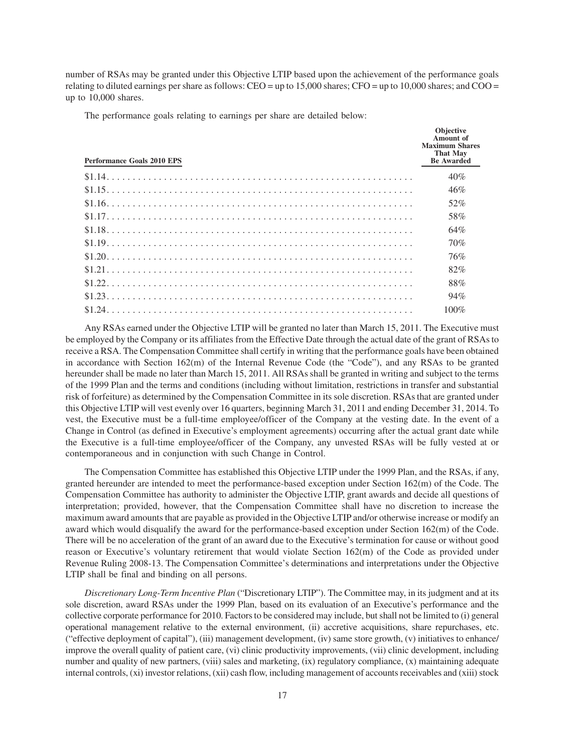number of RSAs may be granted under this Objective LTIP based upon the achievement of the performance goals relating to diluted earnings per share as follows: CEO = up to 15,000 shares; CFO = up to 10,000 shares; and COO = up to 10,000 shares.

The performance goals relating to earnings per share are detailed below:

| <b>Performance Goals 2010 EPS</b> | <b>Objective</b><br><b>Amount</b> of<br><b>Maximum Shares</b><br><b>That May</b><br><b>Be Awarded</b> |
|-----------------------------------|-------------------------------------------------------------------------------------------------------|
|                                   | 40%                                                                                                   |
|                                   | 46%                                                                                                   |
|                                   | 52%                                                                                                   |
|                                   | 58%                                                                                                   |
|                                   | 64%                                                                                                   |
|                                   | 70%                                                                                                   |
|                                   | 76%                                                                                                   |
|                                   | 82%                                                                                                   |
|                                   | 88%                                                                                                   |
|                                   | 94%                                                                                                   |
|                                   | $100\%$                                                                                               |
|                                   |                                                                                                       |

Any RSAs earned under the Objective LTIP will be granted no later than March 15, 2011. The Executive must be employed by the Company or its affiliates from the Effective Date through the actual date of the grant of RSAs to receive a RSA. The Compensation Committee shall certify in writing that the performance goals have been obtained in accordance with Section 162(m) of the Internal Revenue Code (the "Code"), and any RSAs to be granted hereunder shall be made no later than March 15, 2011. All RSAs shall be granted in writing and subject to the terms of the 1999 Plan and the terms and conditions (including without limitation, restrictions in transfer and substantial risk of forfeiture) as determined by the Compensation Committee in its sole discretion. RSAs that are granted under this Objective LTIP will vest evenly over 16 quarters, beginning March 31, 2011 and ending December 31, 2014. To vest, the Executive must be a full-time employee/officer of the Company at the vesting date. In the event of a Change in Control (as defined in Executive's employment agreements) occurring after the actual grant date while the Executive is a full-time employee/officer of the Company, any unvested RSAs will be fully vested at or contemporaneous and in conjunction with such Change in Control.

The Compensation Committee has established this Objective LTIP under the 1999 Plan, and the RSAs, if any, granted hereunder are intended to meet the performance-based exception under Section 162(m) of the Code. The Compensation Committee has authority to administer the Objective LTIP, grant awards and decide all questions of interpretation; provided, however, that the Compensation Committee shall have no discretion to increase the maximum award amounts that are payable as provided in the Objective LTIP and/or otherwise increase or modify an award which would disqualify the award for the performance-based exception under Section 162(m) of the Code. There will be no acceleration of the grant of an award due to the Executive's termination for cause or without good reason or Executive's voluntary retirement that would violate Section 162(m) of the Code as provided under Revenue Ruling 2008-13. The Compensation Committee's determinations and interpretations under the Objective LTIP shall be final and binding on all persons.

*Discretionary Long-Term Incentive Plan* ("Discretionary LTIP"). The Committee may, in its judgment and at its sole discretion, award RSAs under the 1999 Plan, based on its evaluation of an Executive's performance and the collective corporate performance for 2010. Factors to be considered may include, but shall not be limited to (i) general operational management relative to the external environment, (ii) accretive acquisitions, share repurchases, etc. ("effective deployment of capital"), (iii) management development, (iv) same store growth, (v) initiatives to enhance/ improve the overall quality of patient care, (vi) clinic productivity improvements, (vii) clinic development, including number and quality of new partners, (viii) sales and marketing, (ix) regulatory compliance, (x) maintaining adequate internal controls, (xi) investor relations, (xii) cash flow, including management of accounts receivables and (xiii) stock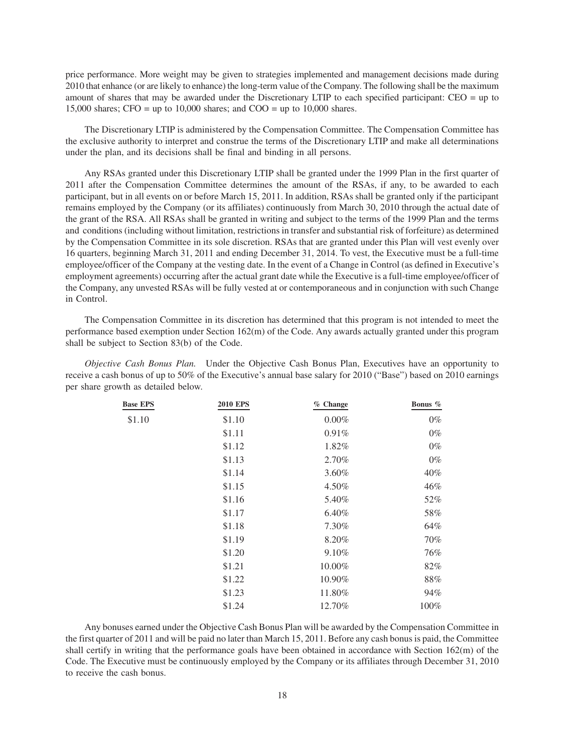price performance. More weight may be given to strategies implemented and management decisions made during 2010 that enhance (or are likely to enhance) the long-term value of the Company. The following shall be the maximum amount of shares that may be awarded under the Discretionary LTIP to each specified participant: CEO = up to 15,000 shares; CFO = up to 10,000 shares; and COO = up to 10,000 shares.

The Discretionary LTIP is administered by the Compensation Committee. The Compensation Committee has the exclusive authority to interpret and construe the terms of the Discretionary LTIP and make all determinations under the plan, and its decisions shall be final and binding in all persons.

Any RSAs granted under this Discretionary LTIP shall be granted under the 1999 Plan in the first quarter of 2011 after the Compensation Committee determines the amount of the RSAs, if any, to be awarded to each participant, but in all events on or before March 15, 2011. In addition, RSAs shall be granted only if the participant remains employed by the Company (or its affiliates) continuously from March 30, 2010 through the actual date of the grant of the RSA. All RSAs shall be granted in writing and subject to the terms of the 1999 Plan and the terms and conditions (including without limitation, restrictions in transfer and substantial risk of forfeiture) as determined by the Compensation Committee in its sole discretion. RSAs that are granted under this Plan will vest evenly over 16 quarters, beginning March 31, 2011 and ending December 31, 2014. To vest, the Executive must be a full-time employee/officer of the Company at the vesting date. In the event of a Change in Control (as defined in Executive's employment agreements) occurring after the actual grant date while the Executive is a full-time employee/officer of the Company, any unvested RSAs will be fully vested at or contemporaneous and in conjunction with such Change in Control.

The Compensation Committee in its discretion has determined that this program is not intended to meet the performance based exemption under Section 162(m) of the Code. Any awards actually granted under this program shall be subject to Section 83(b) of the Code.

*Objective Cash Bonus Plan.* Under the Objective Cash Bonus Plan, Executives have an opportunity to receive a cash bonus of up to 50% of the Executive's annual base salary for 2010 ("Base") based on 2010 earnings per share growth as detailed below.

| <b>Base EPS</b> | <b>2010 EPS</b> | % Change | Bonus % |
|-----------------|-----------------|----------|---------|
| \$1.10          | \$1.10          | $0.00\%$ | $0\%$   |
|                 | \$1.11          | 0.91%    | $0\%$   |
|                 | \$1.12          | 1.82%    | $0\%$   |
|                 | \$1.13          | 2.70%    | $0\%$   |
|                 | \$1.14          | 3.60%    | 40%     |
|                 | \$1.15          | 4.50%    | 46%     |
|                 | \$1.16          | 5.40%    | 52%     |
|                 | \$1.17          | 6.40%    | 58%     |
|                 | \$1.18          | 7.30%    | 64%     |
|                 | \$1.19          | 8.20%    | 70%     |
|                 | \$1.20          | 9.10%    | 76%     |
|                 | \$1.21          | 10.00%   | 82%     |
|                 | \$1.22          | 10.90%   | 88%     |
|                 | \$1.23          | 11.80%   | 94%     |
|                 | \$1.24          | 12.70%   | 100%    |

Any bonuses earned under the Objective Cash Bonus Plan will be awarded by the Compensation Committee in the first quarter of 2011 and will be paid no later than March 15, 2011. Before any cash bonus is paid, the Committee shall certify in writing that the performance goals have been obtained in accordance with Section 162(m) of the Code. The Executive must be continuously employed by the Company or its affiliates through December 31, 2010 to receive the cash bonus.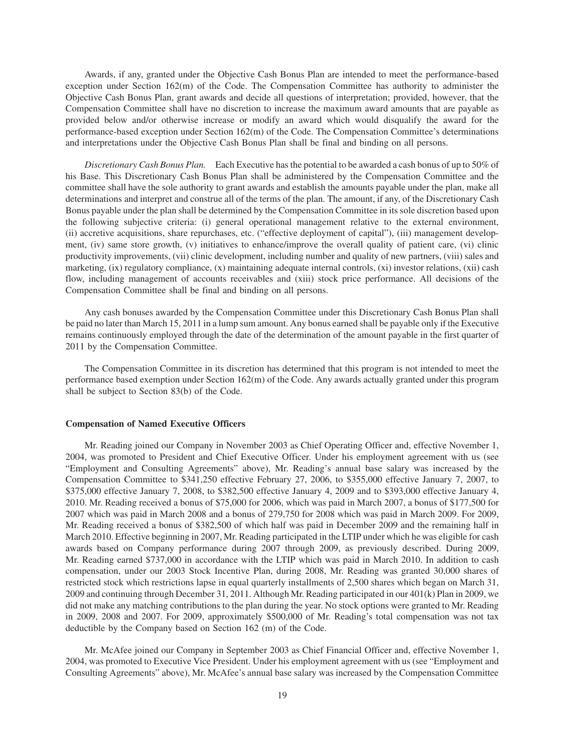Awards, if any, granted under the Objective Cash Bonus Plan are intended to meet the performance-based exception under Section 162(m) of the Code. The Compensation Committee has authority to administer the Objective Cash Bonus Plan, grant awards and decide all questions of interpretation; provided, however, that the Compensation Committee shall have no discretion to increase the maximum award amounts that are payable as provided below and/or otherwise increase or modify an award which would disqualify the award for the performance-based exception under Section 162(m) of the Code. The Compensation Committee's determinations and interpretations under the Objective Cash Bonus Plan shall be final and binding on all persons.

*Discretionary Cash Bonus Plan.* Each Executive has the potential to be awarded a cash bonus of up to 50% of his Base. This Discretionary Cash Bonus Plan shall be administered by the Compensation Committee and the committee shall have the sole authority to grant awards and establish the amounts payable under the plan, make all determinations and interpret and construe all of the terms of the plan. The amount, if any, of the Discretionary Cash Bonus payable under the plan shall be determined by the Compensation Committee in its sole discretion based upon the following subjective criteria: (i) general operational management relative to the external environment, (ii) accretive acquisitions, share repurchases, etc. ("effective deployment of capital"), (iii) management development, (iv) same store growth, (v) initiatives to enhance/improve the overall quality of patient care, (vi) clinic productivity improvements, (vii) clinic development, including number and quality of new partners, (viii) sales and marketing, (ix) regulatory compliance, (x) maintaining adequate internal controls, (xi) investor relations, (xii) cash flow, including management of accounts receivables and (xiii) stock price performance. All decisions of the Compensation Committee shall be final and binding on all persons.

Any cash bonuses awarded by the Compensation Committee under this Discretionary Cash Bonus Plan shall be paid no later than March 15, 2011 in a lump sum amount. Any bonus earned shall be payable only if the Executive remains continuously employed through the date of the determination of the amount payable in the first quarter of 2011 by the Compensation Committee.

The Compensation Committee in its discretion has determined that this program is not intended to meet the performance based exemption under Section 162(m) of the Code. Any awards actually granted under this program shall be subject to Section 83(b) of the Code.

### **Compensation of Named Executive Officers**

Mr. Reading joined our Company in November 2003 as Chief Operating Officer and, effective November 1, 2004, was promoted to President and Chief Executive Officer. Under his employment agreement with us (see "Employment and Consulting Agreements" above), Mr. Reading's annual base salary was increased by the Compensation Committee to \$341,250 effective February 27, 2006, to \$355,000 effective January 7, 2007, to \$375,000 effective January 7, 2008, to \$382,500 effective January 4, 2009 and to \$393,000 effective January 4, 2010. Mr. Reading received a bonus of \$75,000 for 2006, which was paid in March 2007, a bonus of \$177,500 for 2007 which was paid in March 2008 and a bonus of 279,750 for 2008 which was paid in March 2009. For 2009, Mr. Reading received a bonus of \$382,500 of which half was paid in December 2009 and the remaining half in March 2010. Effective beginning in 2007, Mr. Reading participated in the LTIP under which he was eligible for cash awards based on Company performance during 2007 through 2009, as previously described. During 2009, Mr. Reading earned \$737,000 in accordance with the LTIP which was paid in March 2010. In addition to cash compensation, under our 2003 Stock Incentive Plan, during 2008, Mr. Reading was granted 30,000 shares of restricted stock which restrictions lapse in equal quarterly installments of 2,500 shares which began on March 31, 2009 and continuing through December 31, 2011. Although Mr. Reading participated in our 401(k) Plan in 2009, we did not make any matching contributions to the plan during the year. No stock options were granted to Mr. Reading in 2009, 2008 and 2007. For 2009, approximately \$500,000 of Mr. Reading's total compensation was not tax deductible by the Company based on Section 162 (m) of the Code.

Mr. McAfee joined our Company in September 2003 as Chief Financial Officer and, effective November 1, 2004, was promoted to Executive Vice President. Under his employment agreement with us (see "Employment and Consulting Agreements" above), Mr. McAfee's annual base salary was increased by the Compensation Committee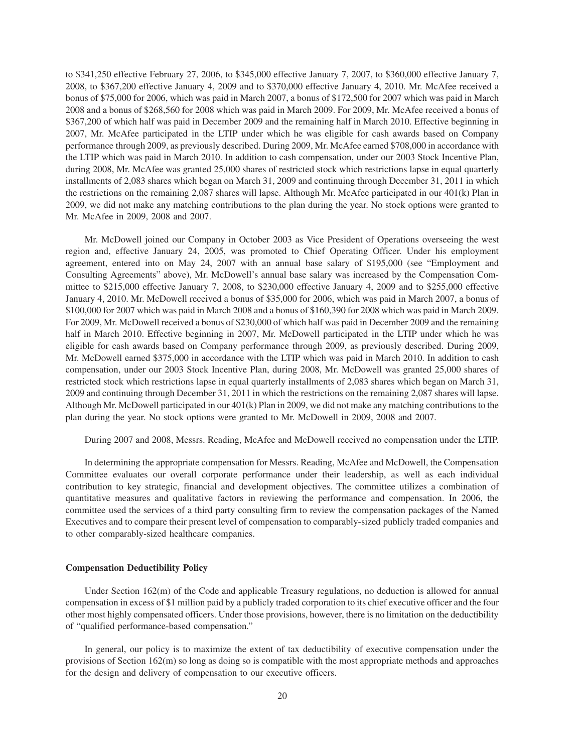to \$341,250 effective February 27, 2006, to \$345,000 effective January 7, 2007, to \$360,000 effective January 7, 2008, to \$367,200 effective January 4, 2009 and to \$370,000 effective January 4, 2010. Mr. McAfee received a bonus of \$75,000 for 2006, which was paid in March 2007, a bonus of \$172,500 for 2007 which was paid in March 2008 and a bonus of \$268,560 for 2008 which was paid in March 2009. For 2009, Mr. McAfee received a bonus of \$367,200 of which half was paid in December 2009 and the remaining half in March 2010. Effective beginning in 2007, Mr. McAfee participated in the LTIP under which he was eligible for cash awards based on Company performance through 2009, as previously described. During 2009, Mr. McAfee earned \$708,000 in accordance with the LTIP which was paid in March 2010. In addition to cash compensation, under our 2003 Stock Incentive Plan, during 2008, Mr. McAfee was granted 25,000 shares of restricted stock which restrictions lapse in equal quarterly installments of 2,083 shares which began on March 31, 2009 and continuing through December 31, 2011 in which the restrictions on the remaining 2,087 shares will lapse. Although Mr. McAfee participated in our 401(k) Plan in 2009, we did not make any matching contributions to the plan during the year. No stock options were granted to Mr. McAfee in 2009, 2008 and 2007.

Mr. McDowell joined our Company in October 2003 as Vice President of Operations overseeing the west region and, effective January 24, 2005, was promoted to Chief Operating Officer. Under his employment agreement, entered into on May 24, 2007 with an annual base salary of \$195,000 (see "Employment and Consulting Agreements" above), Mr. McDowell's annual base salary was increased by the Compensation Committee to \$215,000 effective January 7, 2008, to \$230,000 effective January 4, 2009 and to \$255,000 effective January 4, 2010. Mr. McDowell received a bonus of \$35,000 for 2006, which was paid in March 2007, a bonus of \$100,000 for 2007 which was paid in March 2008 and a bonus of \$160,390 for 2008 which was paid in March 2009. For 2009, Mr. McDowell received a bonus of \$230,000 of which half was paid in December 2009 and the remaining half in March 2010. Effective beginning in 2007, Mr. McDowell participated in the LTIP under which he was eligible for cash awards based on Company performance through 2009, as previously described. During 2009, Mr. McDowell earned \$375,000 in accordance with the LTIP which was paid in March 2010. In addition to cash compensation, under our 2003 Stock Incentive Plan, during 2008, Mr. McDowell was granted 25,000 shares of restricted stock which restrictions lapse in equal quarterly installments of 2,083 shares which began on March 31, 2009 and continuing through December 31, 2011 in which the restrictions on the remaining 2,087 shares will lapse. Although Mr. McDowell participated in our 401(k) Plan in 2009, we did not make any matching contributions to the plan during the year. No stock options were granted to Mr. McDowell in 2009, 2008 and 2007.

During 2007 and 2008, Messrs. Reading, McAfee and McDowell received no compensation under the LTIP.

In determining the appropriate compensation for Messrs. Reading, McAfee and McDowell, the Compensation Committee evaluates our overall corporate performance under their leadership, as well as each individual contribution to key strategic, financial and development objectives. The committee utilizes a combination of quantitative measures and qualitative factors in reviewing the performance and compensation. In 2006, the committee used the services of a third party consulting firm to review the compensation packages of the Named Executives and to compare their present level of compensation to comparably-sized publicly traded companies and to other comparably-sized healthcare companies.

#### **Compensation Deductibility Policy**

Under Section 162(m) of the Code and applicable Treasury regulations, no deduction is allowed for annual compensation in excess of \$1 million paid by a publicly traded corporation to its chief executive officer and the four other most highly compensated officers. Under those provisions, however, there is no limitation on the deductibility of "qualified performance-based compensation."

In general, our policy is to maximize the extent of tax deductibility of executive compensation under the provisions of Section 162(m) so long as doing so is compatible with the most appropriate methods and approaches for the design and delivery of compensation to our executive officers.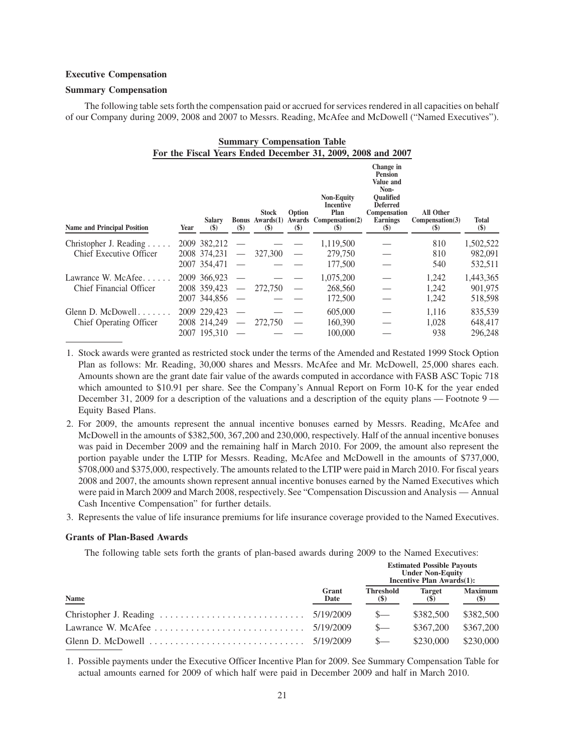## **Executive Compensation**

### **Summary Compensation**

The following table sets forth the compensation paid or accrued for services rendered in all capacities on behalf of our Company during 2009, 2008 and 2007 to Messrs. Reading, McAfee and McDowell ("Named Executives").

| <b>Summary Compensation Table</b>                           |      |                                            |                          |                                            |                                             |                                                                                                                |                                                                                                                                      |                                                            |                 |
|-------------------------------------------------------------|------|--------------------------------------------|--------------------------|--------------------------------------------|---------------------------------------------|----------------------------------------------------------------------------------------------------------------|--------------------------------------------------------------------------------------------------------------------------------------|------------------------------------------------------------|-----------------|
| For the Fiscal Years Ended December 31, 2009, 2008 and 2007 |      |                                            |                          |                                            |                                             |                                                                                                                |                                                                                                                                      |                                                            |                 |
| <b>Name and Principal Position</b>                          | Year | <b>Salary</b><br>$\left( \text{\$}\right)$ | $(\$)$                   | <b>Stock</b><br>$\left( \mathbb{S}\right)$ | <b>Option</b><br>$\left( \mathbb{S}\right)$ | <b>Non-Equity</b><br>Incentive<br>Plan<br>Bonus Awards(1) Awards Compensation(2)<br>$\left( \mathbb{S}\right)$ | Change in<br><b>Pension</b><br>Value and<br>Non-<br><b>Oualified</b><br><b>Deferred</b><br>Compensation<br><b>Earnings</b><br>$(\$)$ | All Other<br>Compensation(3)<br>$\left( \mathbb{S}\right)$ | Total<br>$(\$)$ |
| Christopher J. Reading $\ldots$ .                           |      | 2009 382,212                               |                          |                                            |                                             | 1,119,500                                                                                                      |                                                                                                                                      | 810                                                        | 1,502,522       |
| Chief Executive Officer                                     |      | 2008 374,231                               | $\overline{\phantom{m}}$ | 327,300                                    |                                             | 279,750                                                                                                        |                                                                                                                                      | 810                                                        | 982,091         |
|                                                             |      | 2007 354,471                               |                          |                                            |                                             | 177,500                                                                                                        |                                                                                                                                      | 540                                                        | 532,511         |
| Lawrance W. McAfee                                          |      | 2009 366,923                               |                          |                                            |                                             | 1,075,200                                                                                                      |                                                                                                                                      | 1,242                                                      | 1,443,365       |
| Chief Financial Officer                                     |      | 2008 359,423                               |                          | 272,750                                    | $\overline{\phantom{0}}$                    | 268,560                                                                                                        |                                                                                                                                      | 1,242                                                      | 901,975         |
|                                                             |      | 2007 344,856                               | $\hspace{0.05cm}$        |                                            |                                             | 172,500                                                                                                        |                                                                                                                                      | 1,242                                                      | 518,598         |
| Glenn D. McDowell. $\ldots$ .                               |      | 2009 229,423                               |                          |                                            |                                             | 605,000                                                                                                        |                                                                                                                                      | 1,116                                                      | 835,539         |
| Chief Operating Officer                                     |      | 2008 214,249                               |                          | 272,750                                    |                                             | 160,390                                                                                                        |                                                                                                                                      | 1.028                                                      | 648,417         |
|                                                             |      | 2007 195,310                               |                          |                                            |                                             | 100,000                                                                                                        |                                                                                                                                      | 938                                                        | 296,248         |

1. Stock awards were granted as restricted stock under the terms of the Amended and Restated 1999 Stock Option Plan as follows: Mr. Reading, 30,000 shares and Messrs. McAfee and Mr. McDowell, 25,000 shares each. Amounts shown are the grant date fair value of the awards computed in accordance with FASB ASC Topic 718 which amounted to \$10.91 per share. See the Company's Annual Report on Form 10-K for the year ended December 31, 2009 for a description of the valuations and a description of the equity plans — Footnote 9 — Equity Based Plans.

- 2. For 2009, the amounts represent the annual incentive bonuses earned by Messrs. Reading, McAfee and McDowell in the amounts of \$382,500, 367,200 and 230,000, respectively. Half of the annual incentive bonuses was paid in December 2009 and the remaining half in March 2010. For 2009, the amount also represent the portion payable under the LTIP for Messrs. Reading, McAfee and McDowell in the amounts of \$737,000, \$708,000 and \$375,000, respectively. The amounts related to the LTIP were paid in March 2010. For fiscal years 2008 and 2007, the amounts shown represent annual incentive bonuses earned by the Named Executives which were paid in March 2009 and March 2008, respectively. See "Compensation Discussion and Analysis — Annual Cash Incentive Compensation" for further details.
- 3. Represents the value of life insurance premiums for life insurance coverage provided to the Named Executives.

#### **Grants of Plan-Based Awards**

The following table sets forth the grants of plan-based awards during 2009 to the Named Executives:

|             |               | <b>Estimated Possible Payouts</b><br><b>Under Non-Equity</b><br>Incentive Plan Awards(1): |                             |                                 |  |  |  |
|-------------|---------------|-------------------------------------------------------------------------------------------|-----------------------------|---------------------------------|--|--|--|
| <b>Name</b> | Grant<br>Date | <b>Threshold</b><br>(S)                                                                   | <b>Target</b><br><b>(S)</b> | <b>Maximum</b><br>$\frac{1}{2}$ |  |  |  |
|             |               | $S-$                                                                                      | \$382,500                   | \$382,500                       |  |  |  |
|             |               | $S-$                                                                                      | \$367,200                   | \$367,200                       |  |  |  |
|             |               |                                                                                           | \$230,000                   | \$230,000                       |  |  |  |

1. Possible payments under the Executive Officer Incentive Plan for 2009. See Summary Compensation Table for actual amounts earned for 2009 of which half were paid in December 2009 and half in March 2010.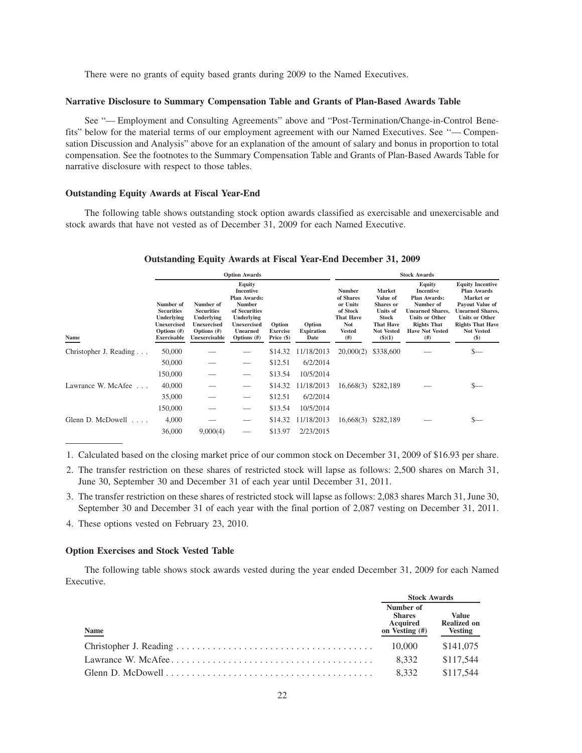There were no grants of equity based grants during 2009 to the Named Executives.

#### **Narrative Disclosure to Summary Compensation Table and Grants of Plan-Based Awards Table**

See "— Employment and Consulting Agreements" above and "Post-Termination/Change-in-Control Benefits" below for the material terms of our employment agreement with our Named Executives. See ''— Compensation Discussion and Analysis" above for an explanation of the amount of salary and bonus in proportion to total compensation. See the footnotes to the Summary Compensation Table and Grants of Plan-Based Awards Table for narrative disclosure with respect to those tables.

### **Outstanding Equity Awards at Fiscal Year-End**

The following table shows outstanding stock option awards classified as exercisable and unexercisable and stock awards that have not vested as of December 31, 2009 for each Named Executive.

## **Outstanding Equity Awards at Fiscal Year-End December 31, 2009**

|                              | <b>Option Awards</b>                                                                             |                                                                                                       |                                                                                                                                                              |                                           |                                     | <b>Stock Awards</b>                                                                                           |                                                                                                                |                                                                                                                                                                     |                                                                                                                                                                                             |  |
|------------------------------|--------------------------------------------------------------------------------------------------|-------------------------------------------------------------------------------------------------------|--------------------------------------------------------------------------------------------------------------------------------------------------------------|-------------------------------------------|-------------------------------------|---------------------------------------------------------------------------------------------------------------|----------------------------------------------------------------------------------------------------------------|---------------------------------------------------------------------------------------------------------------------------------------------------------------------|---------------------------------------------------------------------------------------------------------------------------------------------------------------------------------------------|--|
| Name                         | Number of<br><b>Securities</b><br>Underlying<br><b>Unexercised</b><br>Options (#)<br>Exercisable | Number of<br><b>Securities</b><br>Underlying<br><b>Unexercised</b><br>Options $(\#)$<br>Unexercisable | Equity<br><b>Incentive</b><br><b>Plan Awards:</b><br><b>Number</b><br>of Securities<br>Underlying<br><b>Unexercised</b><br><b>Unearned</b><br>Options $(\#)$ | Option<br><b>Exercise</b><br>Price $(\$)$ | Option<br><b>Expiration</b><br>Date | <b>Number</b><br>of Shares<br>or Units<br>of Stock<br><b>That Have</b><br><b>Not</b><br><b>Vested</b><br>(# ) | Market<br>Value of<br>Shares or<br>Units of<br>Stock<br><b>That Have</b><br><b>Not Vested</b><br>$($ \$ $)(1)$ | Equity<br><b>Incentive</b><br>Plan Awards:<br>Number of<br><b>Unearned Shares,</b><br><b>Units or Other</b><br><b>Rights That</b><br><b>Have Not Vested</b><br>(# ) | <b>Equity Incentive</b><br><b>Plan Awards</b><br>Market or<br>Payout Value of<br><b>Unearned Shares.</b><br><b>Units or Other</b><br><b>Rights That Have</b><br><b>Not Vested</b><br>$(\$)$ |  |
| Christopher J. Reading       | 50,000                                                                                           |                                                                                                       |                                                                                                                                                              | \$14.32                                   | 11/18/2013                          | 20,000(2)                                                                                                     | \$338,600                                                                                                      |                                                                                                                                                                     | \$—                                                                                                                                                                                         |  |
|                              | 50,000                                                                                           |                                                                                                       |                                                                                                                                                              | \$12.51                                   | 6/2/2014                            |                                                                                                               |                                                                                                                |                                                                                                                                                                     |                                                                                                                                                                                             |  |
|                              | 150,000                                                                                          |                                                                                                       | $\qquad \qquad$                                                                                                                                              | \$13.54                                   | 10/5/2014                           |                                                                                                               |                                                                                                                |                                                                                                                                                                     |                                                                                                                                                                                             |  |
| Lawrance W. McAfee           | 40,000                                                                                           |                                                                                                       | $\overbrace{\phantom{12333}}$                                                                                                                                | \$14.32                                   | 11/18/2013                          | 16,668(3)                                                                                                     | \$282,189                                                                                                      |                                                                                                                                                                     |                                                                                                                                                                                             |  |
|                              | 35,000                                                                                           |                                                                                                       | $\overbrace{\phantom{12333}}$                                                                                                                                | \$12.51                                   | 6/2/2014                            |                                                                                                               |                                                                                                                |                                                                                                                                                                     |                                                                                                                                                                                             |  |
|                              | 150,000                                                                                          |                                                                                                       | $\overbrace{\phantom{12333}}$                                                                                                                                | \$13.54                                   | 10/5/2014                           |                                                                                                               |                                                                                                                |                                                                                                                                                                     |                                                                                                                                                                                             |  |
| Glenn D. McDowell<br>1.1.1.1 | 4,000                                                                                            |                                                                                                       |                                                                                                                                                              | \$14.32                                   | 11/18/2013                          | 16,668(3) \$282,189                                                                                           |                                                                                                                |                                                                                                                                                                     |                                                                                                                                                                                             |  |
|                              | 36,000                                                                                           | 9,000(4)                                                                                              |                                                                                                                                                              | \$13.97                                   | 2/23/2015                           |                                                                                                               |                                                                                                                |                                                                                                                                                                     |                                                                                                                                                                                             |  |

1. Calculated based on the closing market price of our common stock on December 31, 2009 of \$16.93 per share.

- 2. The transfer restriction on these shares of restricted stock will lapse as follows: 2,500 shares on March 31, June 30, September 30 and December 31 of each year until December 31, 2011.
- 3. The transfer restriction on these shares of restricted stock will lapse as follows: 2,083 shares March 31, June 30, September 30 and December 31 of each year with the final portion of 2,087 vesting on December 31, 2011.

4. These options vested on February 23, 2010.

#### **Option Exercises and Stock Vested Table**

The following table shows stock awards vested during the year ended December 31, 2009 for each Named Executive.

|             | <b>Stock Awards</b>                                      |                                                      |
|-------------|----------------------------------------------------------|------------------------------------------------------|
| <b>Name</b> | Number of<br><b>Shares</b><br>Acquired<br>on Vesting (#) | <b>Value</b><br><b>Realized on</b><br><b>Vesting</b> |
|             | 10,000                                                   | \$141,075                                            |
|             | 8.332                                                    | \$117.544                                            |
|             | 8.332                                                    | \$117.544                                            |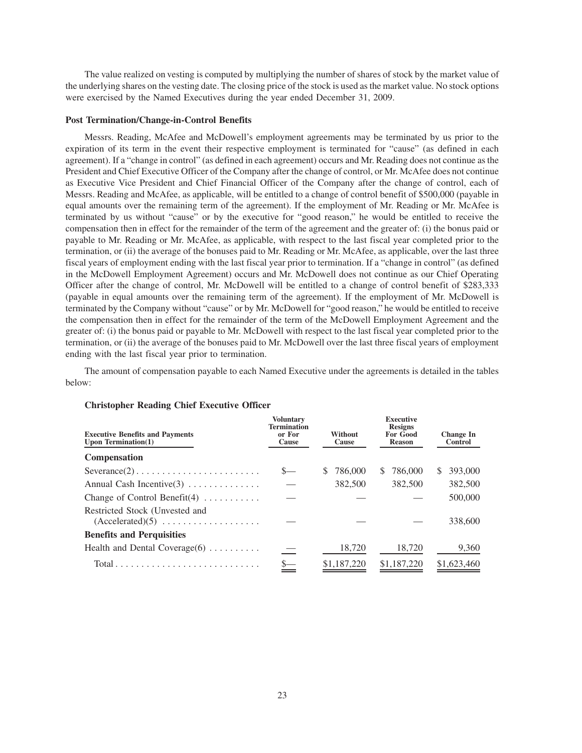The value realized on vesting is computed by multiplying the number of shares of stock by the market value of the underlying shares on the vesting date. The closing price of the stock is used as the market value. No stock options were exercised by the Named Executives during the year ended December 31, 2009.

#### **Post Termination/Change-in-Control Benefits**

Messrs. Reading, McAfee and McDowell's employment agreements may be terminated by us prior to the expiration of its term in the event their respective employment is terminated for "cause" (as defined in each agreement). If a "change in control" (as defined in each agreement) occurs and Mr. Reading does not continue as the President and Chief Executive Officer of the Company after the change of control, or Mr. McAfee does not continue as Executive Vice President and Chief Financial Officer of the Company after the change of control, each of Messrs. Reading and McAfee, as applicable, will be entitled to a change of control benefit of \$500,000 (payable in equal amounts over the remaining term of the agreement). If the employment of Mr. Reading or Mr. McAfee is terminated by us without "cause" or by the executive for "good reason," he would be entitled to receive the compensation then in effect for the remainder of the term of the agreement and the greater of: (i) the bonus paid or payable to Mr. Reading or Mr. McAfee, as applicable, with respect to the last fiscal year completed prior to the termination, or (ii) the average of the bonuses paid to Mr. Reading or Mr. McAfee, as applicable, over the last three fiscal years of employment ending with the last fiscal year prior to termination. If a "change in control" (as defined in the McDowell Employment Agreement) occurs and Mr. McDowell does not continue as our Chief Operating Officer after the change of control, Mr. McDowell will be entitled to a change of control benefit of \$283,333 (payable in equal amounts over the remaining term of the agreement). If the employment of Mr. McDowell is terminated by the Company without "cause" or by Mr. McDowell for "good reason," he would be entitled to receive the compensation then in effect for the remainder of the term of the McDowell Employment Agreement and the greater of: (i) the bonus paid or payable to Mr. McDowell with respect to the last fiscal year completed prior to the termination, or (ii) the average of the bonuses paid to Mr. McDowell over the last three fiscal years of employment ending with the last fiscal year prior to termination.

The amount of compensation payable to each Named Executive under the agreements is detailed in the tables below:

| <b>Executive Benefits and Payments</b><br>Upon Termination $(1)$          | <b>Voluntary</b><br><b>Termination</b><br>or For<br>Cause | Without<br>Cause | <b>Executive</b><br><b>Resigns</b><br>For Good<br><b>Reason</b> | <b>Change In</b><br>Control |
|---------------------------------------------------------------------------|-----------------------------------------------------------|------------------|-----------------------------------------------------------------|-----------------------------|
| Compensation                                                              |                                                           |                  |                                                                 |                             |
| $Severance(2) \ldots \ldots \ldots \ldots \ldots \ldots \ldots \ldots$    |                                                           | 786,000<br>\$.   | 786,000<br>S.                                                   | 393,000<br>S                |
| Annual Cash Incentive $(3)$                                               |                                                           | 382,500          | 382,500                                                         | 382,500                     |
| Change of Control Benefit $(4)$                                           |                                                           |                  |                                                                 | 500,000                     |
| Restricted Stock (Unvested and                                            |                                                           |                  |                                                                 | 338,600                     |
| <b>Benefits and Perquisities</b>                                          |                                                           |                  |                                                                 |                             |
| Health and Dental Coverage $(6)$                                          |                                                           | 18,720           | 18,720                                                          | 9,360                       |
| $Total \dots \dots \dots \dots \dots \dots \dots \dots \dots \dots \dots$ |                                                           | \$1,187,220      | \$1,187,220                                                     | \$1,623,460                 |

## **Christopher Reading Chief Executive Officer**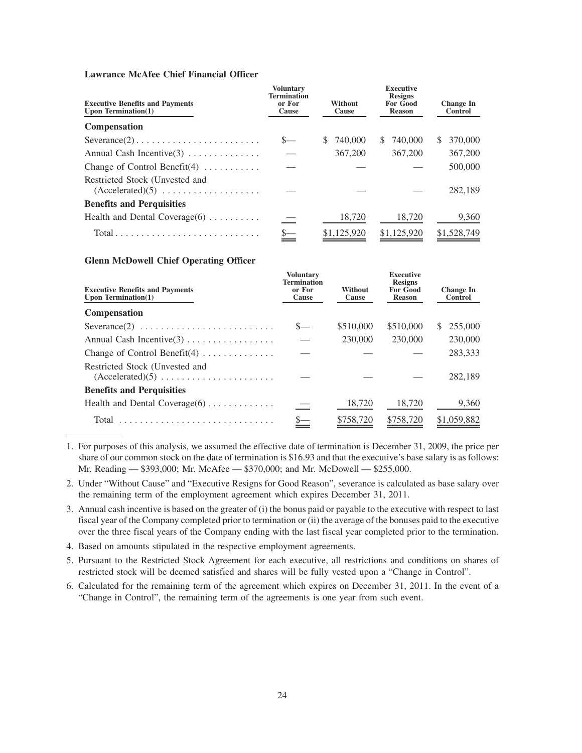# **Lawrance McAfee Chief Financial Officer**

| <b>Executive Benefits and Payments</b><br>Upon Termination $(1)$                        | <b>Voluntary</b><br><b>Termination</b><br>or For<br>Cause | Without<br>Cause | <b>Executive</b><br><b>Resigns</b><br><b>For Good</b><br><b>Reason</b> | <b>Change In</b><br>Control |
|-----------------------------------------------------------------------------------------|-----------------------------------------------------------|------------------|------------------------------------------------------------------------|-----------------------------|
| <b>Compensation</b>                                                                     |                                                           |                  |                                                                        |                             |
| $Severance(2) \ldots \ldots \ldots \ldots \ldots \ldots \ldots$                         |                                                           | 740.000<br>S     | 740,000<br>S.                                                          | 370,000<br><sup>\$</sup>    |
| Annual Cash Incentive $(3)$                                                             |                                                           | 367,200          | 367,200                                                                | 367,200                     |
| Change of Control Benefit(4) $\dots \dots$                                              |                                                           |                  |                                                                        | 500,000                     |
| Restricted Stock (Unvested and<br>$(Accelerated)(5) \ldots \ldots \ldots \ldots \ldots$ |                                                           |                  |                                                                        | 282,189                     |
| <b>Benefits and Perquisities</b>                                                        |                                                           |                  |                                                                        |                             |
| Health and Dental Coverage $(6)$                                                        |                                                           | 18,720           | 18.720                                                                 | 9,360                       |
|                                                                                         |                                                           | \$1,125,920      | \$1,125,920                                                            | \$1,528,749                 |

## **Glenn McDowell Chief Operating Officer**

| <b>Executive Benefits and Payments</b><br>Upon Termination $(1)$                               | <b>Voluntary</b><br><b>Termination</b><br>or For<br>Cause | Without<br>Cause | <b>Executive</b><br><b>Resigns</b><br><b>For Good</b><br><b>Reason</b> | <b>Change In</b><br>Control |
|------------------------------------------------------------------------------------------------|-----------------------------------------------------------|------------------|------------------------------------------------------------------------|-----------------------------|
| Compensation                                                                                   |                                                           |                  |                                                                        |                             |
| $Severance(2) \ldots \ldots \ldots \ldots \ldots \ldots \ldots \ldots$                         |                                                           | \$510,000        | \$510,000                                                              | 255,000<br>S.               |
|                                                                                                |                                                           | 230,000          | 230,000                                                                | 230,000                     |
| Change of Control Benefit $(4)$                                                                |                                                           |                  |                                                                        | 283,333                     |
| Restricted Stock (Unvested and<br>$(Accelerated)(5) \ldots \ldots \ldots \ldots \ldots \ldots$ |                                                           |                  |                                                                        | 282,189                     |
| <b>Benefits and Perquisities</b>                                                               |                                                           |                  |                                                                        |                             |
| Health and Dental Coverage $(6)$                                                               |                                                           | 18,720           | 18,720                                                                 | 9,360                       |
| Total                                                                                          |                                                           | \$758,720        | \$758,720                                                              | \$1,059,882                 |

1. For purposes of this analysis, we assumed the effective date of termination is December 31, 2009, the price per share of our common stock on the date of termination is \$16.93 and that the executive's base salary is as follows: Mr. Reading — \$393,000; Mr. McAfee — \$370,000; and Mr. McDowell — \$255,000.

2. Under "Without Cause" and "Executive Resigns for Good Reason", severance is calculated as base salary over the remaining term of the employment agreement which expires December 31, 2011.

- 3. Annual cash incentive is based on the greater of (i) the bonus paid or payable to the executive with respect to last fiscal year of the Company completed prior to termination or (ii) the average of the bonuses paid to the executive over the three fiscal years of the Company ending with the last fiscal year completed prior to the termination.
- 4. Based on amounts stipulated in the respective employment agreements.
- 5. Pursuant to the Restricted Stock Agreement for each executive, all restrictions and conditions on shares of restricted stock will be deemed satisfied and shares will be fully vested upon a "Change in Control".
- 6. Calculated for the remaining term of the agreement which expires on December 31, 2011. In the event of a "Change in Control", the remaining term of the agreements is one year from such event.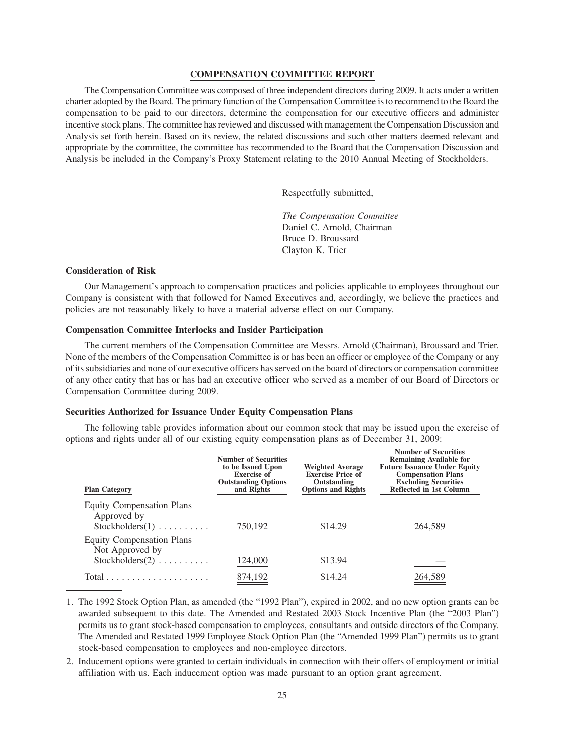## **COMPENSATION COMMITTEE REPORT**

The Compensation Committee was composed of three independent directors during 2009. It acts under a written charter adopted by the Board. The primary function of the Compensation Committee is to recommend to the Board the compensation to be paid to our directors, determine the compensation for our executive officers and administer incentive stock plans. The committee has reviewed and discussed with management the Compensation Discussion and Analysis set forth herein. Based on its review, the related discussions and such other matters deemed relevant and appropriate by the committee, the committee has recommended to the Board that the Compensation Discussion and Analysis be included in the Company's Proxy Statement relating to the 2010 Annual Meeting of Stockholders.

Respectfully submitted,

*The Compensation Committee* Daniel C. Arnold, Chairman Bruce D. Broussard Clayton K. Trier

#### **Consideration of Risk**

Our Management's approach to compensation practices and policies applicable to employees throughout our Company is consistent with that followed for Named Executives and, accordingly, we believe the practices and policies are not reasonably likely to have a material adverse effect on our Company.

# **Compensation Committee Interlocks and Insider Participation**

The current members of the Compensation Committee are Messrs. Arnold (Chairman), Broussard and Trier. None of the members of the Compensation Committee is or has been an officer or employee of the Company or any of its subsidiaries and none of our executive officers has served on the board of directors or compensation committee of any other entity that has or has had an executive officer who served as a member of our Board of Directors or Compensation Committee during 2009.

# **Securities Authorized for Issuance Under Equity Compensation Plans**

The following table provides information about our common stock that may be issued upon the exercise of options and rights under all of our existing equity compensation plans as of December 31, 2009:

| <b>Plan Category</b>                                                                          | <b>Number of Securities</b><br>to be Issued Upon<br><b>Exercise of</b><br><b>Outstanding Options</b><br>and Rights | <b>Weighted Average</b><br><b>Exercise Price of</b><br>Outstanding<br><b>Options and Rights</b> | <b>Number of Securities</b><br><b>Remaining Available for</b><br><b>Future Issuance Under Equity</b><br><b>Compensation Plans</b><br><b>Excluding Securities</b><br>Reflected in 1st Column |
|-----------------------------------------------------------------------------------------------|--------------------------------------------------------------------------------------------------------------------|-------------------------------------------------------------------------------------------------|---------------------------------------------------------------------------------------------------------------------------------------------------------------------------------------------|
| <b>Equity Compensation Plans</b><br>Approved by<br>$Stockholders(1) \ldots \ldots \ldots$     | 750,192                                                                                                            | \$14.29                                                                                         | 264.589                                                                                                                                                                                     |
| <b>Equity Compensation Plans</b><br>Not Approved by<br>$Stockholders(2) \ldots \ldots \ldots$ | 124,000                                                                                                            | \$13.94                                                                                         |                                                                                                                                                                                             |
| $Total \dots \dots \dots \dots \dots \dots \dots$                                             | 874,192                                                                                                            | \$14.24                                                                                         | 264,589                                                                                                                                                                                     |

1. The 1992 Stock Option Plan, as amended (the "1992 Plan"), expired in 2002, and no new option grants can be awarded subsequent to this date. The Amended and Restated 2003 Stock Incentive Plan (the "2003 Plan") permits us to grant stock-based compensation to employees, consultants and outside directors of the Company. The Amended and Restated 1999 Employee Stock Option Plan (the "Amended 1999 Plan") permits us to grant stock-based compensation to employees and non-employee directors.

2. Inducement options were granted to certain individuals in connection with their offers of employment or initial affiliation with us. Each inducement option was made pursuant to an option grant agreement.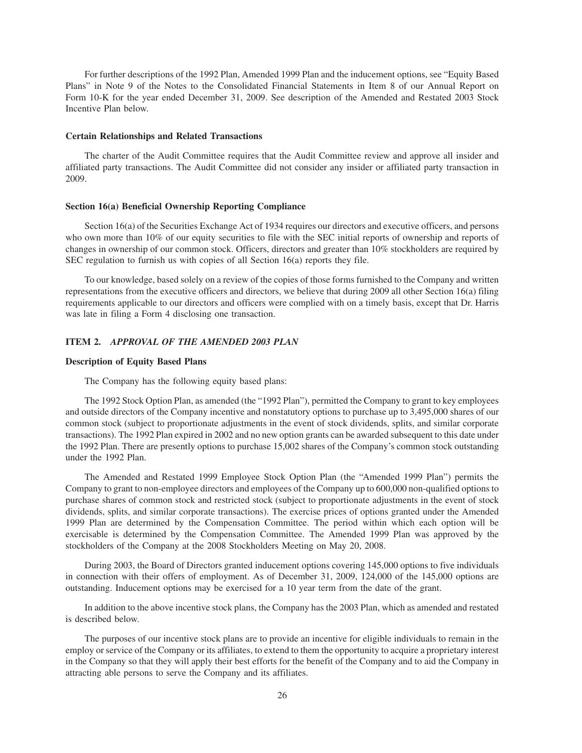For further descriptions of the 1992 Plan, Amended 1999 Plan and the inducement options, see "Equity Based Plans" in Note 9 of the Notes to the Consolidated Financial Statements in Item 8 of our Annual Report on Form 10-K for the year ended December 31, 2009. See description of the Amended and Restated 2003 Stock Incentive Plan below.

#### **Certain Relationships and Related Transactions**

The charter of the Audit Committee requires that the Audit Committee review and approve all insider and affiliated party transactions. The Audit Committee did not consider any insider or affiliated party transaction in 2009.

#### **Section 16(a) Beneficial Ownership Reporting Compliance**

Section 16(a) of the Securities Exchange Act of 1934 requires our directors and executive officers, and persons who own more than 10% of our equity securities to file with the SEC initial reports of ownership and reports of changes in ownership of our common stock. Officers, directors and greater than 10% stockholders are required by SEC regulation to furnish us with copies of all Section 16(a) reports they file.

To our knowledge, based solely on a review of the copies of those forms furnished to the Company and written representations from the executive officers and directors, we believe that during 2009 all other Section 16(a) filing requirements applicable to our directors and officers were complied with on a timely basis, except that Dr. Harris was late in filing a Form 4 disclosing one transaction.

# **ITEM 2.** *APPROVAL OF THE AMENDED 2003 PLAN*

### **Description of Equity Based Plans**

The Company has the following equity based plans:

The 1992 Stock Option Plan, as amended (the "1992 Plan"), permitted the Company to grant to key employees and outside directors of the Company incentive and nonstatutory options to purchase up to 3,495,000 shares of our common stock (subject to proportionate adjustments in the event of stock dividends, splits, and similar corporate transactions). The 1992 Plan expired in 2002 and no new option grants can be awarded subsequent to this date under the 1992 Plan. There are presently options to purchase 15,002 shares of the Company's common stock outstanding under the 1992 Plan.

The Amended and Restated 1999 Employee Stock Option Plan (the "Amended 1999 Plan") permits the Company to grant to non-employee directors and employees of the Company up to 600,000 non-qualified options to purchase shares of common stock and restricted stock (subject to proportionate adjustments in the event of stock dividends, splits, and similar corporate transactions). The exercise prices of options granted under the Amended 1999 Plan are determined by the Compensation Committee. The period within which each option will be exercisable is determined by the Compensation Committee. The Amended 1999 Plan was approved by the stockholders of the Company at the 2008 Stockholders Meeting on May 20, 2008.

During 2003, the Board of Directors granted inducement options covering 145,000 options to five individuals in connection with their offers of employment. As of December 31, 2009, 124,000 of the 145,000 options are outstanding. Inducement options may be exercised for a 10 year term from the date of the grant.

In addition to the above incentive stock plans, the Company has the 2003 Plan, which as amended and restated is described below.

The purposes of our incentive stock plans are to provide an incentive for eligible individuals to remain in the employ or service of the Company or its affiliates, to extend to them the opportunity to acquire a proprietary interest in the Company so that they will apply their best efforts for the benefit of the Company and to aid the Company in attracting able persons to serve the Company and its affiliates.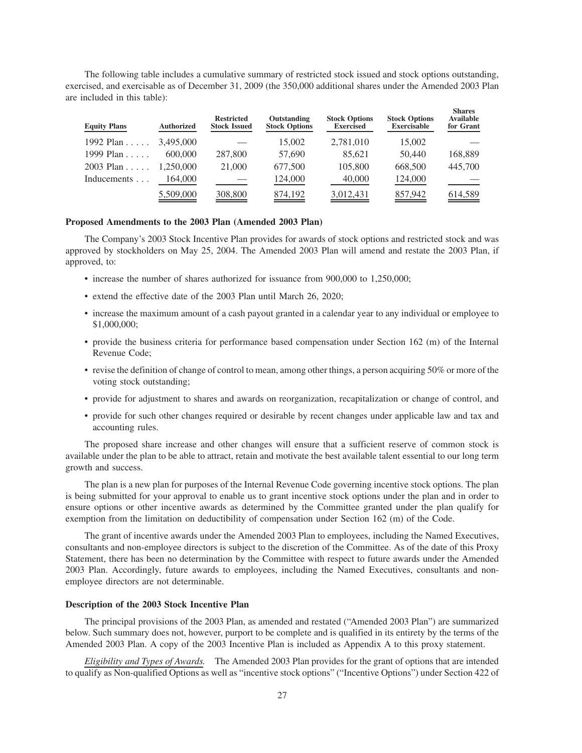The following table includes a cumulative summary of restricted stock issued and stock options outstanding, exercised, and exercisable as of December 31, 2009 (the 350,000 additional shares under the Amended 2003 Plan are included in this table):

**Shares**

| <b>Equity Plans</b> | <b>Authorized</b> | <b>Restricted</b><br><b>Stock Issued</b> | Outstanding<br><b>Stock Options</b> | <b>Stock Options</b><br><b>Exercised</b> | <b>Stock Options</b><br><b>Exercisable</b> | энаг сэ<br><b>Available</b><br>for Grant |
|---------------------|-------------------|------------------------------------------|-------------------------------------|------------------------------------------|--------------------------------------------|------------------------------------------|
| 1992 Plan $\dots$   | 3,495,000         |                                          | 15,002                              | 2,781,010                                | 15,002                                     |                                          |
| 1999 Plan           | 600,000           | 287,800                                  | 57,690                              | 85.621                                   | 50,440                                     | 168,889                                  |
| $2003$ Plan         | 1.250.000         | 21,000                                   | 677,500                             | 105,800                                  | 668,500                                    | 445,700                                  |
| Inducements         | 164,000           |                                          | 124,000                             | 40,000                                   | 124,000                                    |                                          |
|                     | 5,509,000         | 308,800                                  | 874,192                             | 3,012,431                                | 857,942                                    | 614,589                                  |

#### **Proposed Amendments to the 2003 Plan (Amended 2003 Plan)**

The Company's 2003 Stock Incentive Plan provides for awards of stock options and restricted stock and was approved by stockholders on May 25, 2004. The Amended 2003 Plan will amend and restate the 2003 Plan, if approved, to:

- increase the number of shares authorized for issuance from 900,000 to 1,250,000;
- extend the effective date of the 2003 Plan until March 26, 2020;
- increase the maximum amount of a cash payout granted in a calendar year to any individual or employee to \$1,000,000;
- provide the business criteria for performance based compensation under Section 162 (m) of the Internal Revenue Code;
- revise the definition of change of control to mean, among other things, a person acquiring 50% or more of the voting stock outstanding;
- provide for adjustment to shares and awards on reorganization, recapitalization or change of control, and
- provide for such other changes required or desirable by recent changes under applicable law and tax and accounting rules.

The proposed share increase and other changes will ensure that a sufficient reserve of common stock is available under the plan to be able to attract, retain and motivate the best available talent essential to our long term growth and success.

The plan is a new plan for purposes of the Internal Revenue Code governing incentive stock options. The plan is being submitted for your approval to enable us to grant incentive stock options under the plan and in order to ensure options or other incentive awards as determined by the Committee granted under the plan qualify for exemption from the limitation on deductibility of compensation under Section 162 (m) of the Code.

The grant of incentive awards under the Amended 2003 Plan to employees, including the Named Executives, consultants and non-employee directors is subject to the discretion of the Committee. As of the date of this Proxy Statement, there has been no determination by the Committee with respect to future awards under the Amended 2003 Plan. Accordingly, future awards to employees, including the Named Executives, consultants and nonemployee directors are not determinable.

#### **Description of the 2003 Stock Incentive Plan**

The principal provisions of the 2003 Plan, as amended and restated ("Amended 2003 Plan") are summarized below. Such summary does not, however, purport to be complete and is qualified in its entirety by the terms of the Amended 2003 Plan. A copy of the 2003 Incentive Plan is included as Appendix A to this proxy statement.

*Eligibility and Types of Awards.* The Amended 2003 Plan provides for the grant of options that are intended to qualify as Non-qualified Options as well as "incentive stock options" ("Incentive Options") under Section 422 of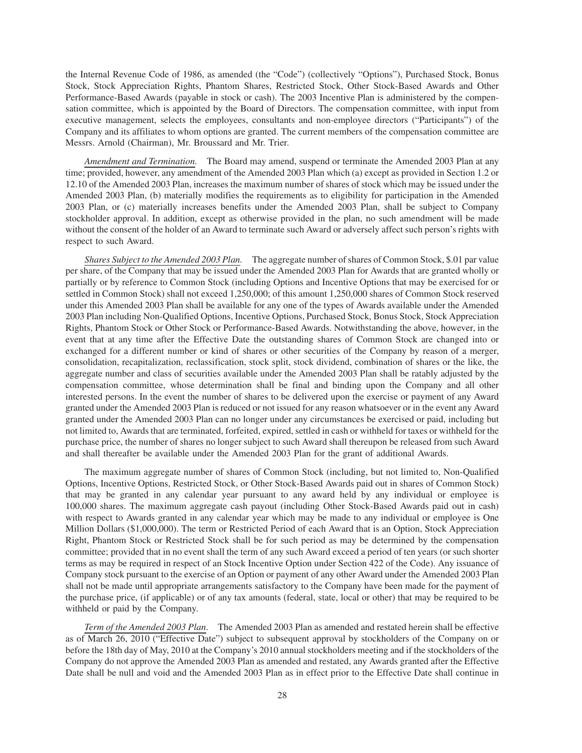the Internal Revenue Code of 1986, as amended (the "Code") (collectively "Options"), Purchased Stock, Bonus Stock, Stock Appreciation Rights, Phantom Shares, Restricted Stock, Other Stock-Based Awards and Other Performance-Based Awards (payable in stock or cash). The 2003 Incentive Plan is administered by the compensation committee, which is appointed by the Board of Directors. The compensation committee, with input from executive management, selects the employees, consultants and non-employee directors ("Participants") of the Company and its affiliates to whom options are granted. The current members of the compensation committee are Messrs. Arnold (Chairman), Mr. Broussard and Mr. Trier.

*Amendment and Termination.* The Board may amend, suspend or terminate the Amended 2003 Plan at any time; provided, however, any amendment of the Amended 2003 Plan which (a) except as provided in Section 1.2 or 12.10 of the Amended 2003 Plan, increases the maximum number of shares of stock which may be issued under the Amended 2003 Plan, (b) materially modifies the requirements as to eligibility for participation in the Amended 2003 Plan, or (c) materially increases benefits under the Amended 2003 Plan, shall be subject to Company stockholder approval. In addition, except as otherwise provided in the plan, no such amendment will be made without the consent of the holder of an Award to terminate such Award or adversely affect such person's rights with respect to such Award.

*Shares Subject to the Amended 2003 Plan.* The aggregate number of shares of Common Stock, \$.01 par value per share, of the Company that may be issued under the Amended 2003 Plan for Awards that are granted wholly or partially or by reference to Common Stock (including Options and Incentive Options that may be exercised for or settled in Common Stock) shall not exceed 1,250,000; of this amount 1,250,000 shares of Common Stock reserved under this Amended 2003 Plan shall be available for any one of the types of Awards available under the Amended 2003 Plan including Non-Qualified Options, Incentive Options, Purchased Stock, Bonus Stock, Stock Appreciation Rights, Phantom Stock or Other Stock or Performance-Based Awards. Notwithstanding the above, however, in the event that at any time after the Effective Date the outstanding shares of Common Stock are changed into or exchanged for a different number or kind of shares or other securities of the Company by reason of a merger, consolidation, recapitalization, reclassification, stock split, stock dividend, combination of shares or the like, the aggregate number and class of securities available under the Amended 2003 Plan shall be ratably adjusted by the compensation committee, whose determination shall be final and binding upon the Company and all other interested persons. In the event the number of shares to be delivered upon the exercise or payment of any Award granted under the Amended 2003 Plan is reduced or not issued for any reason whatsoever or in the event any Award granted under the Amended 2003 Plan can no longer under any circumstances be exercised or paid, including but not limited to, Awards that are terminated, forfeited, expired, settled in cash or withheld for taxes or withheld for the purchase price, the number of shares no longer subject to such Award shall thereupon be released from such Award and shall thereafter be available under the Amended 2003 Plan for the grant of additional Awards.

The maximum aggregate number of shares of Common Stock (including, but not limited to, Non-Qualified Options, Incentive Options, Restricted Stock, or Other Stock-Based Awards paid out in shares of Common Stock) that may be granted in any calendar year pursuant to any award held by any individual or employee is 100,000 shares. The maximum aggregate cash payout (including Other Stock-Based Awards paid out in cash) with respect to Awards granted in any calendar year which may be made to any individual or employee is One Million Dollars (\$1,000,000). The term or Restricted Period of each Award that is an Option, Stock Appreciation Right, Phantom Stock or Restricted Stock shall be for such period as may be determined by the compensation committee; provided that in no event shall the term of any such Award exceed a period of ten years (or such shorter terms as may be required in respect of an Stock Incentive Option under Section 422 of the Code). Any issuance of Company stock pursuant to the exercise of an Option or payment of any other Award under the Amended 2003 Plan shall not be made until appropriate arrangements satisfactory to the Company have been made for the payment of the purchase price, (if applicable) or of any tax amounts (federal, state, local or other) that may be required to be withheld or paid by the Company.

*Term of the Amended 2003 Plan*. The Amended 2003 Plan as amended and restated herein shall be effective as of March 26, 2010 ("Effective Date") subject to subsequent approval by stockholders of the Company on or before the 18th day of May, 2010 at the Company's 2010 annual stockholders meeting and if the stockholders of the Company do not approve the Amended 2003 Plan as amended and restated, any Awards granted after the Effective Date shall be null and void and the Amended 2003 Plan as in effect prior to the Effective Date shall continue in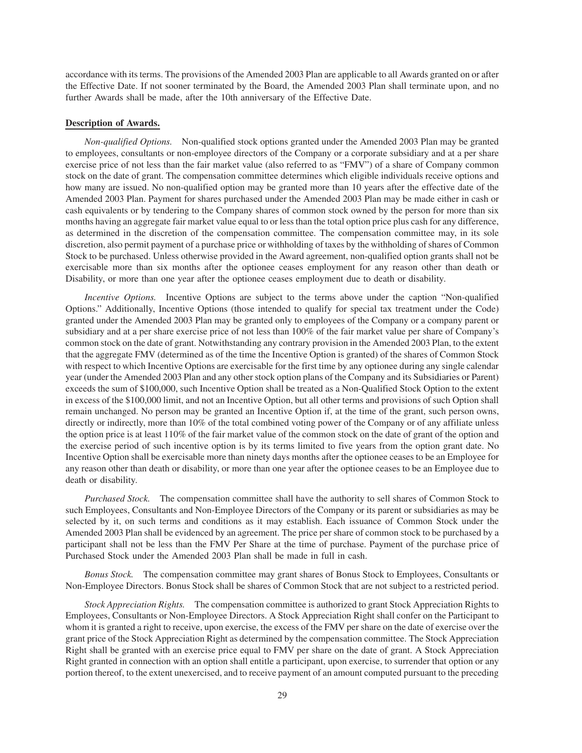accordance with its terms. The provisions of the Amended 2003 Plan are applicable to all Awards granted on or after the Effective Date. If not sooner terminated by the Board, the Amended 2003 Plan shall terminate upon, and no further Awards shall be made, after the 10th anniversary of the Effective Date.

#### **Description of Awards.**

*Non-qualified Options.* Non-qualified stock options granted under the Amended 2003 Plan may be granted to employees, consultants or non-employee directors of the Company or a corporate subsidiary and at a per share exercise price of not less than the fair market value (also referred to as "FMV") of a share of Company common stock on the date of grant. The compensation committee determines which eligible individuals receive options and how many are issued. No non-qualified option may be granted more than 10 years after the effective date of the Amended 2003 Plan. Payment for shares purchased under the Amended 2003 Plan may be made either in cash or cash equivalents or by tendering to the Company shares of common stock owned by the person for more than six months having an aggregate fair market value equal to or less than the total option price plus cash for any difference, as determined in the discretion of the compensation committee. The compensation committee may, in its sole discretion, also permit payment of a purchase price or withholding of taxes by the withholding of shares of Common Stock to be purchased. Unless otherwise provided in the Award agreement, non-qualified option grants shall not be exercisable more than six months after the optionee ceases employment for any reason other than death or Disability, or more than one year after the optionee ceases employment due to death or disability.

*Incentive Options.* Incentive Options are subject to the terms above under the caption "Non-qualified Options." Additionally, Incentive Options (those intended to qualify for special tax treatment under the Code) granted under the Amended 2003 Plan may be granted only to employees of the Company or a company parent or subsidiary and at a per share exercise price of not less than 100% of the fair market value per share of Company's common stock on the date of grant. Notwithstanding any contrary provision in the Amended 2003 Plan, to the extent that the aggregate FMV (determined as of the time the Incentive Option is granted) of the shares of Common Stock with respect to which Incentive Options are exercisable for the first time by any optionee during any single calendar year (under the Amended 2003 Plan and any other stock option plans of the Company and its Subsidiaries or Parent) exceeds the sum of \$100,000, such Incentive Option shall be treated as a Non-Qualified Stock Option to the extent in excess of the \$100,000 limit, and not an Incentive Option, but all other terms and provisions of such Option shall remain unchanged. No person may be granted an Incentive Option if, at the time of the grant, such person owns, directly or indirectly, more than 10% of the total combined voting power of the Company or of any affiliate unless the option price is at least 110% of the fair market value of the common stock on the date of grant of the option and the exercise period of such incentive option is by its terms limited to five years from the option grant date. No Incentive Option shall be exercisable more than ninety days months after the optionee ceases to be an Employee for any reason other than death or disability, or more than one year after the optionee ceases to be an Employee due to death or disability.

*Purchased Stock.* The compensation committee shall have the authority to sell shares of Common Stock to such Employees, Consultants and Non-Employee Directors of the Company or its parent or subsidiaries as may be selected by it, on such terms and conditions as it may establish. Each issuance of Common Stock under the Amended 2003 Plan shall be evidenced by an agreement. The price per share of common stock to be purchased by a participant shall not be less than the FMV Per Share at the time of purchase. Payment of the purchase price of Purchased Stock under the Amended 2003 Plan shall be made in full in cash.

*Bonus Stock.* The compensation committee may grant shares of Bonus Stock to Employees, Consultants or Non-Employee Directors. Bonus Stock shall be shares of Common Stock that are not subject to a restricted period.

*Stock Appreciation Rights.* The compensation committee is authorized to grant Stock Appreciation Rights to Employees, Consultants or Non-Employee Directors. A Stock Appreciation Right shall confer on the Participant to whom it is granted a right to receive, upon exercise, the excess of the FMV per share on the date of exercise over the grant price of the Stock Appreciation Right as determined by the compensation committee. The Stock Appreciation Right shall be granted with an exercise price equal to FMV per share on the date of grant. A Stock Appreciation Right granted in connection with an option shall entitle a participant, upon exercise, to surrender that option or any portion thereof, to the extent unexercised, and to receive payment of an amount computed pursuant to the preceding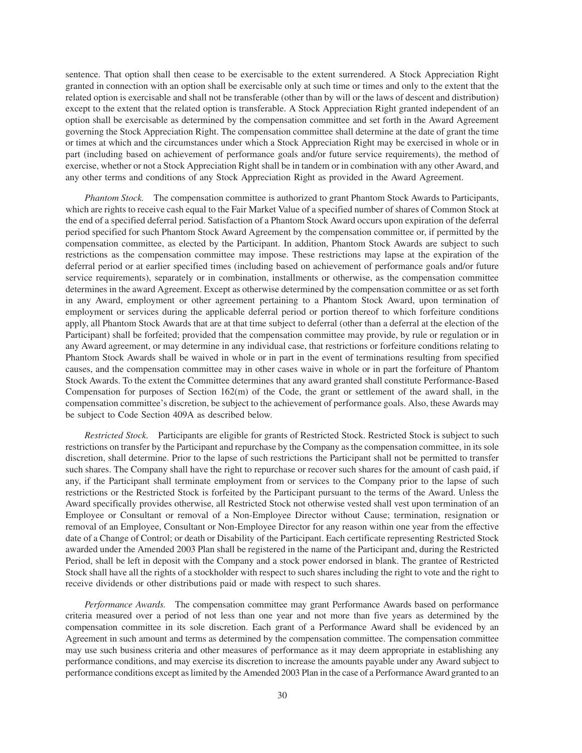sentence. That option shall then cease to be exercisable to the extent surrendered. A Stock Appreciation Right granted in connection with an option shall be exercisable only at such time or times and only to the extent that the related option is exercisable and shall not be transferable (other than by will or the laws of descent and distribution) except to the extent that the related option is transferable. A Stock Appreciation Right granted independent of an option shall be exercisable as determined by the compensation committee and set forth in the Award Agreement governing the Stock Appreciation Right. The compensation committee shall determine at the date of grant the time or times at which and the circumstances under which a Stock Appreciation Right may be exercised in whole or in part (including based on achievement of performance goals and/or future service requirements), the method of exercise, whether or not a Stock Appreciation Right shall be in tandem or in combination with any other Award, and any other terms and conditions of any Stock Appreciation Right as provided in the Award Agreement.

*Phantom Stock.* The compensation committee is authorized to grant Phantom Stock Awards to Participants, which are rights to receive cash equal to the Fair Market Value of a specified number of shares of Common Stock at the end of a specified deferral period. Satisfaction of a Phantom Stock Award occurs upon expiration of the deferral period specified for such Phantom Stock Award Agreement by the compensation committee or, if permitted by the compensation committee, as elected by the Participant. In addition, Phantom Stock Awards are subject to such restrictions as the compensation committee may impose. These restrictions may lapse at the expiration of the deferral period or at earlier specified times (including based on achievement of performance goals and/or future service requirements), separately or in combination, installments or otherwise, as the compensation committee determines in the award Agreement. Except as otherwise determined by the compensation committee or as set forth in any Award, employment or other agreement pertaining to a Phantom Stock Award, upon termination of employment or services during the applicable deferral period or portion thereof to which forfeiture conditions apply, all Phantom Stock Awards that are at that time subject to deferral (other than a deferral at the election of the Participant) shall be forfeited; provided that the compensation committee may provide, by rule or regulation or in any Award agreement, or may determine in any individual case, that restrictions or forfeiture conditions relating to Phantom Stock Awards shall be waived in whole or in part in the event of terminations resulting from specified causes, and the compensation committee may in other cases waive in whole or in part the forfeiture of Phantom Stock Awards. To the extent the Committee determines that any award granted shall constitute Performance-Based Compensation for purposes of Section 162(m) of the Code, the grant or settlement of the award shall, in the compensation committee's discretion, be subject to the achievement of performance goals. Also, these Awards may be subject to Code Section 409A as described below.

*Restricted Stock.* Participants are eligible for grants of Restricted Stock. Restricted Stock is subject to such restrictions on transfer by the Participant and repurchase by the Company as the compensation committee, in its sole discretion, shall determine. Prior to the lapse of such restrictions the Participant shall not be permitted to transfer such shares. The Company shall have the right to repurchase or recover such shares for the amount of cash paid, if any, if the Participant shall terminate employment from or services to the Company prior to the lapse of such restrictions or the Restricted Stock is forfeited by the Participant pursuant to the terms of the Award. Unless the Award specifically provides otherwise, all Restricted Stock not otherwise vested shall vest upon termination of an Employee or Consultant or removal of a Non-Employee Director without Cause; termination, resignation or removal of an Employee, Consultant or Non-Employee Director for any reason within one year from the effective date of a Change of Control; or death or Disability of the Participant. Each certificate representing Restricted Stock awarded under the Amended 2003 Plan shall be registered in the name of the Participant and, during the Restricted Period, shall be left in deposit with the Company and a stock power endorsed in blank. The grantee of Restricted Stock shall have all the rights of a stockholder with respect to such shares including the right to vote and the right to receive dividends or other distributions paid or made with respect to such shares.

*Performance Awards.* The compensation committee may grant Performance Awards based on performance criteria measured over a period of not less than one year and not more than five years as determined by the compensation committee in its sole discretion. Each grant of a Performance Award shall be evidenced by an Agreement in such amount and terms as determined by the compensation committee. The compensation committee may use such business criteria and other measures of performance as it may deem appropriate in establishing any performance conditions, and may exercise its discretion to increase the amounts payable under any Award subject to performance conditions except as limited by the Amended 2003 Plan in the case of a Performance Award granted to an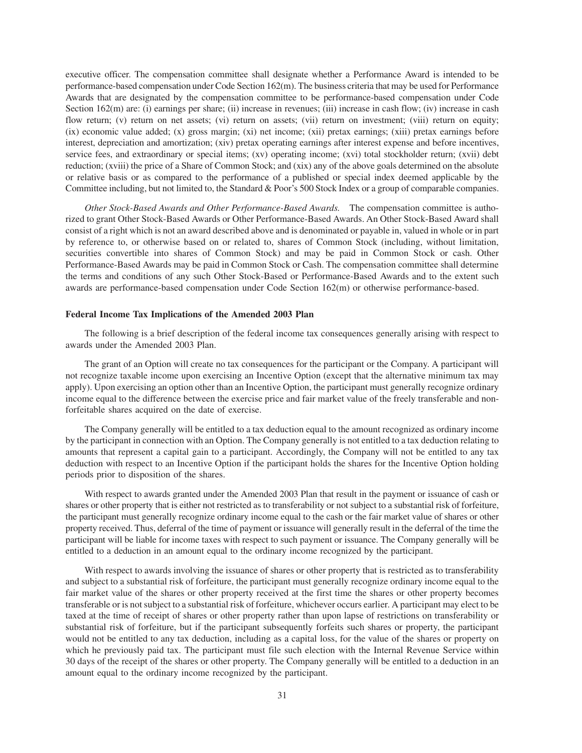executive officer. The compensation committee shall designate whether a Performance Award is intended to be performance-based compensation under Code Section 162(m). The business criteria that may be used for Performance Awards that are designated by the compensation committee to be performance-based compensation under Code Section 162(m) are: (i) earnings per share; (ii) increase in revenues; (iii) increase in cash flow; (iv) increase in cash flow return; (v) return on net assets; (vi) return on assets; (vii) return on investment; (viii) return on equity; (ix) economic value added; (x) gross margin; (xi) net income; (xii) pretax earnings; (xiii) pretax earnings before interest, depreciation and amortization; (xiv) pretax operating earnings after interest expense and before incentives, service fees, and extraordinary or special items; (xv) operating income; (xvi) total stockholder return; (xvii) debt reduction; (xviii) the price of a Share of Common Stock; and (xix) any of the above goals determined on the absolute or relative basis or as compared to the performance of a published or special index deemed applicable by the Committee including, but not limited to, the Standard & Poor's 500 Stock Index or a group of comparable companies.

*Other Stock-Based Awards and Other Performance-Based Awards.* The compensation committee is authorized to grant Other Stock-Based Awards or Other Performance-Based Awards. An Other Stock-Based Award shall consist of a right which is not an award described above and is denominated or payable in, valued in whole or in part by reference to, or otherwise based on or related to, shares of Common Stock (including, without limitation, securities convertible into shares of Common Stock) and may be paid in Common Stock or cash. Other Performance-Based Awards may be paid in Common Stock or Cash. The compensation committee shall determine the terms and conditions of any such Other Stock-Based or Performance-Based Awards and to the extent such awards are performance-based compensation under Code Section 162(m) or otherwise performance-based.

#### **Federal Income Tax Implications of the Amended 2003 Plan**

The following is a brief description of the federal income tax consequences generally arising with respect to awards under the Amended 2003 Plan.

The grant of an Option will create no tax consequences for the participant or the Company. A participant will not recognize taxable income upon exercising an Incentive Option (except that the alternative minimum tax may apply). Upon exercising an option other than an Incentive Option, the participant must generally recognize ordinary income equal to the difference between the exercise price and fair market value of the freely transferable and nonforfeitable shares acquired on the date of exercise.

The Company generally will be entitled to a tax deduction equal to the amount recognized as ordinary income by the participant in connection with an Option. The Company generally is not entitled to a tax deduction relating to amounts that represent a capital gain to a participant. Accordingly, the Company will not be entitled to any tax deduction with respect to an Incentive Option if the participant holds the shares for the Incentive Option holding periods prior to disposition of the shares.

With respect to awards granted under the Amended 2003 Plan that result in the payment or issuance of cash or shares or other property that is either not restricted as to transferability or not subject to a substantial risk of forfeiture, the participant must generally recognize ordinary income equal to the cash or the fair market value of shares or other property received. Thus, deferral of the time of payment or issuance will generally result in the deferral of the time the participant will be liable for income taxes with respect to such payment or issuance. The Company generally will be entitled to a deduction in an amount equal to the ordinary income recognized by the participant.

With respect to awards involving the issuance of shares or other property that is restricted as to transferability and subject to a substantial risk of forfeiture, the participant must generally recognize ordinary income equal to the fair market value of the shares or other property received at the first time the shares or other property becomes transferable or is not subject to a substantial risk of forfeiture, whichever occurs earlier. A participant may elect to be taxed at the time of receipt of shares or other property rather than upon lapse of restrictions on transferability or substantial risk of forfeiture, but if the participant subsequently forfeits such shares or property, the participant would not be entitled to any tax deduction, including as a capital loss, for the value of the shares or property on which he previously paid tax. The participant must file such election with the Internal Revenue Service within 30 days of the receipt of the shares or other property. The Company generally will be entitled to a deduction in an amount equal to the ordinary income recognized by the participant.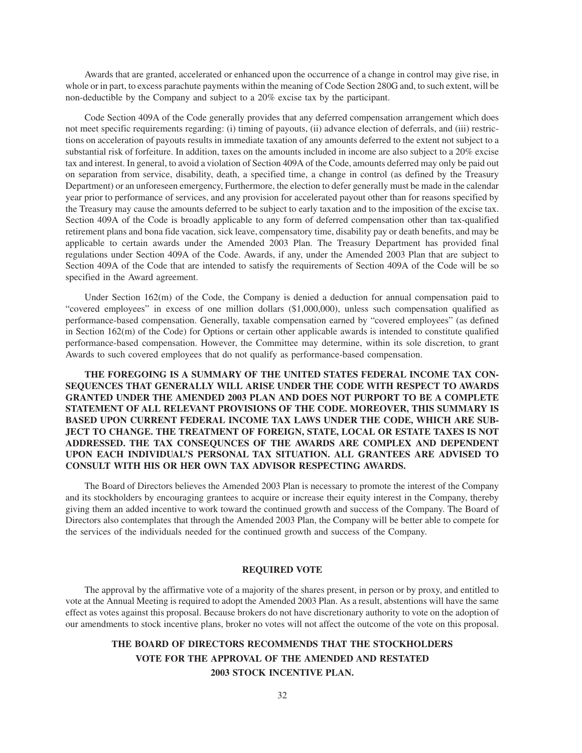Awards that are granted, accelerated or enhanced upon the occurrence of a change in control may give rise, in whole or in part, to excess parachute payments within the meaning of Code Section 280G and, to such extent, will be non-deductible by the Company and subject to a 20% excise tax by the participant.

Code Section 409A of the Code generally provides that any deferred compensation arrangement which does not meet specific requirements regarding: (i) timing of payouts, (ii) advance election of deferrals, and (iii) restrictions on acceleration of payouts results in immediate taxation of any amounts deferred to the extent not subject to a substantial risk of forfeiture. In addition, taxes on the amounts included in income are also subject to a 20% excise tax and interest. In general, to avoid a violation of Section 409A of the Code, amounts deferred may only be paid out on separation from service, disability, death, a specified time, a change in control (as defined by the Treasury Department) or an unforeseen emergency, Furthermore, the election to defer generally must be made in the calendar year prior to performance of services, and any provision for accelerated payout other than for reasons specified by the Treasury may cause the amounts deferred to be subject to early taxation and to the imposition of the excise tax. Section 409A of the Code is broadly applicable to any form of deferred compensation other than tax-qualified retirement plans and bona fide vacation, sick leave, compensatory time, disability pay or death benefits, and may be applicable to certain awards under the Amended 2003 Plan. The Treasury Department has provided final regulations under Section 409A of the Code. Awards, if any, under the Amended 2003 Plan that are subject to Section 409A of the Code that are intended to satisfy the requirements of Section 409A of the Code will be so specified in the Award agreement.

Under Section 162(m) of the Code, the Company is denied a deduction for annual compensation paid to "covered employees" in excess of one million dollars (\$1,000,000), unless such compensation qualified as performance-based compensation. Generally, taxable compensation earned by "covered employees" (as defined in Section 162(m) of the Code) for Options or certain other applicable awards is intended to constitute qualified performance-based compensation. However, the Committee may determine, within its sole discretion, to grant Awards to such covered employees that do not qualify as performance-based compensation.

**THE FOREGOING IS A SUMMARY OF THE UNITED STATES FEDERAL INCOME TAX CON-SEQUENCES THAT GENERALLY WILL ARISE UNDER THE CODE WITH RESPECT TO AWARDS GRANTED UNDER THE AMENDED 2003 PLAN AND DOES NOT PURPORT TO BE A COMPLETE STATEMENT OF ALL RELEVANT PROVISIONS OF THE CODE. MOREOVER, THIS SUMMARY IS BASED UPON CURRENT FEDERAL INCOME TAX LAWS UNDER THE CODE, WHICH ARE SUB-JECT TO CHANGE. THE TREATMENT OF FOREIGN, STATE, LOCAL OR ESTATE TAXES IS NOT ADDRESSED. THE TAX CONSEQUNCES OF THE AWARDS ARE COMPLEX AND DEPENDENT UPON EACH INDIVIDUAL'S PERSONAL TAX SITUATION. ALL GRANTEES ARE ADVISED TO CONSULT WITH HIS OR HER OWN TAX ADVISOR RESPECTING AWARDS.**

The Board of Directors believes the Amended 2003 Plan is necessary to promote the interest of the Company and its stockholders by encouraging grantees to acquire or increase their equity interest in the Company, thereby giving them an added incentive to work toward the continued growth and success of the Company. The Board of Directors also contemplates that through the Amended 2003 Plan, the Company will be better able to compete for the services of the individuals needed for the continued growth and success of the Company.

# **REQUIRED VOTE**

The approval by the affirmative vote of a majority of the shares present, in person or by proxy, and entitled to vote at the Annual Meeting is required to adopt the Amended 2003 Plan. As a result, abstentions will have the same effect as votes against this proposal. Because brokers do not have discretionary authority to vote on the adoption of our amendments to stock incentive plans, broker no votes will not affect the outcome of the vote on this proposal.

# **THE BOARD OF DIRECTORS RECOMMENDS THAT THE STOCKHOLDERS VOTE FOR THE APPROVAL OF THE AMENDED AND RESTATED 2003 STOCK INCENTIVE PLAN.**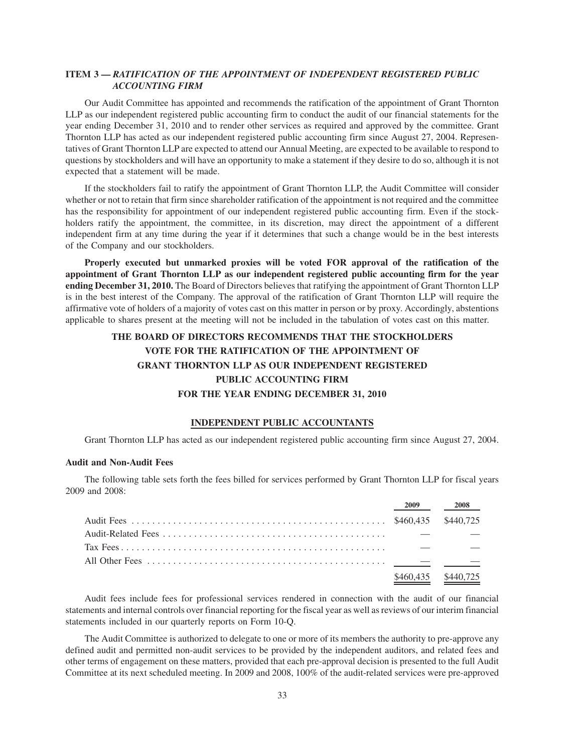# **ITEM 3 —** *RATIFICATION OF THE APPOINTMENT OF INDEPENDENT REGISTERED PUBLIC ACCOUNTING FIRM*

Our Audit Committee has appointed and recommends the ratification of the appointment of Grant Thornton LLP as our independent registered public accounting firm to conduct the audit of our financial statements for the year ending December 31, 2010 and to render other services as required and approved by the committee. Grant Thornton LLP has acted as our independent registered public accounting firm since August 27, 2004. Representatives of Grant Thornton LLP are expected to attend our Annual Meeting, are expected to be available to respond to questions by stockholders and will have an opportunity to make a statement if they desire to do so, although it is not expected that a statement will be made.

If the stockholders fail to ratify the appointment of Grant Thornton LLP, the Audit Committee will consider whether or not to retain that firm since shareholder ratification of the appointment is not required and the committee has the responsibility for appointment of our independent registered public accounting firm. Even if the stockholders ratify the appointment, the committee, in its discretion, may direct the appointment of a different independent firm at any time during the year if it determines that such a change would be in the best interests of the Company and our stockholders.

**Properly executed but unmarked proxies will be voted FOR approval of the ratification of the appointment of Grant Thornton LLP as our independent registered public accounting firm for the year ending December 31, 2010.** The Board of Directors believes that ratifying the appointment of Grant Thornton LLP is in the best interest of the Company. The approval of the ratification of Grant Thornton LLP will require the affirmative vote of holders of a majority of votes cast on this matter in person or by proxy. Accordingly, abstentions applicable to shares present at the meeting will not be included in the tabulation of votes cast on this matter.

# **THE BOARD OF DIRECTORS RECOMMENDS THAT THE STOCKHOLDERS VOTE FOR THE RATIFICATION OF THE APPOINTMENT OF GRANT THORNTON LLP AS OUR INDEPENDENT REGISTERED PUBLIC ACCOUNTING FIRM FOR THE YEAR ENDING DECEMBER 31, 2010**

# **INDEPENDENT PUBLIC ACCOUNTANTS**

Grant Thornton LLP has acted as our independent registered public accounting firm since August 27, 2004.

# **Audit and Non-Audit Fees**

The following table sets forth the fees billed for services performed by Grant Thornton LLP for fiscal years 2009 and 2008:

| 2009      | 2008      |
|-----------|-----------|
|           |           |
|           |           |
|           |           |
|           |           |
| \$460.435 | \$440,725 |

Audit fees include fees for professional services rendered in connection with the audit of our financial statements and internal controls over financial reporting for the fiscal year as well as reviews of our interim financial statements included in our quarterly reports on Form 10-Q.

The Audit Committee is authorized to delegate to one or more of its members the authority to pre-approve any defined audit and permitted non-audit services to be provided by the independent auditors, and related fees and other terms of engagement on these matters, provided that each pre-approval decision is presented to the full Audit Committee at its next scheduled meeting. In 2009 and 2008, 100% of the audit-related services were pre-approved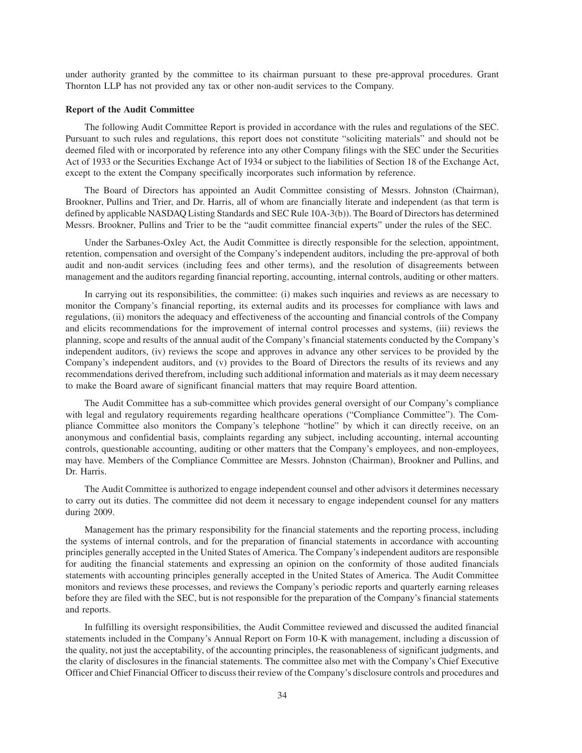under authority granted by the committee to its chairman pursuant to these pre-approval procedures. Grant Thornton LLP has not provided any tax or other non-audit services to the Company.

#### **Report of the Audit Committee**

The following Audit Committee Report is provided in accordance with the rules and regulations of the SEC. Pursuant to such rules and regulations, this report does not constitute "soliciting materials" and should not be deemed filed with or incorporated by reference into any other Company filings with the SEC under the Securities Act of 1933 or the Securities Exchange Act of 1934 or subject to the liabilities of Section 18 of the Exchange Act, except to the extent the Company specifically incorporates such information by reference.

The Board of Directors has appointed an Audit Committee consisting of Messrs. Johnston (Chairman), Brookner, Pullins and Trier, and Dr. Harris, all of whom are financially literate and independent (as that term is defined by applicable NASDAQ Listing Standards and SEC Rule 10A-3(b)). The Board of Directors has determined Messrs. Brookner, Pullins and Trier to be the "audit committee financial experts" under the rules of the SEC.

Under the Sarbanes-Oxley Act, the Audit Committee is directly responsible for the selection, appointment, retention, compensation and oversight of the Company's independent auditors, including the pre-approval of both audit and non-audit services (including fees and other terms), and the resolution of disagreements between management and the auditors regarding financial reporting, accounting, internal controls, auditing or other matters.

In carrying out its responsibilities, the committee: (i) makes such inquiries and reviews as are necessary to monitor the Company's financial reporting, its external audits and its processes for compliance with laws and regulations, (ii) monitors the adequacy and effectiveness of the accounting and financial controls of the Company and elicits recommendations for the improvement of internal control processes and systems, (iii) reviews the planning, scope and results of the annual audit of the Company's financial statements conducted by the Company's independent auditors, (iv) reviews the scope and approves in advance any other services to be provided by the Company's independent auditors, and (v) provides to the Board of Directors the results of its reviews and any recommendations derived therefrom, including such additional information and materials as it may deem necessary to make the Board aware of significant financial matters that may require Board attention.

The Audit Committee has a sub-committee which provides general oversight of our Company's compliance with legal and regulatory requirements regarding healthcare operations ("Compliance Committee"). The Compliance Committee also monitors the Company's telephone "hotline" by which it can directly receive, on an anonymous and confidential basis, complaints regarding any subject, including accounting, internal accounting controls, questionable accounting, auditing or other matters that the Company's employees, and non-employees, may have. Members of the Compliance Committee are Messrs. Johnston (Chairman), Brookner and Pullins, and Dr. Harris.

The Audit Committee is authorized to engage independent counsel and other advisors it determines necessary to carry out its duties. The committee did not deem it necessary to engage independent counsel for any matters during 2009.

Management has the primary responsibility for the financial statements and the reporting process, including the systems of internal controls, and for the preparation of financial statements in accordance with accounting principles generally accepted in the United States of America. The Company's independent auditors are responsible for auditing the financial statements and expressing an opinion on the conformity of those audited financials statements with accounting principles generally accepted in the United States of America. The Audit Committee monitors and reviews these processes, and reviews the Company's periodic reports and quarterly earning releases before they are filed with the SEC, but is not responsible for the preparation of the Company's financial statements and reports.

In fulfilling its oversight responsibilities, the Audit Committee reviewed and discussed the audited financial statements included in the Company's Annual Report on Form 10-K with management, including a discussion of the quality, not just the acceptability, of the accounting principles, the reasonableness of significant judgments, and the clarity of disclosures in the financial statements. The committee also met with the Company's Chief Executive Officer and Chief Financial Officer to discuss their review of the Company's disclosure controls and procedures and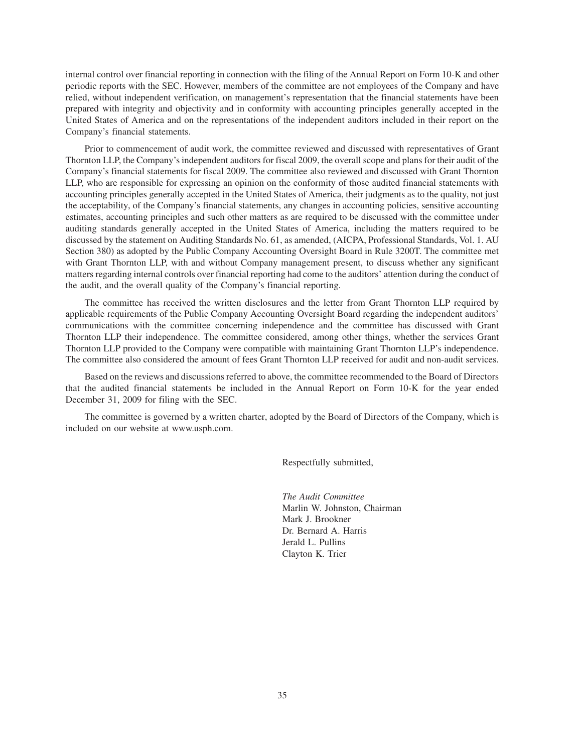internal control over financial reporting in connection with the filing of the Annual Report on Form 10-K and other periodic reports with the SEC. However, members of the committee are not employees of the Company and have relied, without independent verification, on management's representation that the financial statements have been prepared with integrity and objectivity and in conformity with accounting principles generally accepted in the United States of America and on the representations of the independent auditors included in their report on the Company's financial statements.

Prior to commencement of audit work, the committee reviewed and discussed with representatives of Grant Thornton LLP, the Company's independent auditors for fiscal 2009, the overall scope and plans for their audit of the Company's financial statements for fiscal 2009. The committee also reviewed and discussed with Grant Thornton LLP, who are responsible for expressing an opinion on the conformity of those audited financial statements with accounting principles generally accepted in the United States of America, their judgments as to the quality, not just the acceptability, of the Company's financial statements, any changes in accounting policies, sensitive accounting estimates, accounting principles and such other matters as are required to be discussed with the committee under auditing standards generally accepted in the United States of America, including the matters required to be discussed by the statement on Auditing Standards No. 61, as amended, (AICPA, Professional Standards, Vol. 1. AU Section 380) as adopted by the Public Company Accounting Oversight Board in Rule 3200T. The committee met with Grant Thornton LLP, with and without Company management present, to discuss whether any significant matters regarding internal controls over financial reporting had come to the auditors' attention during the conduct of the audit, and the overall quality of the Company's financial reporting.

The committee has received the written disclosures and the letter from Grant Thornton LLP required by applicable requirements of the Public Company Accounting Oversight Board regarding the independent auditors' communications with the committee concerning independence and the committee has discussed with Grant Thornton LLP their independence. The committee considered, among other things, whether the services Grant Thornton LLP provided to the Company were compatible with maintaining Grant Thornton LLP's independence. The committee also considered the amount of fees Grant Thornton LLP received for audit and non-audit services.

Based on the reviews and discussions referred to above, the committee recommended to the Board of Directors that the audited financial statements be included in the Annual Report on Form 10-K for the year ended December 31, 2009 for filing with the SEC.

The committee is governed by a written charter, adopted by the Board of Directors of the Company, which is included on our website at www.usph.com.

Respectfully submitted,

*The Audit Committee* Marlin W. Johnston, Chairman Mark J. Brookner Dr. Bernard A. Harris Jerald L. Pullins Clayton K. Trier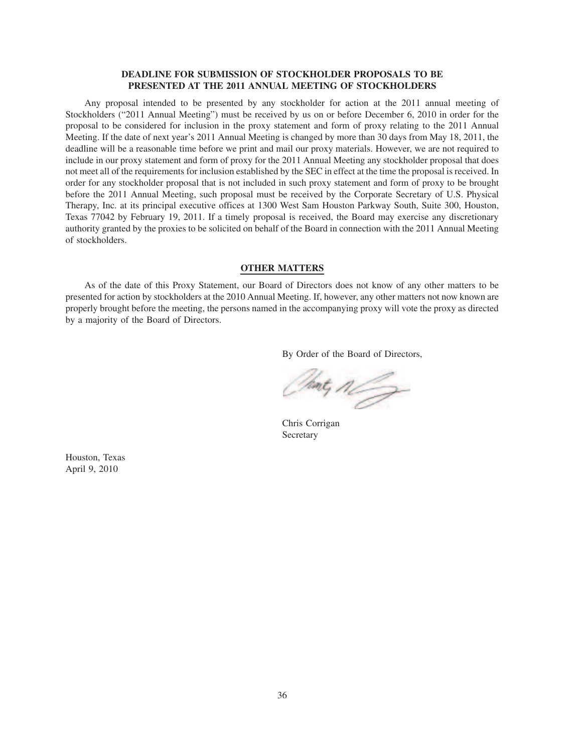# **DEADLINE FOR SUBMISSION OF STOCKHOLDER PROPOSALS TO BE PRESENTED AT THE 2011 ANNUAL MEETING OF STOCKHOLDERS**

Any proposal intended to be presented by any stockholder for action at the 2011 annual meeting of Stockholders ("2011 Annual Meeting") must be received by us on or before December 6, 2010 in order for the proposal to be considered for inclusion in the proxy statement and form of proxy relating to the 2011 Annual Meeting. If the date of next year's 2011 Annual Meeting is changed by more than 30 days from May 18, 2011, the deadline will be a reasonable time before we print and mail our proxy materials. However, we are not required to include in our proxy statement and form of proxy for the 2011 Annual Meeting any stockholder proposal that does not meet all of the requirements for inclusion established by the SEC in effect at the time the proposal is received. In order for any stockholder proposal that is not included in such proxy statement and form of proxy to be brought before the 2011 Annual Meeting, such proposal must be received by the Corporate Secretary of U.S. Physical Therapy, Inc. at its principal executive offices at 1300 West Sam Houston Parkway South, Suite 300, Houston, Texas 77042 by February 19, 2011. If a timely proposal is received, the Board may exercise any discretionary authority granted by the proxies to be solicited on behalf of the Board in connection with the 2011 Annual Meeting of stockholders.

## **OTHER MATTERS**

As of the date of this Proxy Statement, our Board of Directors does not know of any other matters to be presented for action by stockholders at the 2010 Annual Meeting. If, however, any other matters not now known are properly brought before the meeting, the persons named in the accompanying proxy will vote the proxy as directed by a majority of the Board of Directors.

By Order of the Board of Directors,

Thing May

Chris Corrigan Secretary

Houston, Texas April 9, 2010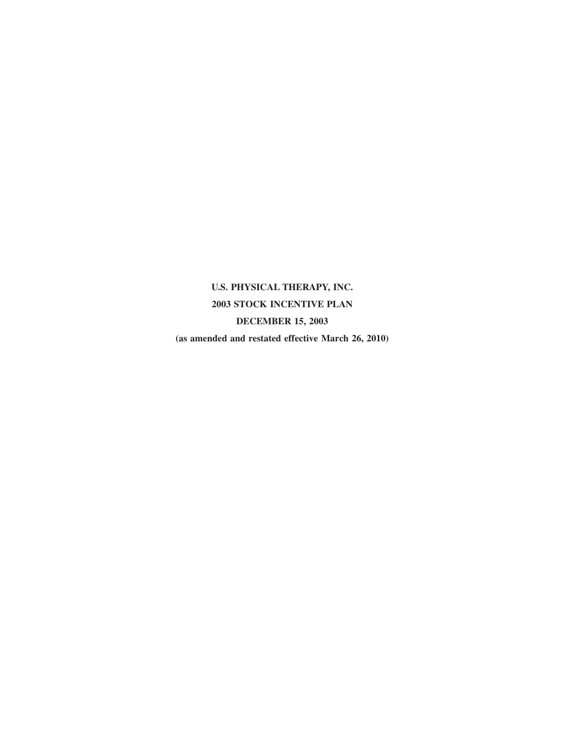**U.S. PHYSICAL THERAPY, INC. 2003 STOCK INCENTIVE PLAN DECEMBER 15, 2003 (as amended and restated effective March 26, 2010)**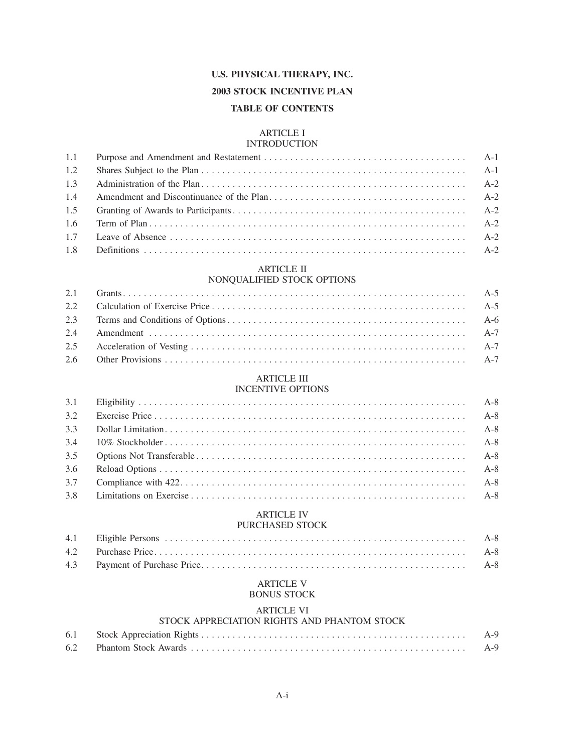# **U.S. PHYSICAL THERAPY, INC.**

# **2003 STOCK INCENTIVE PLAN**

# **TABLE OF CONTENTS**

# ARTICLE I

# **INTRODUCTION**

| 1.1 |  |
|-----|--|
| 1.2 |  |
| 1.3 |  |
| 1.4 |  |
|     |  |
|     |  |
|     |  |
|     |  |

# ARTICLE II

# NONQUALIFIED STOCK OPTIONS

# ARTICLE III INCENTIVE OPTIONS

| 3.2 |  |
|-----|--|
| 3.3 |  |
| 3.4 |  |
| 3.5 |  |
| 3.6 |  |
| 3.7 |  |
| 3.8 |  |

# ARTICLE IV

# PURCHASED STOCK

# ARTICLE V BONUS STOCK

## ARTICLE VI

# STOCK APPRECIATION RIGHTS AND PHANTOM STOCK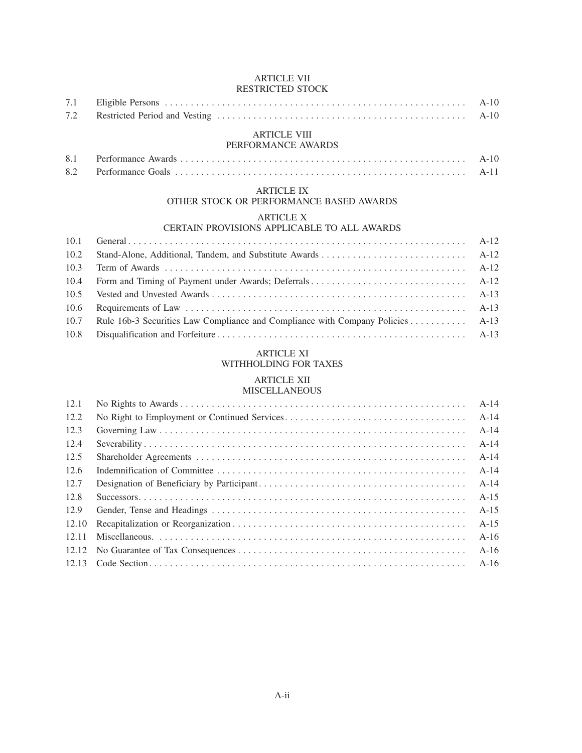# ARTICLE VII

|      | <b>RESTRICTED STOCK</b>                                                |        |
|------|------------------------------------------------------------------------|--------|
| 7.1  |                                                                        | $A-10$ |
| 7.2  |                                                                        | $A-10$ |
|      | <b>ARTICLE VIII</b><br>PERFORMANCE AWARDS                              |        |
| 8.1  |                                                                        | $A-10$ |
| 8.2  |                                                                        | $A-11$ |
|      | <b>ARTICLE IX</b><br>OTHER STOCK OR PERFORMANCE BASED AWARDS           |        |
|      | <b>ARTICLE X</b><br><b>CERTAIN PROVISIONS APPLICABLE TO ALL AWARDS</b> |        |
| 10.1 |                                                                        | $A-12$ |
| 10.2 |                                                                        | $A-12$ |
| 10.3 |                                                                        | $A-12$ |
| 10.4 | Form and Timing of Payment under Awards; Deferrals                     | $A-12$ |
| 10.5 |                                                                        | $A-13$ |
| 10.6 |                                                                        | $A-13$ |

## ARTICLE XI

10.7 Rule 16b-3 Securities Law Compliance and Compliance with Company Policies ........... A-13 10.8 Disqualification and Forfeiture . . . . . . . . . . . . . . . . . . . . . . . . . . . . . . . . . . . . . . . . . . . . . . . . A-13

# WITHHOLDING FOR TAXES

# ARTICLE XII

| 12.1  |        |
|-------|--------|
| 12.2  | $A-14$ |
| 12.3  | $A-14$ |
| 12.4  | $A-14$ |
| 12.5  | $A-14$ |
| 12.6  | $A-14$ |
| 12.7  | $A-14$ |
| 12.8  | $A-15$ |
| 12.9  | $A-15$ |
| 12.10 | $A-15$ |
| 12.11 | $A-16$ |
| 12.12 | $A-16$ |
| 12.13 | $A-16$ |
|       |        |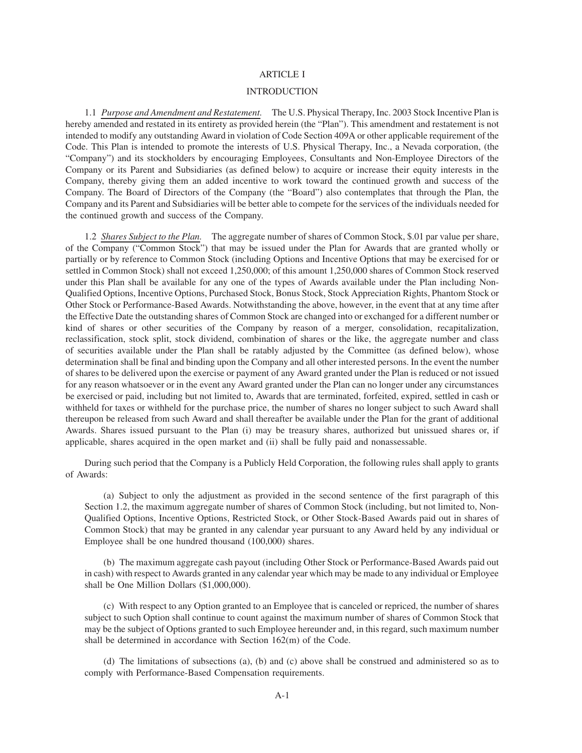## ARTICLE I

#### INTRODUCTION

1.1 *Purpose and Amendment and Restatement.* The U.S. Physical Therapy, Inc. 2003 Stock Incentive Plan is hereby amended and restated in its entirety as provided herein (the "Plan"). This amendment and restatement is not intended to modify any outstanding Award in violation of Code Section 409A or other applicable requirement of the Code. This Plan is intended to promote the interests of U.S. Physical Therapy, Inc., a Nevada corporation, (the "Company") and its stockholders by encouraging Employees, Consultants and Non-Employee Directors of the Company or its Parent and Subsidiaries (as defined below) to acquire or increase their equity interests in the Company, thereby giving them an added incentive to work toward the continued growth and success of the Company. The Board of Directors of the Company (the "Board") also contemplates that through the Plan, the Company and its Parent and Subsidiaries will be better able to compete for the services of the individuals needed for the continued growth and success of the Company.

1.2 *Shares Subject to the Plan.* The aggregate number of shares of Common Stock, \$.01 par value per share, of the Company ("Common Stock") that may be issued under the Plan for Awards that are granted wholly or partially or by reference to Common Stock (including Options and Incentive Options that may be exercised for or settled in Common Stock) shall not exceed 1,250,000; of this amount 1,250,000 shares of Common Stock reserved under this Plan shall be available for any one of the types of Awards available under the Plan including Non-Qualified Options, Incentive Options, Purchased Stock, Bonus Stock, Stock Appreciation Rights, Phantom Stock or Other Stock or Performance-Based Awards. Notwithstanding the above, however, in the event that at any time after the Effective Date the outstanding shares of Common Stock are changed into or exchanged for a different number or kind of shares or other securities of the Company by reason of a merger, consolidation, recapitalization, reclassification, stock split, stock dividend, combination of shares or the like, the aggregate number and class of securities available under the Plan shall be ratably adjusted by the Committee (as defined below), whose determination shall be final and binding upon the Company and all other interested persons. In the event the number of shares to be delivered upon the exercise or payment of any Award granted under the Plan is reduced or not issued for any reason whatsoever or in the event any Award granted under the Plan can no longer under any circumstances be exercised or paid, including but not limited to, Awards that are terminated, forfeited, expired, settled in cash or withheld for taxes or withheld for the purchase price, the number of shares no longer subject to such Award shall thereupon be released from such Award and shall thereafter be available under the Plan for the grant of additional Awards. Shares issued pursuant to the Plan (i) may be treasury shares, authorized but unissued shares or, if applicable, shares acquired in the open market and (ii) shall be fully paid and nonassessable.

During such period that the Company is a Publicly Held Corporation, the following rules shall apply to grants of Awards:

(a) Subject to only the adjustment as provided in the second sentence of the first paragraph of this Section 1.2, the maximum aggregate number of shares of Common Stock (including, but not limited to, Non-Qualified Options, Incentive Options, Restricted Stock, or Other Stock-Based Awards paid out in shares of Common Stock) that may be granted in any calendar year pursuant to any Award held by any individual or Employee shall be one hundred thousand (100,000) shares.

(b) The maximum aggregate cash payout (including Other Stock or Performance-Based Awards paid out in cash) with respect to Awards granted in any calendar year which may be made to any individual or Employee shall be One Million Dollars (\$1,000,000).

(c) With respect to any Option granted to an Employee that is canceled or repriced, the number of shares subject to such Option shall continue to count against the maximum number of shares of Common Stock that may be the subject of Options granted to such Employee hereunder and, in this regard, such maximum number shall be determined in accordance with Section 162(m) of the Code.

(d) The limitations of subsections (a), (b) and (c) above shall be construed and administered so as to comply with Performance-Based Compensation requirements.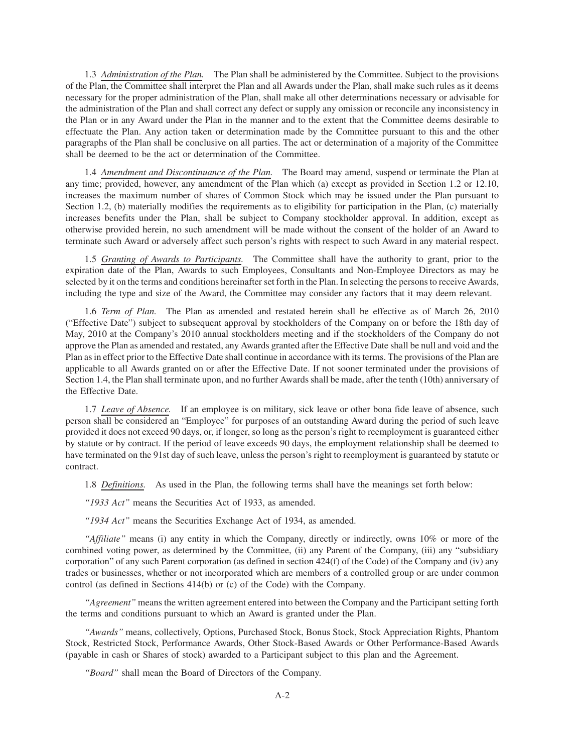1.3 *Administration of the Plan.* The Plan shall be administered by the Committee. Subject to the provisions of the Plan, the Committee shall interpret the Plan and all Awards under the Plan, shall make such rules as it deems necessary for the proper administration of the Plan, shall make all other determinations necessary or advisable for the administration of the Plan and shall correct any defect or supply any omission or reconcile any inconsistency in the Plan or in any Award under the Plan in the manner and to the extent that the Committee deems desirable to effectuate the Plan. Any action taken or determination made by the Committee pursuant to this and the other paragraphs of the Plan shall be conclusive on all parties. The act or determination of a majority of the Committee shall be deemed to be the act or determination of the Committee.

1.4 *Amendment and Discontinuance of the Plan.* The Board may amend, suspend or terminate the Plan at any time; provided, however, any amendment of the Plan which (a) except as provided in Section 1.2 or 12.10, increases the maximum number of shares of Common Stock which may be issued under the Plan pursuant to Section 1.2, (b) materially modifies the requirements as to eligibility for participation in the Plan, (c) materially increases benefits under the Plan, shall be subject to Company stockholder approval. In addition, except as otherwise provided herein, no such amendment will be made without the consent of the holder of an Award to terminate such Award or adversely affect such person's rights with respect to such Award in any material respect.

1.5 *Granting of Awards to Participants.* The Committee shall have the authority to grant, prior to the expiration date of the Plan, Awards to such Employees, Consultants and Non-Employee Directors as may be selected by it on the terms and conditions hereinafter set forth in the Plan. In selecting the persons to receive Awards, including the type and size of the Award, the Committee may consider any factors that it may deem relevant.

1.6 *Term of Plan.* The Plan as amended and restated herein shall be effective as of March 26, 2010 ("Effective Date") subject to subsequent approval by stockholders of the Company on or before the 18th day of May, 2010 at the Company's 2010 annual stockholders meeting and if the stockholders of the Company do not approve the Plan as amended and restated, any Awards granted after the Effective Date shall be null and void and the Plan as in effect prior to the Effective Date shall continue in accordance with its terms. The provisions of the Plan are applicable to all Awards granted on or after the Effective Date. If not sooner terminated under the provisions of Section 1.4, the Plan shall terminate upon, and no further Awards shall be made, after the tenth (10th) anniversary of the Effective Date.

1.7 *Leave of Absence.* If an employee is on military, sick leave or other bona fide leave of absence, such person shall be considered an "Employee" for purposes of an outstanding Award during the period of such leave provided it does not exceed 90 days, or, if longer, so long as the person's right to reemployment is guaranteed either by statute or by contract. If the period of leave exceeds 90 days, the employment relationship shall be deemed to have terminated on the 91st day of such leave, unless the person's right to reemployment is guaranteed by statute or contract.

1.8 *Definitions.* As used in the Plan, the following terms shall have the meanings set forth below:

*"1933 Act"* means the Securities Act of 1933, as amended.

*"1934 Act"* means the Securities Exchange Act of 1934, as amended.

*"Affiliate"* means (i) any entity in which the Company, directly or indirectly, owns 10% or more of the combined voting power, as determined by the Committee, (ii) any Parent of the Company, (iii) any "subsidiary corporation" of any such Parent corporation (as defined in section 424(f) of the Code) of the Company and (iv) any trades or businesses, whether or not incorporated which are members of a controlled group or are under common control (as defined in Sections 414(b) or (c) of the Code) with the Company.

*"Agreement"* means the written agreement entered into between the Company and the Participant setting forth the terms and conditions pursuant to which an Award is granted under the Plan.

*"Awards"* means, collectively, Options, Purchased Stock, Bonus Stock, Stock Appreciation Rights, Phantom Stock, Restricted Stock, Performance Awards, Other Stock-Based Awards or Other Performance-Based Awards (payable in cash or Shares of stock) awarded to a Participant subject to this plan and the Agreement.

*"Board"* shall mean the Board of Directors of the Company.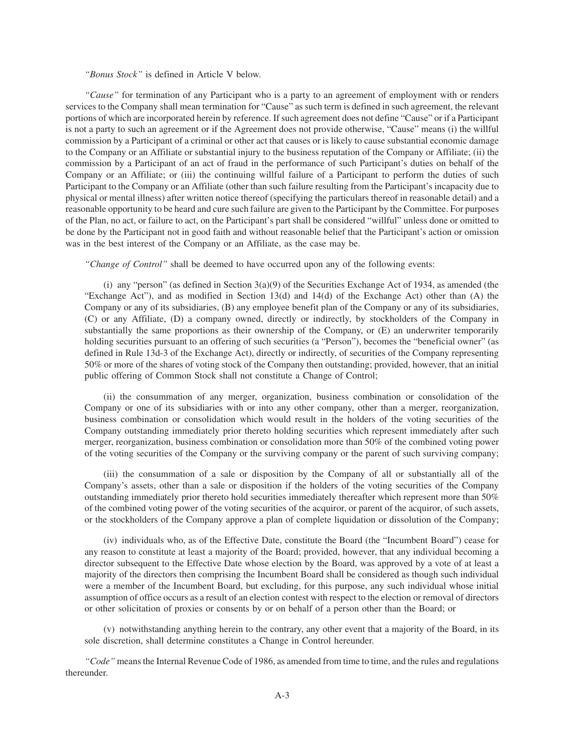## *"Bonus Stock"* is defined in Article V below.

*"Cause"* for termination of any Participant who is a party to an agreement of employment with or renders services to the Company shall mean termination for "Cause" as such term is defined in such agreement, the relevant portions of which are incorporated herein by reference. If such agreement does not define "Cause" or if a Participant is not a party to such an agreement or if the Agreement does not provide otherwise, "Cause" means (i) the willful commission by a Participant of a criminal or other act that causes or is likely to cause substantial economic damage to the Company or an Affiliate or substantial injury to the business reputation of the Company or Affiliate; (ii) the commission by a Participant of an act of fraud in the performance of such Participant's duties on behalf of the Company or an Affiliate; or (iii) the continuing willful failure of a Participant to perform the duties of such Participant to the Company or an Affiliate (other than such failure resulting from the Participant's incapacity due to physical or mental illness) after written notice thereof (specifying the particulars thereof in reasonable detail) and a reasonable opportunity to be heard and cure such failure are given to the Participant by the Committee. For purposes of the Plan, no act, or failure to act, on the Participant's part shall be considered "willful" unless done or omitted to be done by the Participant not in good faith and without reasonable belief that the Participant's action or omission was in the best interest of the Company or an Affiliate, as the case may be.

*"Change of Control"* shall be deemed to have occurred upon any of the following events:

(i) any "person" (as defined in Section 3(a)(9) of the Securities Exchange Act of 1934, as amended (the "Exchange Act"), and as modified in Section 13(d) and 14(d) of the Exchange Act) other than (A) the Company or any of its subsidiaries, (B) any employee benefit plan of the Company or any of its subsidiaries, (C) or any Affiliate, (D) a company owned, directly or indirectly, by stockholders of the Company in substantially the same proportions as their ownership of the Company, or (E) an underwriter temporarily holding securities pursuant to an offering of such securities (a "Person"), becomes the "beneficial owner" (as defined in Rule 13d-3 of the Exchange Act), directly or indirectly, of securities of the Company representing 50% or more of the shares of voting stock of the Company then outstanding; provided, however, that an initial public offering of Common Stock shall not constitute a Change of Control;

(ii) the consummation of any merger, organization, business combination or consolidation of the Company or one of its subsidiaries with or into any other company, other than a merger, reorganization, business combination or consolidation which would result in the holders of the voting securities of the Company outstanding immediately prior thereto holding securities which represent immediately after such merger, reorganization, business combination or consolidation more than 50% of the combined voting power of the voting securities of the Company or the surviving company or the parent of such surviving company;

(iii) the consummation of a sale or disposition by the Company of all or substantially all of the Company's assets, other than a sale or disposition if the holders of the voting securities of the Company outstanding immediately prior thereto hold securities immediately thereafter which represent more than 50% of the combined voting power of the voting securities of the acquiror, or parent of the acquiror, of such assets, or the stockholders of the Company approve a plan of complete liquidation or dissolution of the Company;

(iv) individuals who, as of the Effective Date, constitute the Board (the "Incumbent Board") cease for any reason to constitute at least a majority of the Board; provided, however, that any individual becoming a director subsequent to the Effective Date whose election by the Board, was approved by a vote of at least a majority of the directors then comprising the Incumbent Board shall be considered as though such individual were a member of the Incumbent Board, but excluding, for this purpose, any such individual whose initial assumption of office occurs as a result of an election contest with respect to the election or removal of directors or other solicitation of proxies or consents by or on behalf of a person other than the Board; or

(v) notwithstanding anything herein to the contrary, any other event that a majority of the Board, in its sole discretion, shall determine constitutes a Change in Control hereunder.

*"Code"* means the Internal Revenue Code of 1986, as amended from time to time, and the rules and regulations thereunder.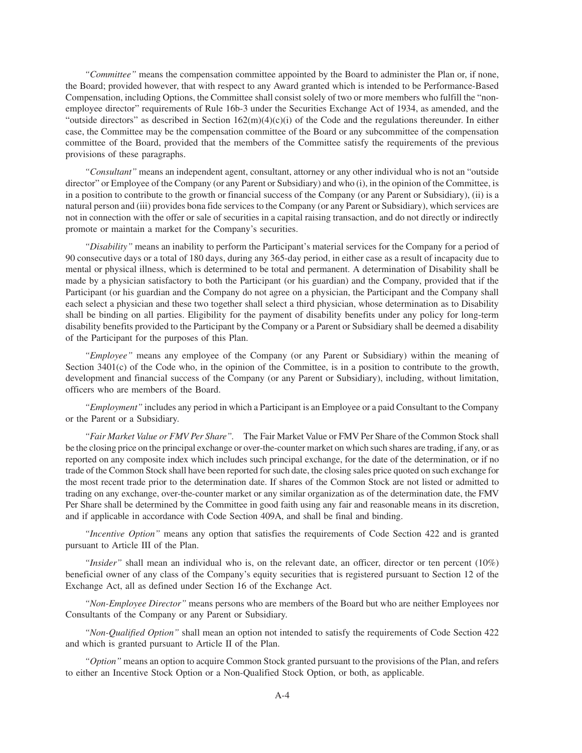*"Committee"* means the compensation committee appointed by the Board to administer the Plan or, if none, the Board; provided however, that with respect to any Award granted which is intended to be Performance-Based Compensation, including Options, the Committee shall consist solely of two or more members who fulfill the "nonemployee director" requirements of Rule 16b-3 under the Securities Exchange Act of 1934, as amended, and the "outside directors" as described in Section  $162(m)(4)(c)(i)$  of the Code and the regulations thereunder. In either case, the Committee may be the compensation committee of the Board or any subcommittee of the compensation committee of the Board, provided that the members of the Committee satisfy the requirements of the previous provisions of these paragraphs.

*"Consultant"* means an independent agent, consultant, attorney or any other individual who is not an "outside director" or Employee of the Company (or any Parent or Subsidiary) and who (i), in the opinion of the Committee, is in a position to contribute to the growth or financial success of the Company (or any Parent or Subsidiary), (ii) is a natural person and (iii) provides bona fide services to the Company (or any Parent or Subsidiary), which services are not in connection with the offer or sale of securities in a capital raising transaction, and do not directly or indirectly promote or maintain a market for the Company's securities.

*"Disability"* means an inability to perform the Participant's material services for the Company for a period of 90 consecutive days or a total of 180 days, during any 365-day period, in either case as a result of incapacity due to mental or physical illness, which is determined to be total and permanent. A determination of Disability shall be made by a physician satisfactory to both the Participant (or his guardian) and the Company, provided that if the Participant (or his guardian and the Company do not agree on a physician, the Participant and the Company shall each select a physician and these two together shall select a third physician, whose determination as to Disability shall be binding on all parties. Eligibility for the payment of disability benefits under any policy for long-term disability benefits provided to the Participant by the Company or a Parent or Subsidiary shall be deemed a disability of the Participant for the purposes of this Plan.

*"Employee"* means any employee of the Company (or any Parent or Subsidiary) within the meaning of Section 3401(c) of the Code who, in the opinion of the Committee, is in a position to contribute to the growth, development and financial success of the Company (or any Parent or Subsidiary), including, without limitation, officers who are members of the Board.

*"Employment"* includes any period in which a Participant is an Employee or a paid Consultant to the Company or the Parent or a Subsidiary.

*"Fair Market Value or FMV Per Share".* The Fair Market Value or FMV Per Share of the Common Stock shall be the closing price on the principal exchange or over-the-counter market on which such shares are trading, if any, or as reported on any composite index which includes such principal exchange, for the date of the determination, or if no trade of the Common Stock shall have been reported for such date, the closing sales price quoted on such exchange for the most recent trade prior to the determination date. If shares of the Common Stock are not listed or admitted to trading on any exchange, over-the-counter market or any similar organization as of the determination date, the FMV Per Share shall be determined by the Committee in good faith using any fair and reasonable means in its discretion, and if applicable in accordance with Code Section 409A, and shall be final and binding.

*"Incentive Option"* means any option that satisfies the requirements of Code Section 422 and is granted pursuant to Article III of the Plan.

*"Insider"* shall mean an individual who is, on the relevant date, an officer, director or ten percent (10%) beneficial owner of any class of the Company's equity securities that is registered pursuant to Section 12 of the Exchange Act, all as defined under Section 16 of the Exchange Act.

*"Non-Employee Director"* means persons who are members of the Board but who are neither Employees nor Consultants of the Company or any Parent or Subsidiary.

*"Non-Qualified Option"* shall mean an option not intended to satisfy the requirements of Code Section 422 and which is granted pursuant to Article II of the Plan.

*"Option"* means an option to acquire Common Stock granted pursuant to the provisions of the Plan, and refers to either an Incentive Stock Option or a Non-Qualified Stock Option, or both, as applicable.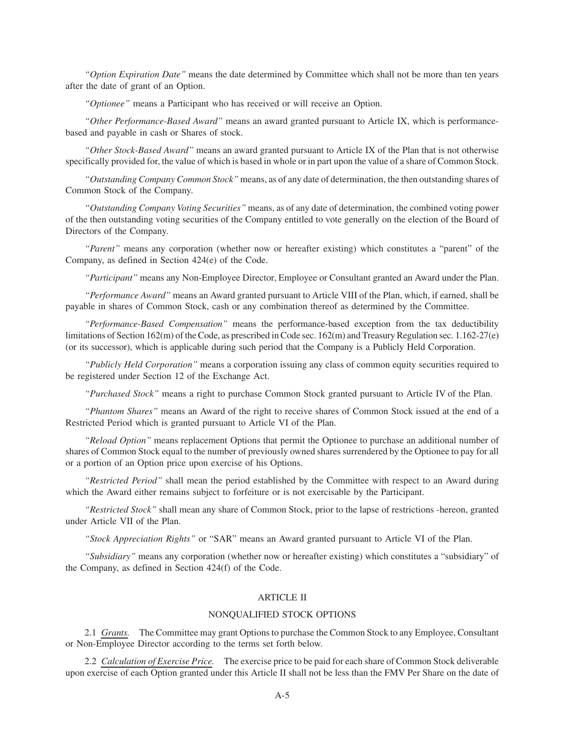*"Option Expiration Date"* means the date determined by Committee which shall not be more than ten years after the date of grant of an Option.

*"Optionee"* means a Participant who has received or will receive an Option.

*"Other Performance-Based Award"* means an award granted pursuant to Article IX, which is performancebased and payable in cash or Shares of stock.

*"Other Stock-Based Award"* means an award granted pursuant to Article IX of the Plan that is not otherwise specifically provided for, the value of which is based in whole or in part upon the value of a share of Common Stock.

*"Outstanding Company Common Stock"* means, as of any date of determination, the then outstanding shares of Common Stock of the Company.

*"Outstanding Company Voting Securities"* means, as of any date of determination, the combined voting power of the then outstanding voting securities of the Company entitled to vote generally on the election of the Board of Directors of the Company.

*"Parent"* means any corporation (whether now or hereafter existing) which constitutes a "parent" of the Company, as defined in Section 424(e) of the Code.

*"Participant"* means any Non-Employee Director, Employee or Consultant granted an Award under the Plan.

*"Performance Award"* means an Award granted pursuant to Article VIII of the Plan, which, if earned, shall be payable in shares of Common Stock, cash or any combination thereof as determined by the Committee.

*"Performance-Based Compensation"* means the performance-based exception from the tax deductibility limitations of Section 162(m) of the Code, as prescribed in Code sec. 162(m) and Treasury Regulation sec. 1.162-27(e) (or its successor), which is applicable during such period that the Company is a Publicly Held Corporation.

*"Publicly Held Corporation"* means a corporation issuing any class of common equity securities required to be registered under Section 12 of the Exchange Act.

*"Purchased Stock"* means a right to purchase Common Stock granted pursuant to Article IV of the Plan.

*"Phantom Shares"* means an Award of the right to receive shares of Common Stock issued at the end of a Restricted Period which is granted pursuant to Article VI of the Plan.

*"Reload Option"* means replacement Options that permit the Optionee to purchase an additional number of shares of Common Stock equal to the number of previously owned shares surrendered by the Optionee to pay for all or a portion of an Option price upon exercise of his Options.

*"Restricted Period"* shall mean the period established by the Committee with respect to an Award during which the Award either remains subject to forfeiture or is not exercisable by the Participant.

*"Restricted Stock"* shall mean any share of Common Stock, prior to the lapse of restrictions -hereon, granted under Article VII of the Plan.

*"Stock Appreciation Rights"* or "SAR" means an Award granted pursuant to Article VI of the Plan.

*"Subsidiary"* means any corporation (whether now or hereafter existing) which constitutes a "subsidiary" of the Company, as defined in Section 424(f) of the Code.

# ARTICLE II

## NONQUALIFIED STOCK OPTIONS

2.1 *Grants.* The Committee may grant Options to purchase the Common Stock to any Employee, Consultant or Non-Employee Director according to the terms set forth below.

2.2 *Calculation of Exercise Price.* The exercise price to be paid for each share of Common Stock deliverable upon exercise of each Option granted under this Article II shall not be less than the FMV Per Share on the date of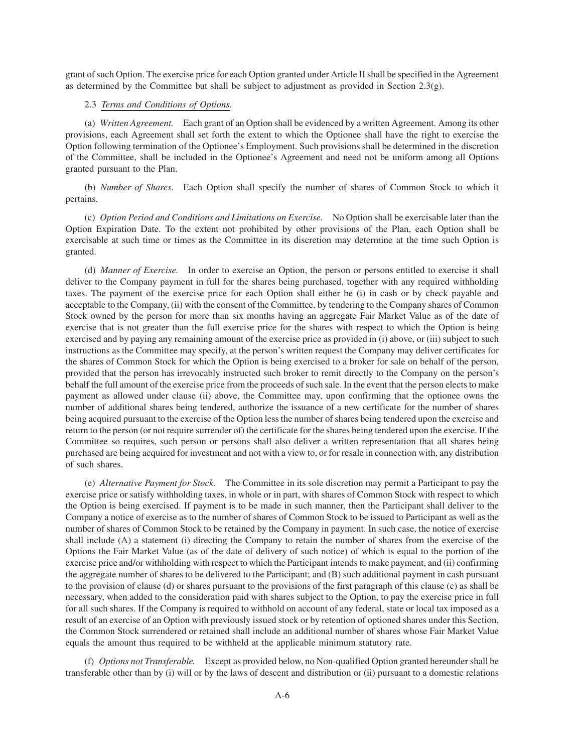grant of such Option. The exercise price for each Option granted under Article II shall be specified in the Agreement as determined by the Committee but shall be subject to adjustment as provided in Section 2.3(g).

# 2.3 *Terms and Conditions of Options.*

(a) *Written Agreement.* Each grant of an Option shall be evidenced by a written Agreement. Among its other provisions, each Agreement shall set forth the extent to which the Optionee shall have the right to exercise the Option following termination of the Optionee's Employment. Such provisions shall be determined in the discretion of the Committee, shall be included in the Optionee's Agreement and need not be uniform among all Options granted pursuant to the Plan.

(b) *Number of Shares.* Each Option shall specify the number of shares of Common Stock to which it pertains.

(c) *Option Period and Conditions and Limitations on Exercise.* No Option shall be exercisable later than the Option Expiration Date. To the extent not prohibited by other provisions of the Plan, each Option shall be exercisable at such time or times as the Committee in its discretion may determine at the time such Option is granted.

(d) *Manner of Exercise.* In order to exercise an Option, the person or persons entitled to exercise it shall deliver to the Company payment in full for the shares being purchased, together with any required withholding taxes. The payment of the exercise price for each Option shall either be (i) in cash or by check payable and acceptable to the Company, (ii) with the consent of the Committee, by tendering to the Company shares of Common Stock owned by the person for more than six months having an aggregate Fair Market Value as of the date of exercise that is not greater than the full exercise price for the shares with respect to which the Option is being exercised and by paying any remaining amount of the exercise price as provided in (i) above, or (iii) subject to such instructions as the Committee may specify, at the person's written request the Company may deliver certificates for the shares of Common Stock for which the Option is being exercised to a broker for sale on behalf of the person, provided that the person has irrevocably instructed such broker to remit directly to the Company on the person's behalf the full amount of the exercise price from the proceeds of such sale. In the event that the person elects to make payment as allowed under clause (ii) above, the Committee may, upon confirming that the optionee owns the number of additional shares being tendered, authorize the issuance of a new certificate for the number of shares being acquired pursuant to the exercise of the Option less the number of shares being tendered upon the exercise and return to the person (or not require surrender of) the certificate for the shares being tendered upon the exercise. If the Committee so requires, such person or persons shall also deliver a written representation that all shares being purchased are being acquired for investment and not with a view to, or for resale in connection with, any distribution of such shares.

(e) *Alternative Payment for Stock.* The Committee in its sole discretion may permit a Participant to pay the exercise price or satisfy withholding taxes, in whole or in part, with shares of Common Stock with respect to which the Option is being exercised. If payment is to be made in such manner, then the Participant shall deliver to the Company a notice of exercise as to the number of shares of Common Stock to be issued to Participant as well as the number of shares of Common Stock to be retained by the Company in payment. In such case, the notice of exercise shall include (A) a statement (i) directing the Company to retain the number of shares from the exercise of the Options the Fair Market Value (as of the date of delivery of such notice) of which is equal to the portion of the exercise price and/or withholding with respect to which the Participant intends to make payment, and (ii) confirming the aggregate number of shares to be delivered to the Participant; and (B) such additional payment in cash pursuant to the provision of clause (d) or shares pursuant to the provisions of the first paragraph of this clause (c) as shall be necessary, when added to the consideration paid with shares subject to the Option, to pay the exercise price in full for all such shares. If the Company is required to withhold on account of any federal, state or local tax imposed as a result of an exercise of an Option with previously issued stock or by retention of optioned shares under this Section, the Common Stock surrendered or retained shall include an additional number of shares whose Fair Market Value equals the amount thus required to be withheld at the applicable minimum statutory rate.

(f) *Options not Transferable.* Except as provided below, no Non-qualified Option granted hereunder shall be transferable other than by (i) will or by the laws of descent and distribution or (ii) pursuant to a domestic relations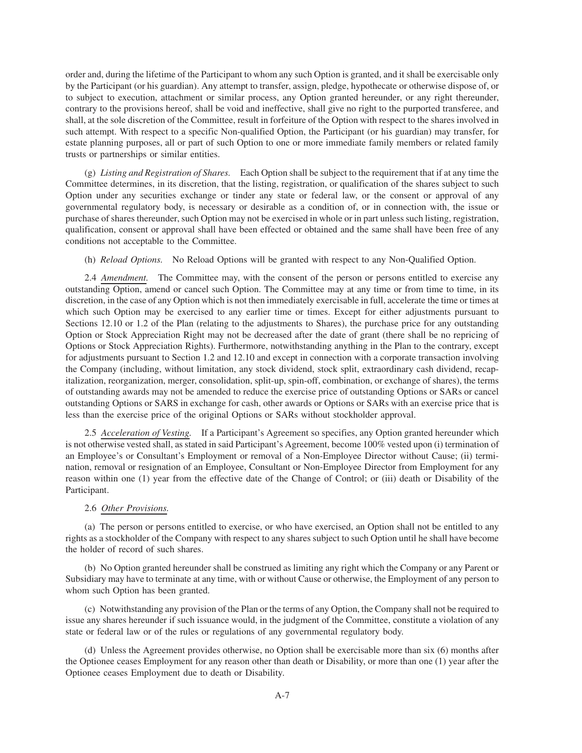order and, during the lifetime of the Participant to whom any such Option is granted, and it shall be exercisable only by the Participant (or his guardian). Any attempt to transfer, assign, pledge, hypothecate or otherwise dispose of, or to subject to execution, attachment or similar process, any Option granted hereunder, or any right thereunder, contrary to the provisions hereof, shall be void and ineffective, shall give no right to the purported transferee, and shall, at the sole discretion of the Committee, result in forfeiture of the Option with respect to the shares involved in such attempt. With respect to a specific Non-qualified Option, the Participant (or his guardian) may transfer, for estate planning purposes, all or part of such Option to one or more immediate family members or related family trusts or partnerships or similar entities.

(g) *Listing and Registration of Shares.* Each Option shall be subject to the requirement that if at any time the Committee determines, in its discretion, that the listing, registration, or qualification of the shares subject to such Option under any securities exchange or tinder any state or federal law, or the consent or approval of any governmental regulatory body, is necessary or desirable as a condition of, or in connection with, the issue or purchase of shares thereunder, such Option may not be exercised in whole or in part unless such listing, registration, qualification, consent or approval shall have been effected or obtained and the same shall have been free of any conditions not acceptable to the Committee.

(h) *Reload Options.* No Reload Options will be granted with respect to any Non-Qualified Option.

2.4 *Amendment.* The Committee may, with the consent of the person or persons entitled to exercise any outstanding Option, amend or cancel such Option. The Committee may at any time or from time to time, in its discretion, in the case of any Option which is not then immediately exercisable in full, accelerate the time or times at which such Option may be exercised to any earlier time or times. Except for either adjustments pursuant to Sections 12.10 or 1.2 of the Plan (relating to the adjustments to Shares), the purchase price for any outstanding Option or Stock Appreciation Right may not be decreased after the date of grant (there shall be no repricing of Options or Stock Appreciation Rights). Furthermore, notwithstanding anything in the Plan to the contrary, except for adjustments pursuant to Section 1.2 and 12.10 and except in connection with a corporate transaction involving the Company (including, without limitation, any stock dividend, stock split, extraordinary cash dividend, recapitalization, reorganization, merger, consolidation, split-up, spin-off, combination, or exchange of shares), the terms of outstanding awards may not be amended to reduce the exercise price of outstanding Options or SARs or cancel outstanding Options or SARS in exchange for cash, other awards or Options or SARs with an exercise price that is less than the exercise price of the original Options or SARs without stockholder approval.

2.5 *Acceleration of Vesting.* If a Participant's Agreement so specifies, any Option granted hereunder which is not otherwise vested shall, as stated in said Participant's Agreement, become 100% vested upon (i) termination of an Employee's or Consultant's Employment or removal of a Non-Employee Director without Cause; (ii) termination, removal or resignation of an Employee, Consultant or Non-Employee Director from Employment for any reason within one (1) year from the effective date of the Change of Control; or (iii) death or Disability of the Participant.

# 2.6 *Other Provisions.*

(a) The person or persons entitled to exercise, or who have exercised, an Option shall not be entitled to any rights as a stockholder of the Company with respect to any shares subject to such Option until he shall have become the holder of record of such shares.

(b) No Option granted hereunder shall be construed as limiting any right which the Company or any Parent or Subsidiary may have to terminate at any time, with or without Cause or otherwise, the Employment of any person to whom such Option has been granted.

(c) Notwithstanding any provision of the Plan or the terms of any Option, the Company shall not be required to issue any shares hereunder if such issuance would, in the judgment of the Committee, constitute a violation of any state or federal law or of the rules or regulations of any governmental regulatory body.

(d) Unless the Agreement provides otherwise, no Option shall be exercisable more than six (6) months after the Optionee ceases Employment for any reason other than death or Disability, or more than one (1) year after the Optionee ceases Employment due to death or Disability.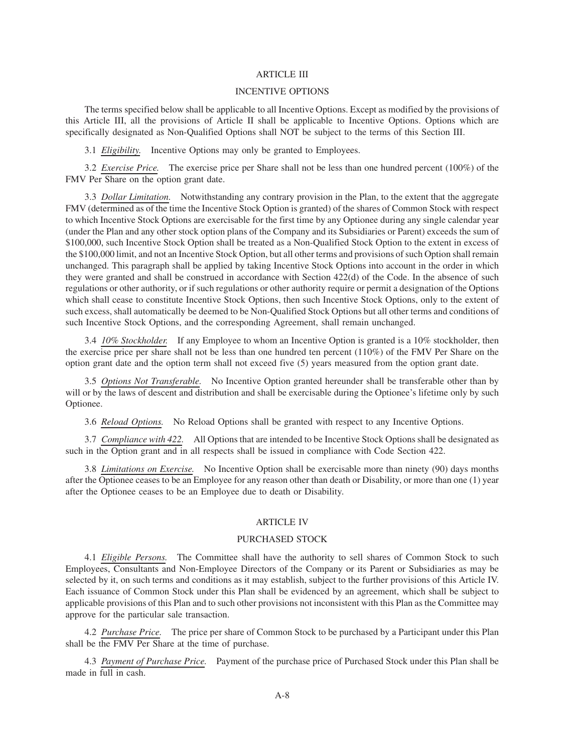## ARTICLE III

### INCENTIVE OPTIONS

The terms specified below shall be applicable to all Incentive Options. Except as modified by the provisions of this Article III, all the provisions of Article II shall be applicable to Incentive Options. Options which are specifically designated as Non-Qualified Options shall NOT be subject to the terms of this Section III.

3.1 *Eligibility.* Incentive Options may only be granted to Employees.

3.2 *Exercise Price.* The exercise price per Share shall not be less than one hundred percent (100%) of the FMV Per Share on the option grant date.

3.3 *Dollar Limitation.* Notwithstanding any contrary provision in the Plan, to the extent that the aggregate FMV (determined as of the time the Incentive Stock Option is granted) of the shares of Common Stock with respect to which Incentive Stock Options are exercisable for the first time by any Optionee during any single calendar year (under the Plan and any other stock option plans of the Company and its Subsidiaries or Parent) exceeds the sum of \$100,000, such Incentive Stock Option shall be treated as a Non-Qualified Stock Option to the extent in excess of the \$100,000 limit, and not an Incentive Stock Option, but all other terms and provisions of such Option shall remain unchanged. This paragraph shall be applied by taking Incentive Stock Options into account in the order in which they were granted and shall be construed in accordance with Section 422(d) of the Code. In the absence of such regulations or other authority, or if such regulations or other authority require or permit a designation of the Options which shall cease to constitute Incentive Stock Options, then such Incentive Stock Options, only to the extent of such excess, shall automatically be deemed to be Non-Qualified Stock Options but all other terms and conditions of such Incentive Stock Options, and the corresponding Agreement, shall remain unchanged.

3.4 *10% Stockholder.* If any Employee to whom an Incentive Option is granted is a 10% stockholder, then the exercise price per share shall not be less than one hundred ten percent (110%) of the FMV Per Share on the option grant date and the option term shall not exceed five (5) years measured from the option grant date.

3.5 *Options Not Transferable.* No Incentive Option granted hereunder shall be transferable other than by will or by the laws of descent and distribution and shall be exercisable during the Optionee's lifetime only by such Optionee.

3.6 *Reload Options.* No Reload Options shall be granted with respect to any Incentive Options.

3.7 *Compliance with 422.* All Options that are intended to be Incentive Stock Options shall be designated as such in the Option grant and in all respects shall be issued in compliance with Code Section 422.

3.8 *Limitations on Exercise.* No Incentive Option shall be exercisable more than ninety (90) days months after the Optionee ceases to be an Employee for any reason other than death or Disability, or more than one (1) year after the Optionee ceases to be an Employee due to death or Disability.

#### ARTICLE IV

### PURCHASED STOCK

4.1 *Eligible Persons.* The Committee shall have the authority to sell shares of Common Stock to such Employees, Consultants and Non-Employee Directors of the Company or its Parent or Subsidiaries as may be selected by it, on such terms and conditions as it may establish, subject to the further provisions of this Article IV. Each issuance of Common Stock under this Plan shall be evidenced by an agreement, which shall be subject to applicable provisions of this Plan and to such other provisions not inconsistent with this Plan as the Committee may approve for the particular sale transaction.

4.2 *Purchase Price.* The price per share of Common Stock to be purchased by a Participant under this Plan shall be the FMV Per Share at the time of purchase.

4.3 *Payment of Purchase Price.* Payment of the purchase price of Purchased Stock under this Plan shall be made in full in cash.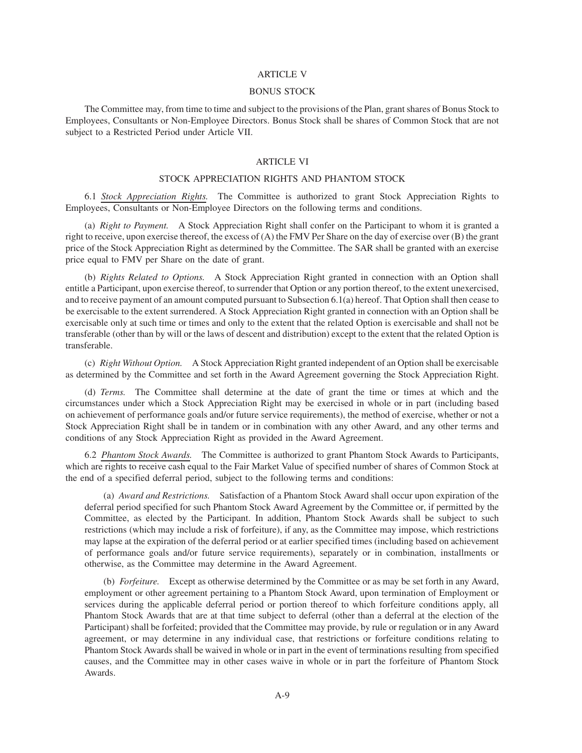#### ARTICLE V

### BONUS STOCK

The Committee may, from time to time and subject to the provisions of the Plan, grant shares of Bonus Stock to Employees, Consultants or Non-Employee Directors. Bonus Stock shall be shares of Common Stock that are not subject to a Restricted Period under Article VII.

# ARTICLE VI

# STOCK APPRECIATION RIGHTS AND PHANTOM STOCK

6.1 *Stock Appreciation Rights.* The Committee is authorized to grant Stock Appreciation Rights to Employees, Consultants or Non-Employee Directors on the following terms and conditions.

(a) *Right to Payment.* A Stock Appreciation Right shall confer on the Participant to whom it is granted a right to receive, upon exercise thereof, the excess of (A) the FMV Per Share on the day of exercise over (B) the grant price of the Stock Appreciation Right as determined by the Committee. The SAR shall be granted with an exercise price equal to FMV per Share on the date of grant.

(b) *Rights Related to Options.* A Stock Appreciation Right granted in connection with an Option shall entitle a Participant, upon exercise thereof, to surrender that Option or any portion thereof, to the extent unexercised, and to receive payment of an amount computed pursuant to Subsection 6.1(a) hereof. That Option shall then cease to be exercisable to the extent surrendered. A Stock Appreciation Right granted in connection with an Option shall be exercisable only at such time or times and only to the extent that the related Option is exercisable and shall not be transferable (other than by will or the laws of descent and distribution) except to the extent that the related Option is transferable.

(c) *Right Without Option.* A Stock Appreciation Right granted independent of an Option shall be exercisable as determined by the Committee and set forth in the Award Agreement governing the Stock Appreciation Right.

(d) *Terms.* The Committee shall determine at the date of grant the time or times at which and the circumstances under which a Stock Appreciation Right may be exercised in whole or in part (including based on achievement of performance goals and/or future service requirements), the method of exercise, whether or not a Stock Appreciation Right shall be in tandem or in combination with any other Award, and any other terms and conditions of any Stock Appreciation Right as provided in the Award Agreement.

6.2 *Phantom Stock Awards.* The Committee is authorized to grant Phantom Stock Awards to Participants, which are rights to receive cash equal to the Fair Market Value of specified number of shares of Common Stock at the end of a specified deferral period, subject to the following terms and conditions:

(a) *Award and Restrictions.* Satisfaction of a Phantom Stock Award shall occur upon expiration of the deferral period specified for such Phantom Stock Award Agreement by the Committee or, if permitted by the Committee, as elected by the Participant. In addition, Phantom Stock Awards shall be subject to such restrictions (which may include a risk of forfeiture), if any, as the Committee may impose, which restrictions may lapse at the expiration of the deferral period or at earlier specified times (including based on achievement of performance goals and/or future service requirements), separately or in combination, installments or otherwise, as the Committee may determine in the Award Agreement.

(b) *Forfeiture.* Except as otherwise determined by the Committee or as may be set forth in any Award, employment or other agreement pertaining to a Phantom Stock Award, upon termination of Employment or services during the applicable deferral period or portion thereof to which forfeiture conditions apply, all Phantom Stock Awards that are at that time subject to deferral (other than a deferral at the election of the Participant) shall be forfeited; provided that the Committee may provide, by rule or regulation or in any Award agreement, or may determine in any individual case, that restrictions or forfeiture conditions relating to Phantom Stock Awards shall be waived in whole or in part in the event of terminations resulting from specified causes, and the Committee may in other cases waive in whole or in part the forfeiture of Phantom Stock Awards.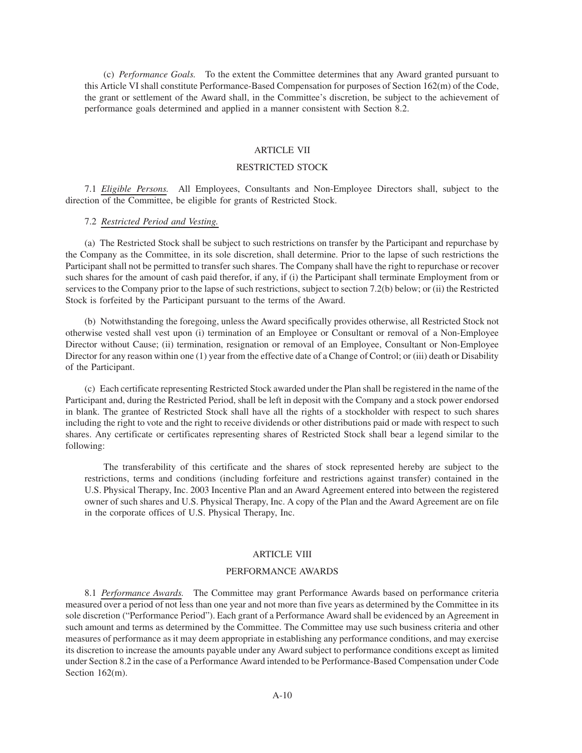(c) *Performance Goals.* To the extent the Committee determines that any Award granted pursuant to this Article VI shall constitute Performance-Based Compensation for purposes of Section 162(m) of the Code, the grant or settlement of the Award shall, in the Committee's discretion, be subject to the achievement of performance goals determined and applied in a manner consistent with Section 8.2.

# ARTICLE VII

## RESTRICTED STOCK

7.1 *Eligible Persons.* All Employees, Consultants and Non-Employee Directors shall, subject to the direction of the Committee, be eligible for grants of Restricted Stock.

# 7.2 *Restricted Period and Vesting.*

(a) The Restricted Stock shall be subject to such restrictions on transfer by the Participant and repurchase by the Company as the Committee, in its sole discretion, shall determine. Prior to the lapse of such restrictions the Participant shall not be permitted to transfer such shares. The Company shall have the right to repurchase or recover such shares for the amount of cash paid therefor, if any, if (i) the Participant shall terminate Employment from or services to the Company prior to the lapse of such restrictions, subject to section 7.2(b) below; or (ii) the Restricted Stock is forfeited by the Participant pursuant to the terms of the Award.

(b) Notwithstanding the foregoing, unless the Award specifically provides otherwise, all Restricted Stock not otherwise vested shall vest upon (i) termination of an Employee or Consultant or removal of a Non-Employee Director without Cause; (ii) termination, resignation or removal of an Employee, Consultant or Non-Employee Director for any reason within one (1) year from the effective date of a Change of Control; or (iii) death or Disability of the Participant.

(c) Each certificate representing Restricted Stock awarded under the Plan shall be registered in the name of the Participant and, during the Restricted Period, shall be left in deposit with the Company and a stock power endorsed in blank. The grantee of Restricted Stock shall have all the rights of a stockholder with respect to such shares including the right to vote and the right to receive dividends or other distributions paid or made with respect to such shares. Any certificate or certificates representing shares of Restricted Stock shall bear a legend similar to the following:

The transferability of this certificate and the shares of stock represented hereby are subject to the restrictions, terms and conditions (including forfeiture and restrictions against transfer) contained in the U.S. Physical Therapy, Inc. 2003 Incentive Plan and an Award Agreement entered into between the registered owner of such shares and U.S. Physical Therapy, Inc. A copy of the Plan and the Award Agreement are on file in the corporate offices of U.S. Physical Therapy, Inc.

### ARTICLE VIII

#### PERFORMANCE AWARDS

8.1 *Performance Awards.* The Committee may grant Performance Awards based on performance criteria measured over a period of not less than one year and not more than five years as determined by the Committee in its sole discretion ("Performance Period"). Each grant of a Performance Award shall be evidenced by an Agreement in such amount and terms as determined by the Committee. The Committee may use such business criteria and other measures of performance as it may deem appropriate in establishing any performance conditions, and may exercise its discretion to increase the amounts payable under any Award subject to performance conditions except as limited under Section 8.2 in the case of a Performance Award intended to be Performance-Based Compensation under Code Section 162(m).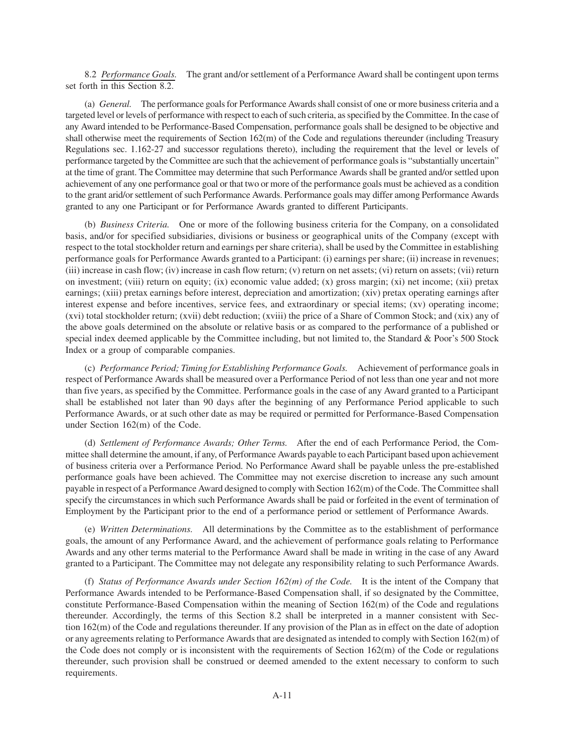8.2 *Performance Goals.* The grant and/or settlement of a Performance Award shall be contingent upon terms set forth in this Section 8.2.

(a) *General.* The performance goals for Performance Awards shall consist of one or more business criteria and a targeted level or levels of performance with respect to each of such criteria, as specified by the Committee. In the case of any Award intended to be Performance-Based Compensation, performance goals shall be designed to be objective and shall otherwise meet the requirements of Section 162(m) of the Code and regulations thereunder (including Treasury Regulations sec. 1.162-27 and successor regulations thereto), including the requirement that the level or levels of performance targeted by the Committee are such that the achievement of performance goals is "substantially uncertain" at the time of grant. The Committee may determine that such Performance Awards shall be granted and/or settled upon achievement of any one performance goal or that two or more of the performance goals must be achieved as a condition to the grant arid/or settlement of such Performance Awards. Performance goals may differ among Performance Awards granted to any one Participant or for Performance Awards granted to different Participants.

(b) *Business Criteria.* One or more of the following business criteria for the Company, on a consolidated basis, and/or for specified subsidiaries, divisions or business or geographical units of the Company (except with respect to the total stockholder return and earnings per share criteria), shall be used by the Committee in establishing performance goals for Performance Awards granted to a Participant: (i) earnings per share; (ii) increase in revenues; (iii) increase in cash flow; (iv) increase in cash flow return; (v) return on net assets; (vi) return on assets; (vii) return on investment; (viii) return on equity; (ix) economic value added; (x) gross margin; (xi) net income; (xii) pretax earnings; (xiii) pretax earnings before interest, depreciation and amortization; (xiv) pretax operating earnings after interest expense and before incentives, service fees, and extraordinary or special items; (xv) operating income; (xvi) total stockholder return; (xvii) debt reduction; (xviii) the price of a Share of Common Stock; and (xix) any of the above goals determined on the absolute or relative basis or as compared to the performance of a published or special index deemed applicable by the Committee including, but not limited to, the Standard & Poor's 500 Stock Index or a group of comparable companies.

(c) *Performance Period; Timing for Establishing Performance Goals.* Achievement of performance goals in respect of Performance Awards shall be measured over a Performance Period of not less than one year and not more than five years, as specified by the Committee. Performance goals in the case of any Award granted to a Participant shall be established not later than 90 days after the beginning of any Performance Period applicable to such Performance Awards, or at such other date as may be required or permitted for Performance-Based Compensation under Section 162(m) of the Code.

(d) *Settlement of Performance Awards; Other Terms.* After the end of each Performance Period, the Committee shall determine the amount, if any, of Performance Awards payable to each Participant based upon achievement of business criteria over a Performance Period. No Performance Award shall be payable unless the pre-established performance goals have been achieved. The Committee may not exercise discretion to increase any such amount payable in respect of a Performance Award designed to comply with Section 162(m) of the Code. The Committee shall specify the circumstances in which such Performance Awards shall be paid or forfeited in the event of termination of Employment by the Participant prior to the end of a performance period or settlement of Performance Awards.

(e) *Written Determinations.* All determinations by the Committee as to the establishment of performance goals, the amount of any Performance Award, and the achievement of performance goals relating to Performance Awards and any other terms material to the Performance Award shall be made in writing in the case of any Award granted to a Participant. The Committee may not delegate any responsibility relating to such Performance Awards.

(f) *Status of Performance Awards under Section 162(m) of the Code.* It is the intent of the Company that Performance Awards intended to be Performance-Based Compensation shall, if so designated by the Committee, constitute Performance-Based Compensation within the meaning of Section 162(m) of the Code and regulations thereunder. Accordingly, the terms of this Section 8.2 shall be interpreted in a manner consistent with Section 162(m) of the Code and regulations thereunder. If any provision of the Plan as in effect on the date of adoption or any agreements relating to Performance Awards that are designated as intended to comply with Section 162(m) of the Code does not comply or is inconsistent with the requirements of Section 162(m) of the Code or regulations thereunder, such provision shall be construed or deemed amended to the extent necessary to conform to such requirements.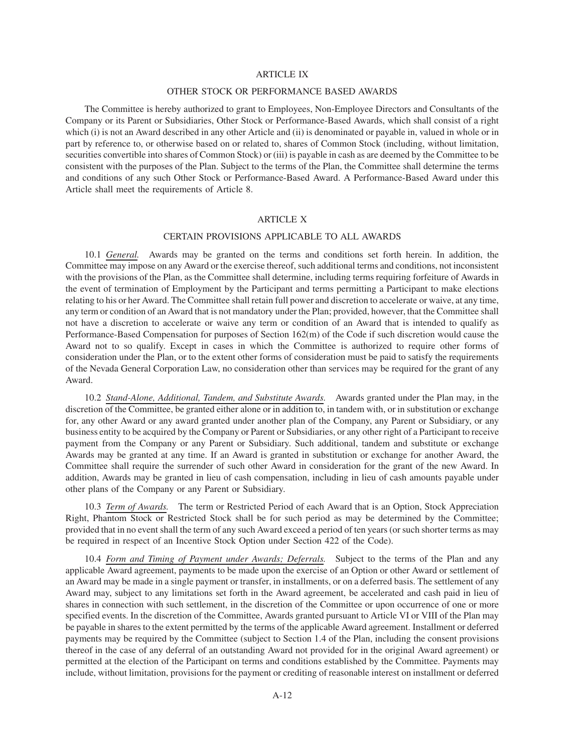# ARTICLE IX

### OTHER STOCK OR PERFORMANCE BASED AWARDS

The Committee is hereby authorized to grant to Employees, Non-Employee Directors and Consultants of the Company or its Parent or Subsidiaries, Other Stock or Performance-Based Awards, which shall consist of a right which (i) is not an Award described in any other Article and (ii) is denominated or payable in, valued in whole or in part by reference to, or otherwise based on or related to, shares of Common Stock (including, without limitation, securities convertible into shares of Common Stock) or (iii) is payable in cash as are deemed by the Committee to be consistent with the purposes of the Plan. Subject to the terms of the Plan, the Committee shall determine the terms and conditions of any such Other Stock or Performance-Based Award. A Performance-Based Award under this Article shall meet the requirements of Article 8.

# ARTICLE X

# CERTAIN PROVISIONS APPLICABLE TO ALL AWARDS

10.1 *General.* Awards may be granted on the terms and conditions set forth herein. In addition, the Committee may impose on any Award or the exercise thereof, such additional terms and conditions, not inconsistent with the provisions of the Plan, as the Committee shall determine, including terms requiring forfeiture of Awards in the event of termination of Employment by the Participant and terms permitting a Participant to make elections relating to his or her Award. The Committee shall retain full power and discretion to accelerate or waive, at any time, any term or condition of an Award that is not mandatory under the Plan; provided, however, that the Committee shall not have a discretion to accelerate or waive any term or condition of an Award that is intended to qualify as Performance-Based Compensation for purposes of Section 162(m) of the Code if such discretion would cause the Award not to so qualify. Except in cases in which the Committee is authorized to require other forms of consideration under the Plan, or to the extent other forms of consideration must be paid to satisfy the requirements of the Nevada General Corporation Law, no consideration other than services may be required for the grant of any Award.

10.2 *Stand-Alone, Additional, Tandem, and Substitute Awards.* Awards granted under the Plan may, in the discretion of the Committee, be granted either alone or in addition to, in tandem with, or in substitution or exchange for, any other Award or any award granted under another plan of the Company, any Parent or Subsidiary, or any business entity to be acquired by the Company or Parent or Subsidiaries, or any other right of a Participant to receive payment from the Company or any Parent or Subsidiary. Such additional, tandem and substitute or exchange Awards may be granted at any time. If an Award is granted in substitution or exchange for another Award, the Committee shall require the surrender of such other Award in consideration for the grant of the new Award. In addition, Awards may be granted in lieu of cash compensation, including in lieu of cash amounts payable under other plans of the Company or any Parent or Subsidiary.

10.3 *Term of Awards.* The term or Restricted Period of each Award that is an Option, Stock Appreciation Right, Phantom Stock or Restricted Stock shall be for such period as may be determined by the Committee; provided that in no event shall the term of any such Award exceed a period of ten years (or such shorter terms as may be required in respect of an Incentive Stock Option under Section 422 of the Code).

10.4 *Form and Timing of Payment under Awards; Deferrals.* Subject to the terms of the Plan and any applicable Award agreement, payments to be made upon the exercise of an Option or other Award or settlement of an Award may be made in a single payment or transfer, in installments, or on a deferred basis. The settlement of any Award may, subject to any limitations set forth in the Award agreement, be accelerated and cash paid in lieu of shares in connection with such settlement, in the discretion of the Committee or upon occurrence of one or more specified events. In the discretion of the Committee, Awards granted pursuant to Article VI or VIII of the Plan may be payable in shares to the extent permitted by the terms of the applicable Award agreement. Installment or deferred payments may be required by the Committee (subject to Section 1.4 of the Plan, including the consent provisions thereof in the case of any deferral of an outstanding Award not provided for in the original Award agreement) or permitted at the election of the Participant on terms and conditions established by the Committee. Payments may include, without limitation, provisions for the payment or crediting of reasonable interest on installment or deferred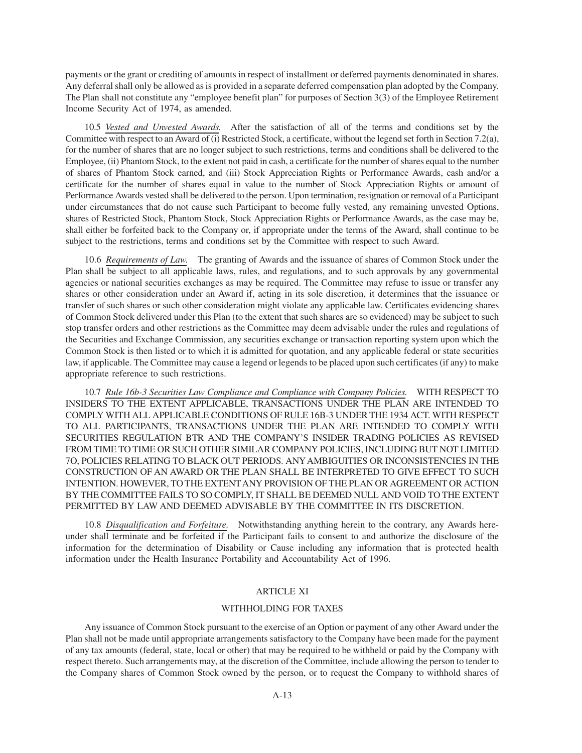payments or the grant or crediting of amounts in respect of installment or deferred payments denominated in shares. Any deferral shall only be allowed as is provided in a separate deferred compensation plan adopted by the Company. The Plan shall not constitute any "employee benefit plan" for purposes of Section 3(3) of the Employee Retirement Income Security Act of 1974, as amended.

10.5 *Vested and Unvested Awards.* After the satisfaction of all of the terms and conditions set by the Committee with respect to an Award of (i) Restricted Stock, a certificate, without the legend set forth in Section 7.2(a), for the number of shares that are no longer subject to such restrictions, terms and conditions shall be delivered to the Employee, (ii) Phantom Stock, to the extent not paid in cash, a certificate for the number of shares equal to the number of shares of Phantom Stock earned, and (iii) Stock Appreciation Rights or Performance Awards, cash and/or a certificate for the number of shares equal in value to the number of Stock Appreciation Rights or amount of Performance Awards vested shall be delivered to the person. Upon termination, resignation or removal of a Participant under circumstances that do not cause such Participant to become fully vested, any remaining unvested Options, shares of Restricted Stock, Phantom Stock, Stock Appreciation Rights or Performance Awards, as the case may be, shall either be forfeited back to the Company or, if appropriate under the terms of the Award, shall continue to be subject to the restrictions, terms and conditions set by the Committee with respect to such Award.

10.6 *Requirements of Law.* The granting of Awards and the issuance of shares of Common Stock under the Plan shall be subject to all applicable laws, rules, and regulations, and to such approvals by any governmental agencies or national securities exchanges as may be required. The Committee may refuse to issue or transfer any shares or other consideration under an Award if, acting in its sole discretion, it determines that the issuance or transfer of such shares or such other consideration might violate any applicable law. Certificates evidencing shares of Common Stock delivered under this Plan (to the extent that such shares are so evidenced) may be subject to such stop transfer orders and other restrictions as the Committee may deem advisable under the rules and regulations of the Securities and Exchange Commission, any securities exchange or transaction reporting system upon which the Common Stock is then listed or to which it is admitted for quotation, and any applicable federal or state securities law, if applicable. The Committee may cause a legend or legends to be placed upon such certificates (if any) to make appropriate reference to such restrictions.

10.7 *Rule 16b-3 Securities Law Compliance and Compliance with Company Policies.* WITH RESPECT TO INSIDERS TO THE EXTENT APPLICABLE, TRANSACTIONS UNDER THE PLAN ARE INTENDED TO COMPLY WITH ALL APPLICABLE CONDITIONS OF RULE 16B-3 UNDER THE 1934 ACT. WITH RESPECT TO ALL PARTICIPANTS, TRANSACTIONS UNDER THE PLAN ARE INTENDED TO COMPLY WITH SECURITIES REGULATION BTR AND THE COMPANY'S INSIDER TRADING POLICIES AS REVISED FROM TIME TO TIME OR SUCH OTHER SIMILAR COMPANY POLICIES, INCLUDING BUT NOT LIMITED 7O, POLICIES RELATING TO BLACK OUT PERIODS. ANYAMBIGUITIES OR INCONSISTENCIES IN THE CONSTRUCTION OF AN AWARD OR THE PLAN SHALL BE INTERPRETED TO GIVE EFFECT TO SUCH INTENTION. HOWEVER, TO THE EXTENTANY PROVISION OF THE PLAN OR AGREEMENT OR ACTION BY THE COMMITTEE FAILS TO SO COMPLY, IT SHALL BE DEEMED NULL AND VOID TO THE EXTENT PERMITTED BY LAW AND DEEMED ADVISABLE BY THE COMMITTEE IN ITS DISCRETION.

10.8 *Disqualification and Forfeiture.* Notwithstanding anything herein to the contrary, any Awards hereunder shall terminate and be forfeited if the Participant fails to consent to and authorize the disclosure of the information for the determination of Disability or Cause including any information that is protected health information under the Health Insurance Portability and Accountability Act of 1996.

# ARTICLE XI

#### WITHHOLDING FOR TAXES

Any issuance of Common Stock pursuant to the exercise of an Option or payment of any other Award under the Plan shall not be made until appropriate arrangements satisfactory to the Company have been made for the payment of any tax amounts (federal, state, local or other) that may be required to be withheld or paid by the Company with respect thereto. Such arrangements may, at the discretion of the Committee, include allowing the person to tender to the Company shares of Common Stock owned by the person, or to request the Company to withhold shares of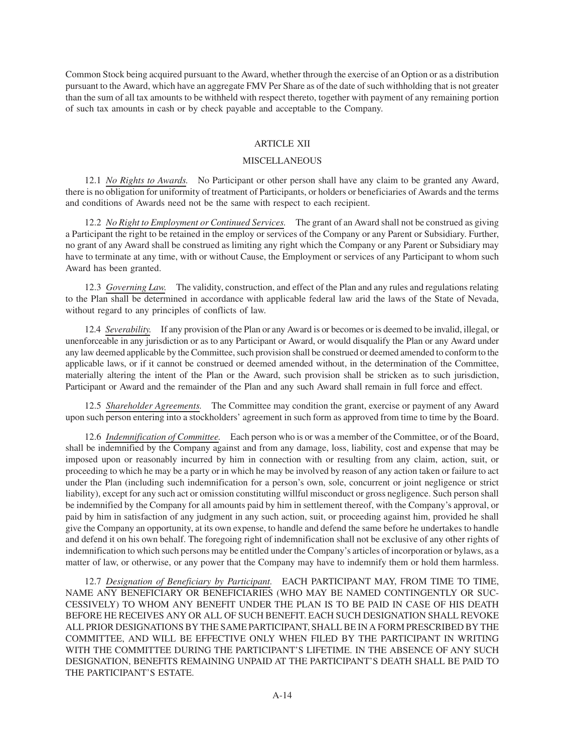Common Stock being acquired pursuant to the Award, whether through the exercise of an Option or as a distribution pursuant to the Award, which have an aggregate FMV Per Share as of the date of such withholding that is not greater than the sum of all tax amounts to be withheld with respect thereto, together with payment of any remaining portion of such tax amounts in cash or by check payable and acceptable to the Company.

# ARTICLE XII

## MISCELLANEOUS

12.1 *No Rights to Awards.* No Participant or other person shall have any claim to be granted any Award, there is no obligation for uniformity of treatment of Participants, or holders or beneficiaries of Awards and the terms and conditions of Awards need not be the same with respect to each recipient.

12.2 *No Right to Employment or Continued Services.* The grant of an Award shall not be construed as giving a Participant the right to be retained in the employ or services of the Company or any Parent or Subsidiary. Further, no grant of any Award shall be construed as limiting any right which the Company or any Parent or Subsidiary may have to terminate at any time, with or without Cause, the Employment or services of any Participant to whom such Award has been granted.

12.3 *Governing Law.* The validity, construction, and effect of the Plan and any rules and regulations relating to the Plan shall be determined in accordance with applicable federal law arid the laws of the State of Nevada, without regard to any principles of conflicts of law.

12.4 *Severability.* If any provision of the Plan or any Award is or becomes or is deemed to be invalid, illegal, or unenforceable in any jurisdiction or as to any Participant or Award, or would disqualify the Plan or any Award under any law deemed applicable by the Committee, such provision shall be construed or deemed amended to conform to the applicable laws, or if it cannot be construed or deemed amended without, in the determination of the Committee, materially altering the intent of the Plan or the Award, such provision shall be stricken as to such jurisdiction, Participant or Award and the remainder of the Plan and any such Award shall remain in full force and effect.

12.5 *Shareholder Agreements.* The Committee may condition the grant, exercise or payment of any Award upon such person entering into a stockholders' agreement in such form as approved from time to time by the Board.

12.6 *Indemnification of Committee.* Each person who is or was a member of the Committee, or of the Board, shall be indemnified by the Company against and from any damage, loss, liability, cost and expense that may be imposed upon or reasonably incurred by him in connection with or resulting from any claim, action, suit, or proceeding to which he may be a party or in which he may be involved by reason of any action taken or failure to act under the Plan (including such indemnification for a person's own, sole, concurrent or joint negligence or strict liability), except for any such act or omission constituting willful misconduct or gross negligence. Such person shall be indemnified by the Company for all amounts paid by him in settlement thereof, with the Company's approval, or paid by him in satisfaction of any judgment in any such action, suit, or proceeding against him, provided he shall give the Company an opportunity, at its own expense, to handle and defend the same before he undertakes to handle and defend it on his own behalf. The foregoing right of indemnification shall not be exclusive of any other rights of indemnification to which such persons may be entitled under the Company's articles of incorporation or bylaws, as a matter of law, or otherwise, or any power that the Company may have to indemnify them or hold them harmless.

12.7 *Designation of Beneficiary by Participant.* EACH PARTICIPANT MAY, FROM TIME TO TIME, NAME ANY BENEFICIARY OR BENEFICIARIES (WHO MAY BE NAMED CONTINGENTLY OR SUC-CESSIVELY) TO WHOM ANY BENEFIT UNDER THE PLAN IS TO BE PAID IN CASE OF HIS DEATH BEFORE HE RECEIVES ANY OR ALL OF SUCH BENEFIT. EACH SUCH DESIGNATION SHALL REVOKE ALL PRIOR DESIGNATIONS BY THE SAME PARTICIPANT, SHALL BE IN A FORM PRESCRIBED BY THE COMMITTEE, AND WILL BE EFFECTIVE ONLY WHEN FILED BY THE PARTICIPANT IN WRITING WITH THE COMMITTEE DURING THE PARTICIPANT'S LIFETIME. IN THE ABSENCE OF ANY SUCH DESIGNATION, BENEFITS REMAINING UNPAID AT THE PARTICIPANT'S DEATH SHALL BE PAID TO THE PARTICIPANT'S ESTATE.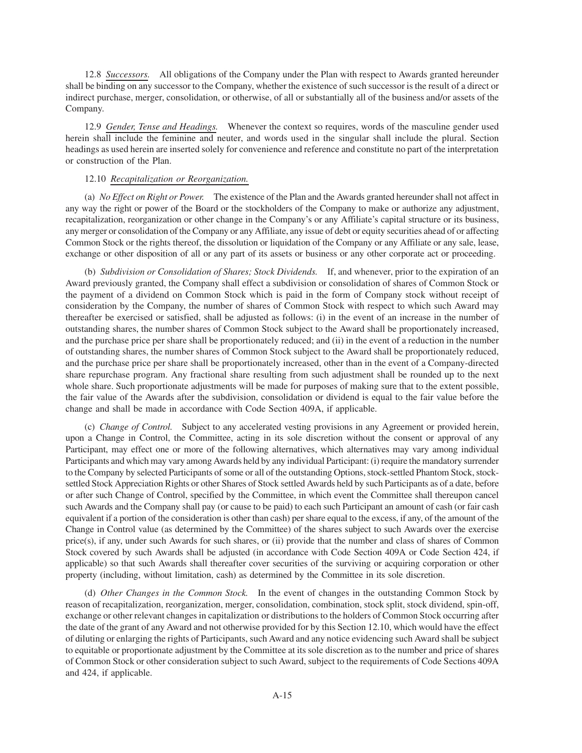12.8 *Successors.* All obligations of the Company under the Plan with respect to Awards granted hereunder shall be binding on any successor to the Company, whether the existence of such successor is the result of a direct or indirect purchase, merger, consolidation, or otherwise, of all or substantially all of the business and/or assets of the Company.

12.9 *Gender, Tense and Headings.* Whenever the context so requires, words of the masculine gender used herein shall include the feminine and neuter, and words used in the singular shall include the plural. Section headings as used herein are inserted solely for convenience and reference and constitute no part of the interpretation or construction of the Plan.

# 12.10 *Recapitalization or Reorganization.*

(a) *No Effect on Right or Power.* The existence of the Plan and the Awards granted hereunder shall not affect in any way the right or power of the Board or the stockholders of the Company to make or authorize any adjustment, recapitalization, reorganization or other change in the Company's or any Affiliate's capital structure or its business, any merger or consolidation of the Company or any Affiliate, any issue of debt or equity securities ahead of or affecting Common Stock or the rights thereof, the dissolution or liquidation of the Company or any Affiliate or any sale, lease, exchange or other disposition of all or any part of its assets or business or any other corporate act or proceeding.

(b) *Subdivision or Consolidation of Shares; Stock Dividends.* If, and whenever, prior to the expiration of an Award previously granted, the Company shall effect a subdivision or consolidation of shares of Common Stock or the payment of a dividend on Common Stock which is paid in the form of Company stock without receipt of consideration by the Company, the number of shares of Common Stock with respect to which such Award may thereafter be exercised or satisfied, shall be adjusted as follows: (i) in the event of an increase in the number of outstanding shares, the number shares of Common Stock subject to the Award shall be proportionately increased, and the purchase price per share shall be proportionately reduced; and (ii) in the event of a reduction in the number of outstanding shares, the number shares of Common Stock subject to the Award shall be proportionately reduced, and the purchase price per share shall be proportionately increased, other than in the event of a Company-directed share repurchase program. Any fractional share resulting from such adjustment shall be rounded up to the next whole share. Such proportionate adjustments will be made for purposes of making sure that to the extent possible, the fair value of the Awards after the subdivision, consolidation or dividend is equal to the fair value before the change and shall be made in accordance with Code Section 409A, if applicable.

(c) *Change of Control.* Subject to any accelerated vesting provisions in any Agreement or provided herein, upon a Change in Control, the Committee, acting in its sole discretion without the consent or approval of any Participant, may effect one or more of the following alternatives, which alternatives may vary among individual Participants and which may vary among Awards held by any individual Participant: (i) require the mandatory surrender to the Company by selected Participants of some or all of the outstanding Options, stock-settled Phantom Stock, stocksettled Stock Appreciation Rights or other Shares of Stock settled Awards held by such Participants as of a date, before or after such Change of Control, specified by the Committee, in which event the Committee shall thereupon cancel such Awards and the Company shall pay (or cause to be paid) to each such Participant an amount of cash (or fair cash equivalent if a portion of the consideration is other than cash) per share equal to the excess, if any, of the amount of the Change in Control value (as determined by the Committee) of the shares subject to such Awards over the exercise price(s), if any, under such Awards for such shares, or (ii) provide that the number and class of shares of Common Stock covered by such Awards shall be adjusted (in accordance with Code Section 409A or Code Section 424, if applicable) so that such Awards shall thereafter cover securities of the surviving or acquiring corporation or other property (including, without limitation, cash) as determined by the Committee in its sole discretion.

(d) *Other Changes in the Common Stock.* In the event of changes in the outstanding Common Stock by reason of recapitalization, reorganization, merger, consolidation, combination, stock split, stock dividend, spin-off, exchange or other relevant changes in capitalization or distributions to the holders of Common Stock occurring after the date of the grant of any Award and not otherwise provided for by this Section 12.10, which would have the effect of diluting or enlarging the rights of Participants, such Award and any notice evidencing such Award shall be subject to equitable or proportionate adjustment by the Committee at its sole discretion as to the number and price of shares of Common Stock or other consideration subject to such Award, subject to the requirements of Code Sections 409A and 424, if applicable.